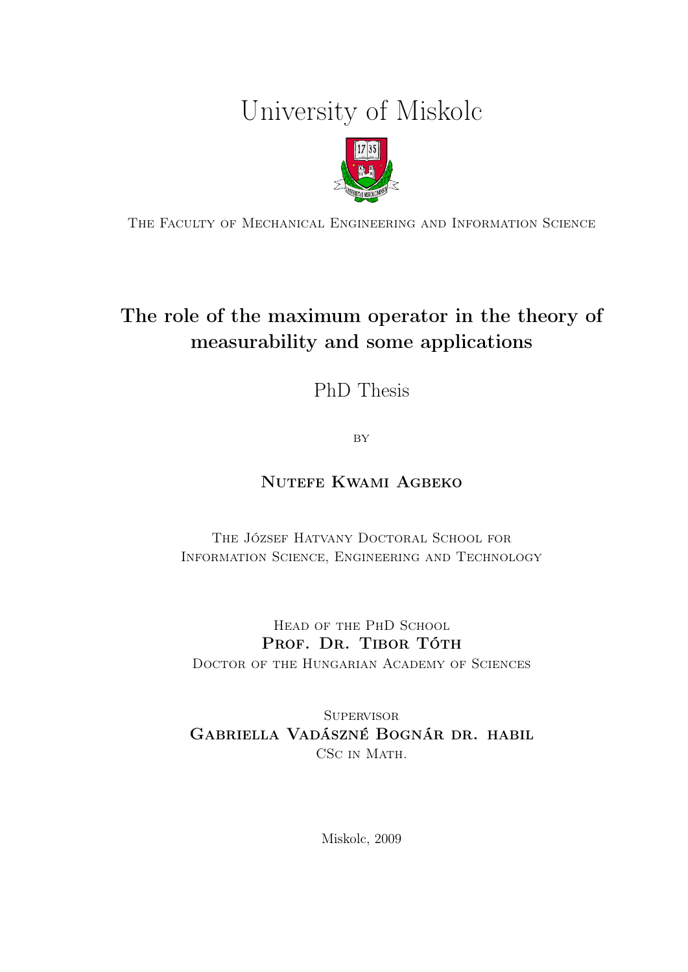# University of Miskolc



The Faculty of Mechanical Engineering and Information Science

## The role of the maximum operator in the theory of measurability and some applications

PhD Thesis

**BY** 

## Nutefe Kwami Agbeko

THE JÓZSEF HATVANY DOCTORAL SCHOOL FOR Information Science, Engineering and Technology

HEAD OF THE PHD SCHOOL PROF. DR. TIBOR TÓTH Doctor of the Hungarian Academy of Sciences

SUPERVISOR Gabriella Vadászné Bognár dr. habil CSC IN MATH.

Miskolc, 2009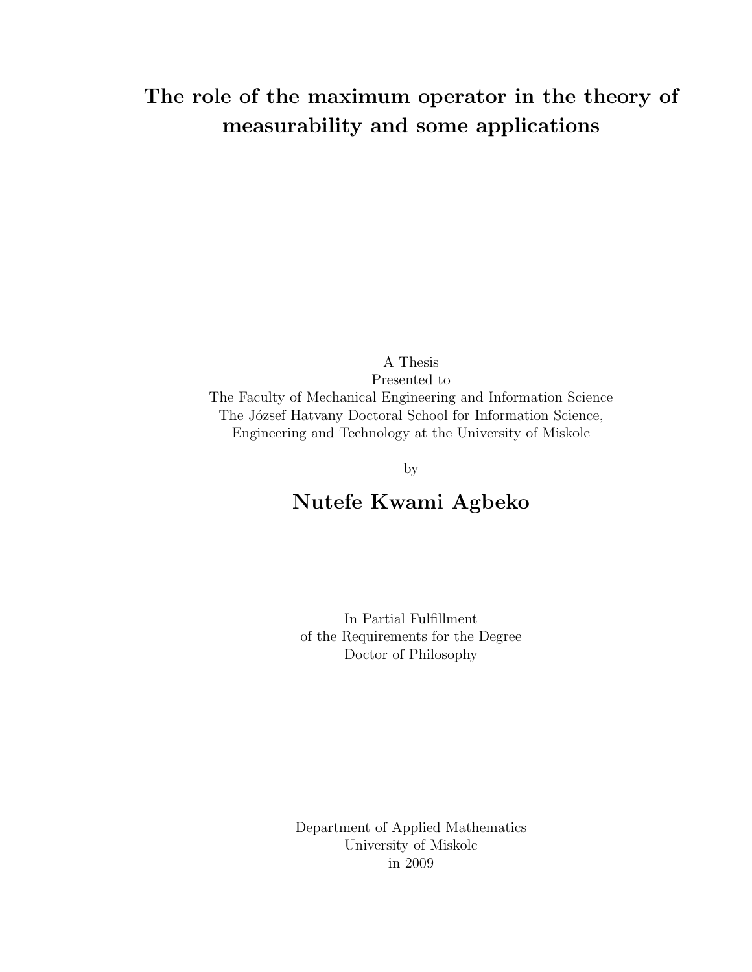## The role of the maximum operator in the theory of measurability and some applications

A Thesis Presented to The Faculty of Mechanical Engineering and Information Science The József Hatvany Doctoral School for Information Science, Engineering and Technology at the University of Miskolc

by

## Nutefe Kwami Agbeko

In Partial Fulfillment of the Requirements for the Degree Doctor of Philosophy

Department of Applied Mathematics University of Miskolc in 2009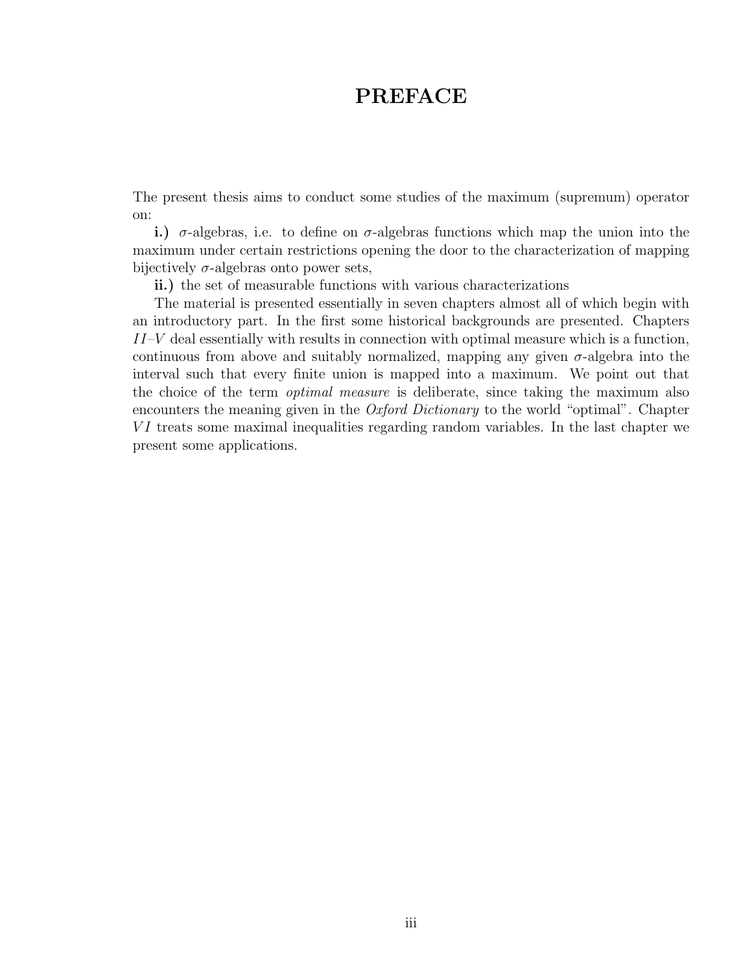## PREFACE

The present thesis aims to conduct some studies of the maximum (supremum) operator on:

i.)  $\sigma$ -algebras, i.e. to define on  $\sigma$ -algebras functions which map the union into the maximum under certain restrictions opening the door to the characterization of mapping bijectively  $\sigma$ -algebras onto power sets,

ii.) the set of measurable functions with various characterizations

The material is presented essentially in seven chapters almost all of which begin with an introductory part. In the first some historical backgrounds are presented. Chapters  $II-V$  deal essentially with results in connection with optimal measure which is a function, continuous from above and suitably normalized, mapping any given  $\sigma$ -algebra into the interval such that every finite union is mapped into a maximum. We point out that the choice of the term *optimal measure* is deliberate, since taking the maximum also encounters the meaning given in the *Oxford Dictionary* to the world "optimal". Chapter  $VI$  treats some maximal inequalities regarding random variables. In the last chapter we present some applications.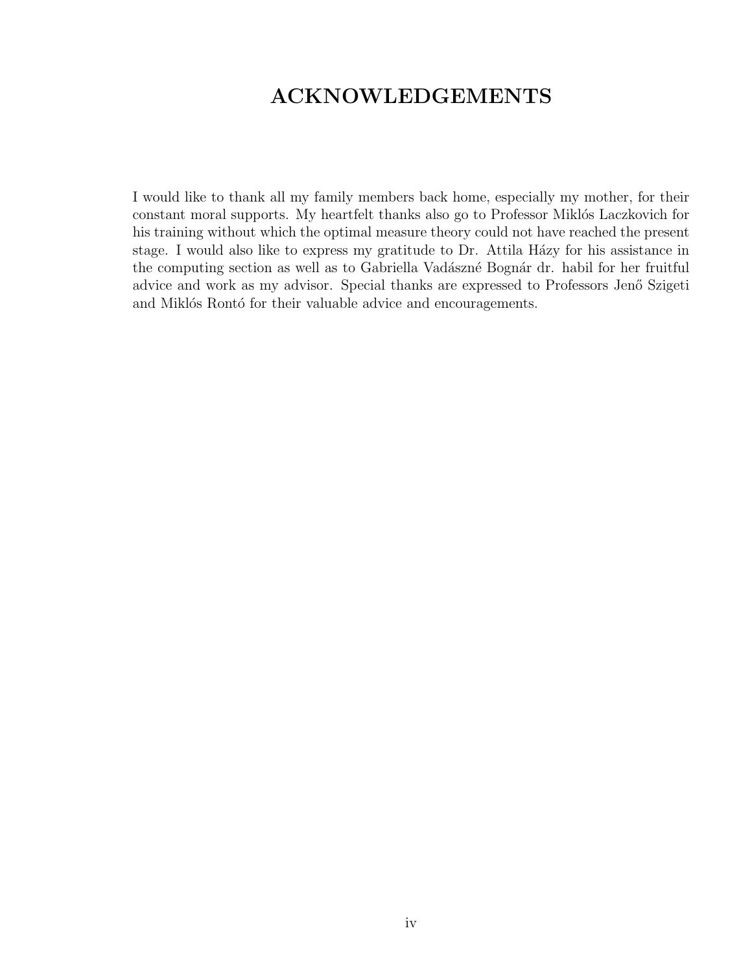## ACKNOWLEDGEMENTS

I would like to thank all my family members back home, especially my mother, for their constant moral supports. My heartfelt thanks also go to Professor Miklós Laczkovich for his training without which the optimal measure theory could not have reached the present stage. I would also like to express my gratitude to Dr. Attila Házy for his assistance in the computing section as well as to Gabriella Vadászné Bognár dr. habil for her fruitful advice and work as my advisor. Special thanks are expressed to Professors Jenő Szigeti and Miklós Rontó for their valuable advice and encouragements.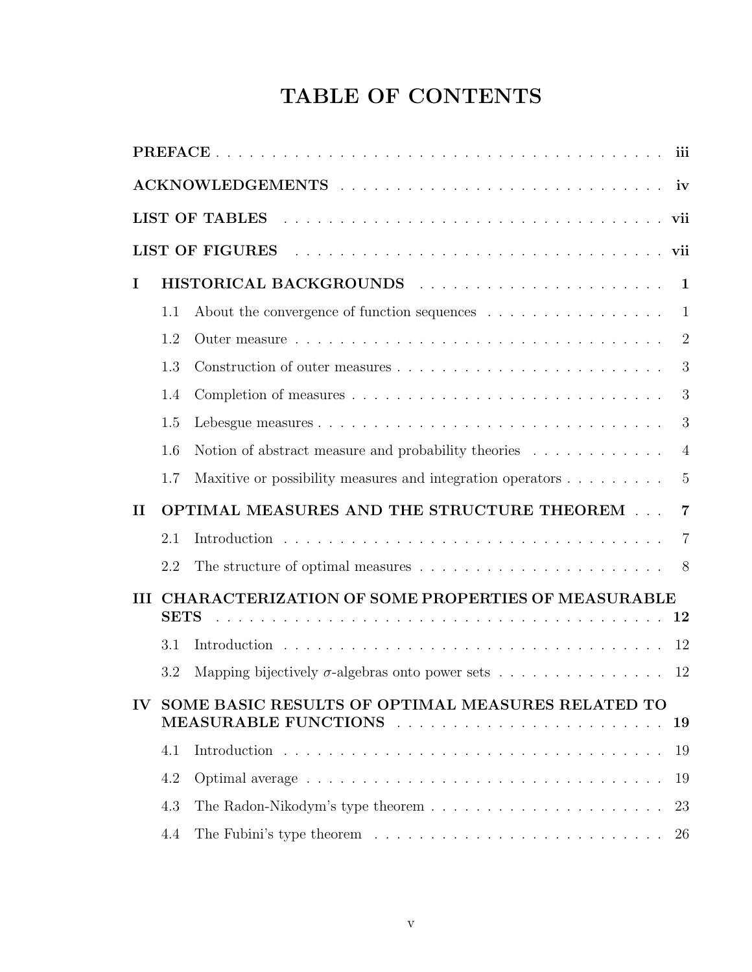## TABLE OF CONTENTS

|              |             | LIST OF TABLES Research and the contract of the contract of the contract of the contract of the contract of the contract of the contract of the contract of the contract of the contract of the contract of the contract of th |                |
|--------------|-------------|--------------------------------------------------------------------------------------------------------------------------------------------------------------------------------------------------------------------------------|----------------|
|              |             | LIST OF FIGURES residences in the service of the service of the village of the service of the service of the s                                                                                                                 |                |
| I            |             |                                                                                                                                                                                                                                |                |
|              | 1.1         | About the convergence of function sequences $\dots \dots \dots \dots \dots \dots$                                                                                                                                              | $\mathbf{1}$   |
|              | 1.2         |                                                                                                                                                                                                                                | $\overline{2}$ |
|              | 1.3         |                                                                                                                                                                                                                                | 3              |
|              | 1.4         |                                                                                                                                                                                                                                | 3              |
|              | 1.5         |                                                                                                                                                                                                                                | 3              |
|              | 1.6         | Notion of abstract measure and probability theories                                                                                                                                                                            | $\overline{4}$ |
|              | 1.7         | Maxitive or possibility measures and integration operators                                                                                                                                                                     | 5              |
| $\mathbf{I}$ |             | OPTIMAL MEASURES AND THE STRUCTURE THEOREM                                                                                                                                                                                     | $\overline{7}$ |
|              | 2.1         |                                                                                                                                                                                                                                | $\overline{7}$ |
|              | 2.2         | The structure of optimal measures $\ldots \ldots \ldots \ldots \ldots \ldots \ldots$                                                                                                                                           |                |
| Ш            |             | CHARACTERIZATION OF SOME PROPERTIES OF MEASURABLE                                                                                                                                                                              |                |
|              | <b>SETS</b> |                                                                                                                                                                                                                                |                |
|              | 3.1         |                                                                                                                                                                                                                                |                |
|              | 3.2         | Mapping bijectively $\sigma$ -algebras onto power sets                                                                                                                                                                         | 12             |
| $\bf{IV}$    |             | SOME BASIC RESULTS OF OPTIMAL MEASURES RELATED TO<br>MEASURABLE FUNCTIONS                                                                                                                                                      | 19             |
|              | 4.1         |                                                                                                                                                                                                                                | 19             |
|              | 4.2         |                                                                                                                                                                                                                                | 19             |
|              | 4.3         | The Radon-Nikodym's type theorem $\ldots \ldots \ldots \ldots \ldots \ldots \ldots$                                                                                                                                            | 23             |
|              | 4.4         | The Fubini's type theorem $\dots \dots \dots \dots \dots \dots \dots \dots \dots \dots$                                                                                                                                        | 26             |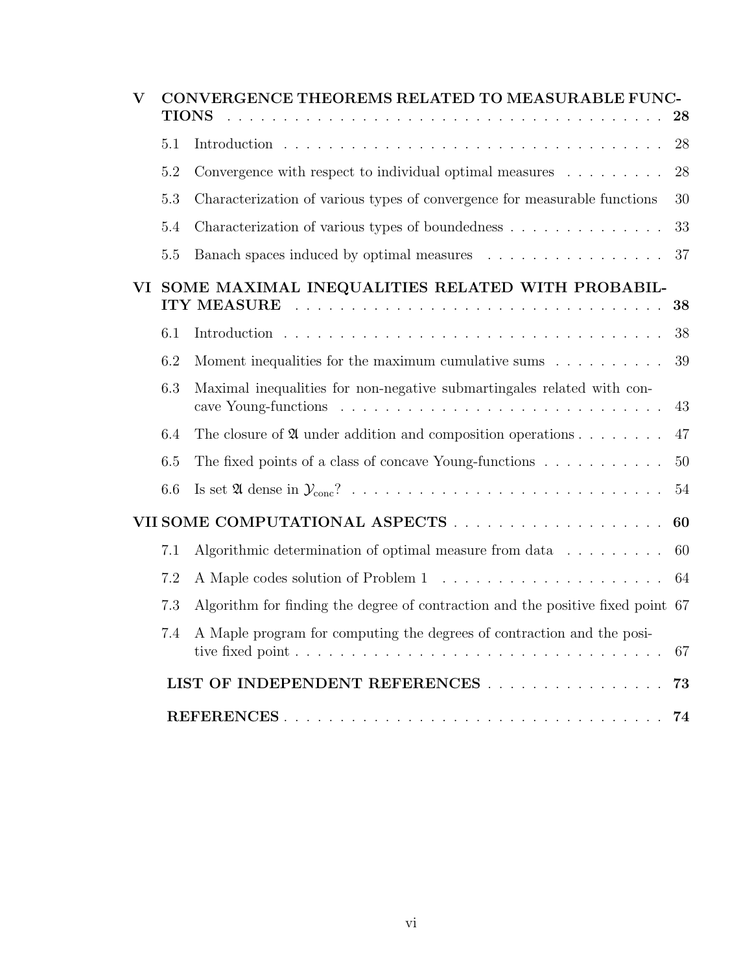| V   |     | CONVERGENCE THEOREMS RELATED TO MEASURABLE FUNC-<br><b>TIONS</b>                | 28 |
|-----|-----|---------------------------------------------------------------------------------|----|
|     | 5.1 |                                                                                 | 28 |
|     | 5.2 | Convergence with respect to individual optimal measures $\dots \dots$           | 28 |
|     | 5.3 | Characterization of various types of convergence for measurable functions       | 30 |
|     | 5.4 | Characterization of various types of boundedness                                | 33 |
|     | 5.5 | Banach spaces induced by optimal measures                                       | 37 |
| VI. |     | SOME MAXIMAL INEQUALITIES RELATED WITH PROBABIL-                                | 38 |
|     | 6.1 |                                                                                 | 38 |
|     | 6.2 | Moment inequalities for the maximum cumulative sums $\ldots \ldots \ldots$      | 39 |
|     | 6.3 | Maximal inequalities for non-negative submartingales related with con-          | 43 |
|     | 6.4 | The closure of $\mathfrak A$ under addition and composition operations          | 47 |
|     | 6.5 | The fixed points of a class of concave Young-functions $\dots \dots \dots$      | 50 |
|     | 6.6 |                                                                                 | 54 |
|     |     |                                                                                 | 60 |
|     | 7.1 | Algorithmic determination of optimal measure from data $\dots \dots$            | 60 |
|     | 7.2 |                                                                                 | 64 |
|     | 7.3 | Algorithm for finding the degree of contraction and the positive fixed point 67 |    |
|     | 7.4 | A Maple program for computing the degrees of contraction and the posi-          | 67 |
|     |     | LIST OF INDEPENDENT REFERENCES                                                  | 73 |
|     |     |                                                                                 | 74 |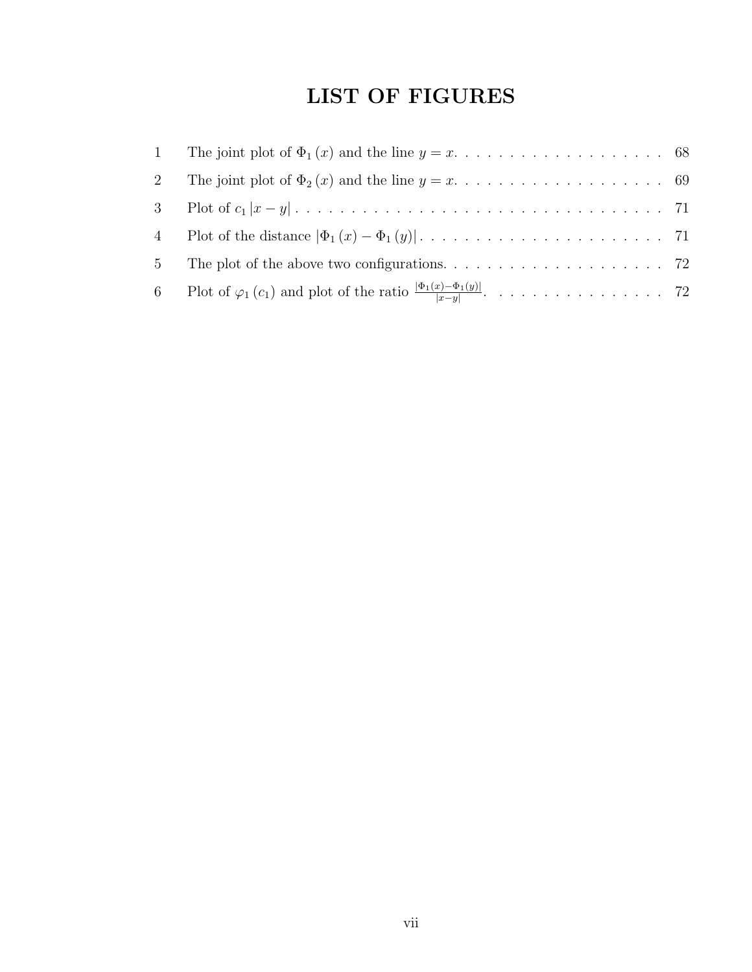## LIST OF FIGURES

| $2\,$ |                                                                                                                       |  |
|-------|-----------------------------------------------------------------------------------------------------------------------|--|
|       |                                                                                                                       |  |
|       | 4 Plot of the distance $ \Phi_1(x) - \Phi_1(y)  \dots \dots \dots \dots \dots \dots \dots \dots \dots \dots \dots$ 71 |  |
|       |                                                                                                                       |  |
|       |                                                                                                                       |  |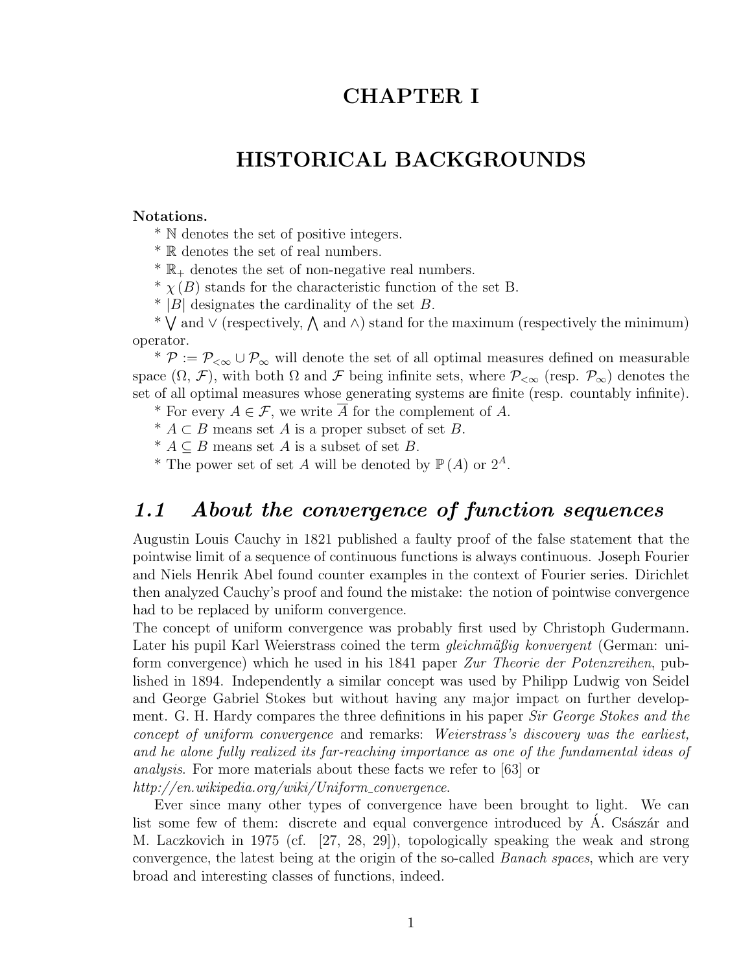## CHAPTER I

## HISTORICAL BACKGROUNDS

#### Notations.

\* N denotes the set of positive integers.

\* R denotes the set of real numbers.

 $* \mathbb{R}_{+}$  denotes the set of non-negative real numbers.

\*  $\chi(B)$  stands for the characteristic function of the set B.

 $*$  |B| designates the cardinality of the set B.

∴ |D| designates the cardinality of the set D.<br>\*  $\bigvee$  and  $\vee$  (respectively,  $\bigwedge$  and  $\wedge$ ) stand for the maximum (respectively the minimum) operator.

<sup>\*</sup>  $P := P_{< \infty} \cup P_{< \infty}$  will denote the set of all optimal measures defined on measurable space  $(\Omega, \mathcal{F})$ , with both  $\Omega$  and  $\mathcal F$  being infinite sets, where  $\mathcal{P}_{\leq \infty}$  (resp.  $\mathcal{P}_{\infty}$ ) denotes the set of all optimal measures whose generating systems are finite (resp. countably infinite).

\* For every  $A \in \mathcal{F}$ , we write  $\overline{A}$  for the complement of A.

<sup>\*</sup>  $A ⊂ B$  means set  $A$  is a proper subset of set  $B$ .

\*  $A \subseteq B$  means set A is a subset of set B.

\* The power set of set A will be denoted by  $\mathbb{P}(A)$  or  $2^A$ .

## 1.1 About the convergence of function sequences

Augustin Louis Cauchy in 1821 published a faulty proof of the false statement that the pointwise limit of a sequence of continuous functions is always continuous. Joseph Fourier and Niels Henrik Abel found counter examples in the context of Fourier series. Dirichlet then analyzed Cauchy's proof and found the mistake: the notion of pointwise convergence had to be replaced by uniform convergence.

The concept of uniform convergence was probably first used by Christoph Gudermann. Later his pupil Karl Weierstrass coined the term  $gleichm\ddot{a}$  konvergent (German: uniform convergence) which he used in his 1841 paper Zur Theorie der Potenzreihen, published in 1894. Independently a similar concept was used by Philipp Ludwig von Seidel and George Gabriel Stokes but without having any major impact on further development. G. H. Hardy compares the three definitions in his paper Sir George Stokes and the concept of uniform convergence and remarks: Weierstrass's discovery was the earliest, and he alone fully realized its far-reaching importance as one of the fundamental ideas of analysis. For more materials about these facts we refer to [63] or http://en.wikipedia.org/wiki/Uniform\_convergence.

Ever since many other types of convergence have been brought to light. We can list some few of them: discrete and equal convergence introduced by A. Császár and M. Laczkovich in 1975 (cf. [27, 28, 29]), topologically speaking the weak and strong convergence, the latest being at the origin of the so-called Banach spaces, which are very broad and interesting classes of functions, indeed.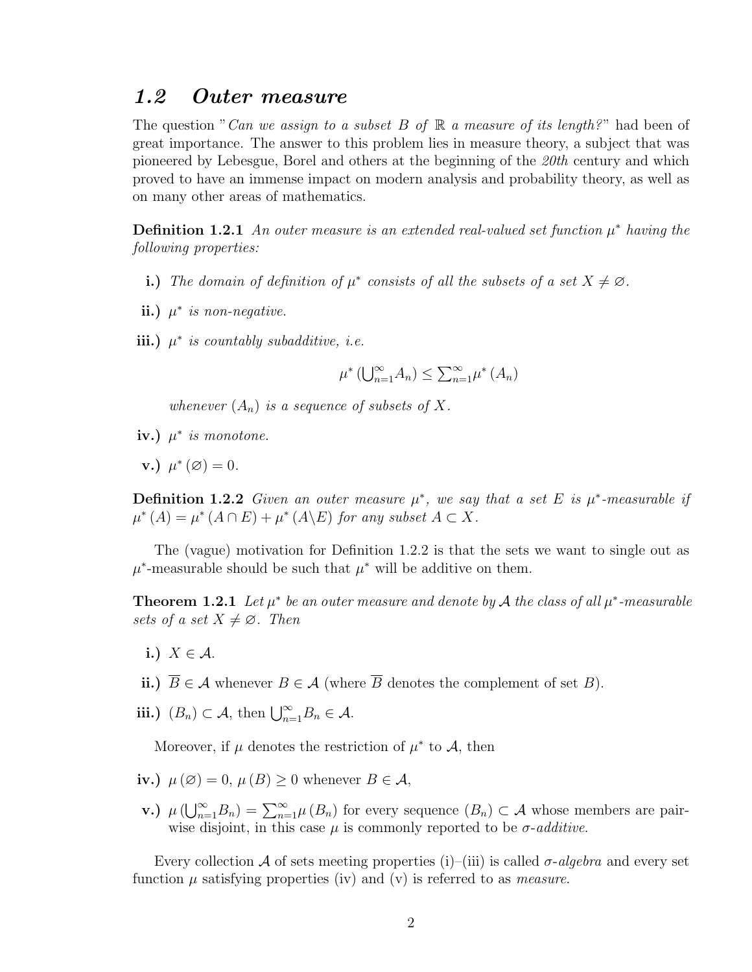#### 1.2 Outer measure

The question "Can we assign to a subset B of  $\mathbb R$  a measure of its length?" had been of great importance. The answer to this problem lies in measure theory, a subject that was pioneered by Lebesgue, Borel and others at the beginning of the 20th century and which proved to have an immense impact on modern analysis and probability theory, as well as on many other areas of mathematics.

**Definition 1.2.1** An outer measure is an extended real-valued set function  $\mu^*$  having the following properties:

- i.) The domain of definition of  $\mu^*$  consists of all the subsets of a set  $X \neq \emptyset$ .
- ii.)  $\mu^*$  is non-negative.
- iii.)  $\mu^*$  is countably subadditive, i.e.

 $\mu^*$  ([  $\int_{n=1}^{\infty}$  $_{n=1}^{\infty}A_n)\leq$  $\overline{\mathcal{P}}^{\infty}$  $\sum_{n=1}^{\infty} \mu^*(A_n)$ 

whenever  $(A_n)$  is a sequence of subsets of X.

- iv.)  $\mu^*$  is monotone.
- v.)  $\mu^*(\varnothing) = 0$ .

**Definition 1.2.2** Given an outer measure  $\mu^*$ , we say that a set E is  $\mu^*$ -measurable if  $\mu^*(A) = \mu^*(A \cap E) + \mu^*(A \backslash E)$  for any subset  $A \subset X$ .

The (vague) motivation for Definition 1.2.2 is that the sets we want to single out as  $\mu^*$ -measurable should be such that  $\mu^*$  will be additive on them.

**Theorem 1.2.1** Let  $\mu^*$  be an outer measure and denote by A the class of all  $\mu^*$ -measurable sets of a set  $X \neq \emptyset$ . Then

i.)  $X \in \mathcal{A}$ .

ii.)  $\overline{B} \in \mathcal{A}$  whenever  $B \in \mathcal{A}$  (where  $\overline{B}$  denotes the complement of set B).

iii.)  $(B_n) \subset \mathcal{A}$ , then  $\bigcup_{n=1}^{\infty} B_n \in \mathcal{A}$ .

Moreover, if  $\mu$  denotes the restriction of  $\mu^*$  to  $\mathcal{A}$ , then

- iv.)  $\mu(\emptyset) = 0$ ,  $\mu(B) \geq 0$  whenever  $B \in \mathcal{A}$ ,
- v.)  $\mu(\bigcup_{n=1}^{\infty}B_n)=\sum_{n=1}^{\infty}\mu(B_n)$  for every sequence  $(B_n)\subset\mathcal{A}$  whose members are pairwise disjoint, in this case  $\mu$  is commonly reported to be  $\sigma$ -additive.

Every collection A of sets meeting properties (i)–(iii) is called  $\sigma$ -algebra and every set function  $\mu$  satisfying properties (iv) and (v) is referred to as *measure*.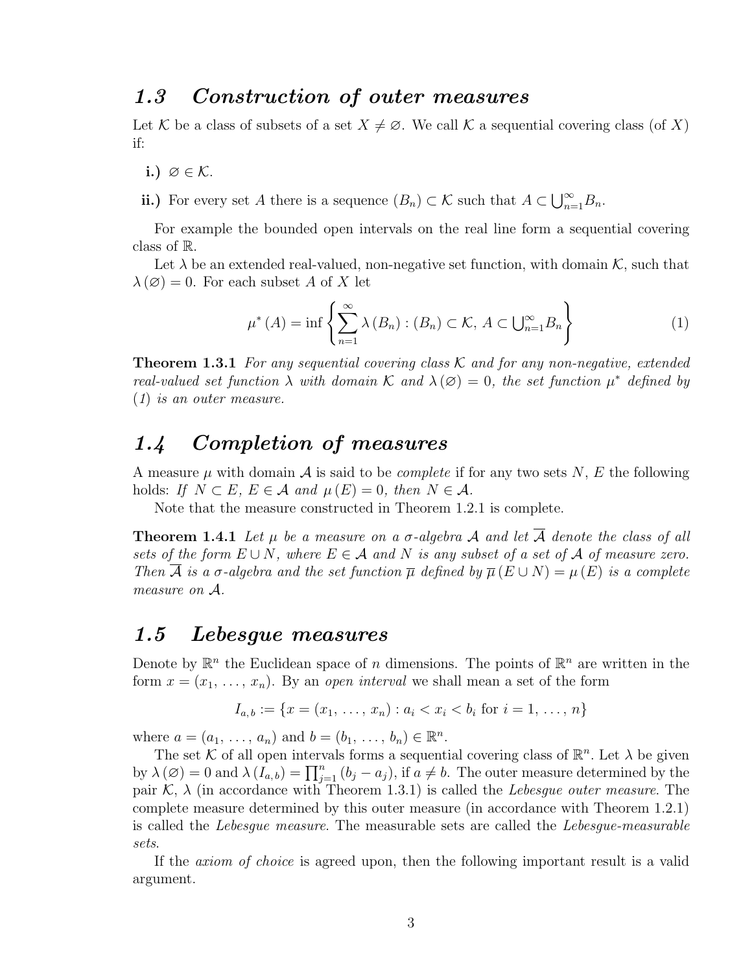### 1.3 Construction of outer measures

Let K be a class of subsets of a set  $X \neq \emptyset$ . We call K a sequential covering class (of X) if:

- i.)  $\varnothing \in \mathcal{K}$ .
- ii.) For every set A there is a sequence  $(B_n) \subset \mathcal{K}$  such that  $A \subset \bigcup_{n=1}^{\infty}$  $\sum_{n=1}^{\infty}B_n$ .

For example the bounded open intervals on the real line form a sequential covering class of R.

Let  $\lambda$  be an extended real-valued, non-negative set function, with domain K, such that  $\lambda(\emptyset) = 0$ . For each subset A of X let

$$
\mu^*(A) = \inf \left\{ \sum_{n=1}^{\infty} \lambda(B_n) : (B_n) \subset \mathcal{K}, A \subset \bigcup_{n=1}^{\infty} B_n \right\}
$$
 (1)

**Theorem 1.3.1** For any sequential covering class  $\mathcal K$  and for any non-negative, extended real-valued set function  $\lambda$  with domain K and  $\lambda(\emptyset) = 0$ , the set function  $\mu^*$  defined by (1) is an outer measure.

## 1.4 Completion of measures

A measure  $\mu$  with domain  $\mathcal A$  is said to be *complete* if for any two sets N, E the following holds: If  $N \subset E$ ,  $E \in \mathcal{A}$  and  $\mu(E) = 0$ , then  $N \in \mathcal{A}$ .

Note that the measure constructed in Theorem 1.2.1 is complete.

**Theorem 1.4.1** Let  $\mu$  be a measure on a  $\sigma$ -algebra A and let  $\overline{A}$  denote the class of all sets of the form  $E \cup N$ , where  $E \in \mathcal{A}$  and N is any subset of a set of  $\mathcal A$  of measure zero. Then  $\overline{A}$  is a  $\sigma$ -algebra and the set function  $\overline{\mu}$  defined by  $\overline{\mu}(E \cup N) = \mu(E)$  is a complete measure on A.

### 1.5 Lebesgue measures

Denote by  $\mathbb{R}^n$  the Euclidean space of n dimensions. The points of  $\mathbb{R}^n$  are written in the form  $x = (x_1, \ldots, x_n)$ . By an open interval we shall mean a set of the form

$$
I_{a,b} := \{ x = (x_1, \ldots, x_n) : a_i < x_i < b_i \text{ for } i = 1, \ldots, n \}
$$

where  $a = (a_1, ..., a_n)$  and  $b = (b_1, ..., b_n) \in \mathbb{R}^n$ .

The set K of all open intervals forms a sequential covering class of  $\mathbb{R}^n$ . Let  $\lambda$  be given The set  $\kappa$  or an open merval forms a sequential covering class of  $\kappa$ . Let  $\lambda$  be given<br>by  $\lambda(\emptyset) = 0$  and  $\lambda(I_{a,b}) = \prod_{j=1}^{n} (b_j - a_j)$ , if  $a \neq b$ . The outer measure determined by the pair  $\mathcal{K}, \lambda$  (in accordance with Theorem 1.3.1) is called the Lebesgue outer measure. The complete measure determined by this outer measure (in accordance with Theorem 1.2.1) is called the Lebesgue measure. The measurable sets are called the Lebesgue-measurable sets.

If the axiom of choice is agreed upon, then the following important result is a valid argument.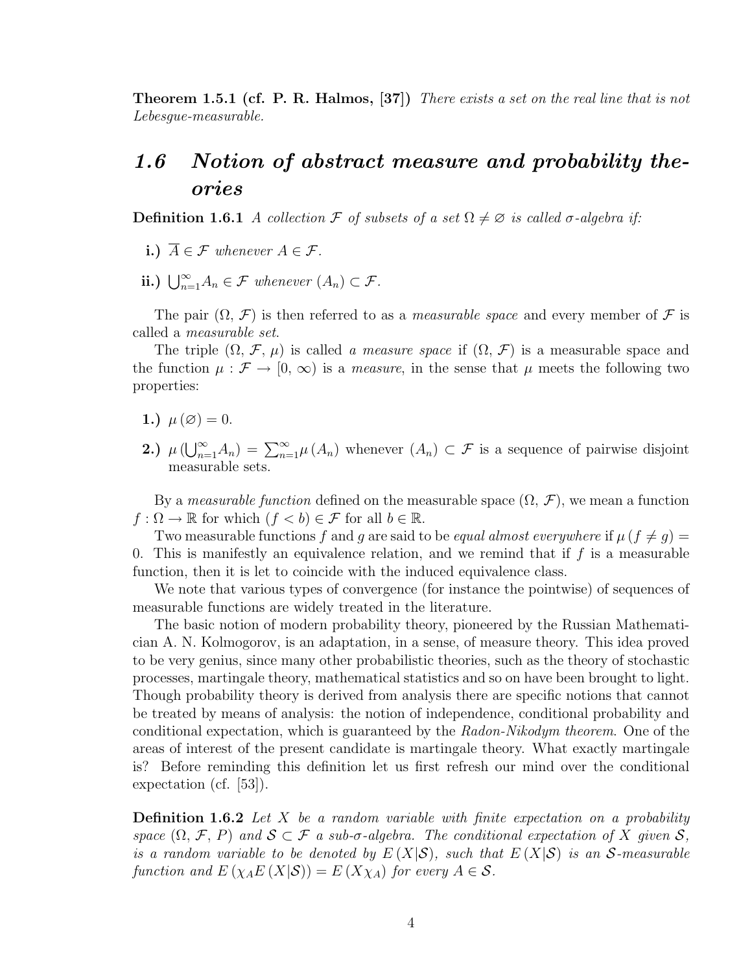**Theorem 1.5.1 (cf. P. R. Halmos, [37])** There exists a set on the real line that is not Lebesgue-measurable.

## 1.6 Notion of abstract measure and probability theories

**Definition 1.6.1** A collection F of subsets of a set  $\Omega \neq \emptyset$  is called  $\sigma$ -algebra if:

- i.)  $\overline{A} \in \mathcal{F}$  whenever  $A \in \mathcal{F}$ .
- ii.)  $\bigcup_{n=1}^{\infty} A_n \in \mathcal{F}$  whenever  $(A_n) \subset \mathcal{F}$ .

The pair  $(\Omega, \mathcal{F})$  is then referred to as a *measurable space* and every member of  $\mathcal F$  is called a measurable set.

The triple  $(\Omega, \mathcal{F}, \mu)$  is called a measure space if  $(\Omega, \mathcal{F})$  is a measurable space and the function  $\mu : \mathcal{F} \to [0, \infty)$  is a *measure*, in the sense that  $\mu$  meets the following two properties:

- 1.)  $\mu(\emptyset) = 0$ .
- 2.)  $\mu(\bigcup_{n=1}^{\infty} A_n) = \sum_{n=1}^{\infty} \mu(A_n)$  whenever  $(A_n) \subset \mathcal{F}$  is a sequence of pairwise disjoint measurable sets.

By a *measurable function* defined on the measurable space  $(\Omega, \mathcal{F})$ , we mean a function  $f: \Omega \to \mathbb{R}$  for which  $(f < b) \in \mathcal{F}$  for all  $b \in \mathbb{R}$ .

Two measurable functions f and g are said to be equal almost everywhere if  $\mu$  ( $f \neq g$ ) = 0. This is manifestly an equivalence relation, and we remind that if  $f$  is a measurable function, then it is let to coincide with the induced equivalence class.

We note that various types of convergence (for instance the pointwise) of sequences of measurable functions are widely treated in the literature.

The basic notion of modern probability theory, pioneered by the Russian Mathematician A. N. Kolmogorov, is an adaptation, in a sense, of measure theory. This idea proved to be very genius, since many other probabilistic theories, such as the theory of stochastic processes, martingale theory, mathematical statistics and so on have been brought to light. Though probability theory is derived from analysis there are specific notions that cannot be treated by means of analysis: the notion of independence, conditional probability and conditional expectation, which is guaranteed by the Radon-Nikodym theorem. One of the areas of interest of the present candidate is martingale theory. What exactly martingale is? Before reminding this definition let us first refresh our mind over the conditional expectation (cf. [53]).

**Definition 1.6.2** Let X be a random variable with finite expectation on a probability space  $(\Omega, \mathcal{F}, P)$  and  $\mathcal{S} \subset \mathcal{F}$  a sub- $\sigma$ -algebra. The conditional expectation of X given  $\mathcal{S}$ , is a random variable to be denoted by  $E(X|\mathcal{S})$ , such that  $E(X|\mathcal{S})$  is an S-measurable function and  $E(\chi_A E(X|\mathcal{S})) = E(X\chi_A)$  for every  $A \in \mathcal{S}$ .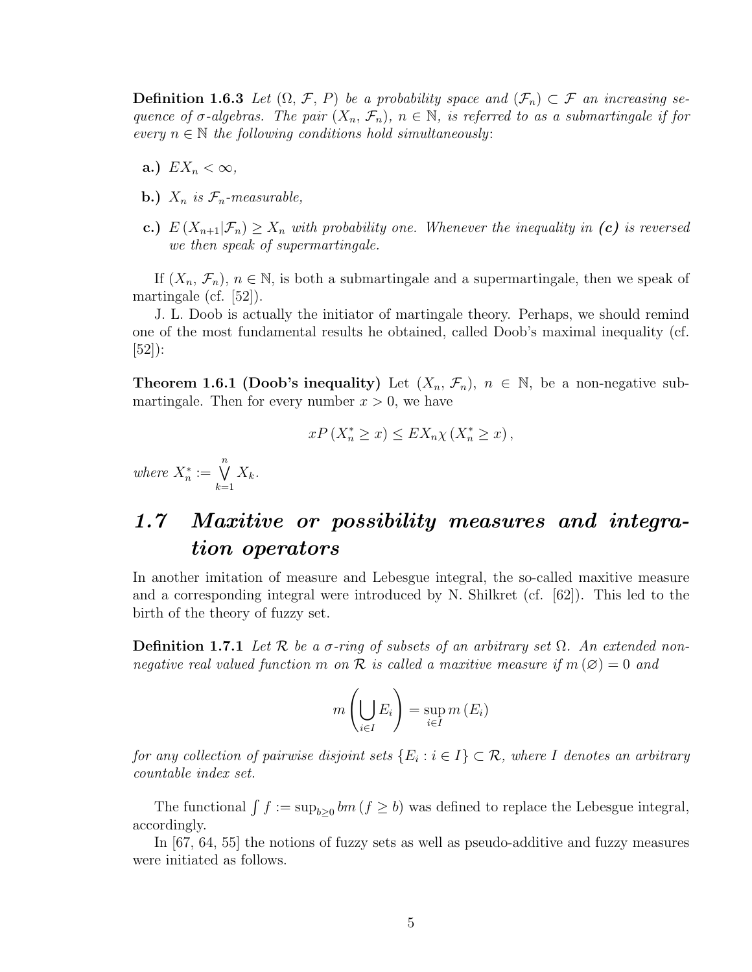**Definition 1.6.3** Let  $(\Omega, \mathcal{F}, P)$  be a probability space and  $(\mathcal{F}_n) \subset \mathcal{F}$  an increasing sequence of  $\sigma$ -algebras. The pair  $(X_n, \mathcal{F}_n)$ ,  $n \in \mathbb{N}$ , is referred to as a submartingale if for every  $n \in \mathbb{N}$  the following conditions hold simultaneously:

- a.)  $EX_n < \infty$ ,
- **b.**)  $X_n$  is  $\mathcal{F}_n$ -measurable,
- c.)  $E(X_{n+1}|\mathcal{F}_n) \geq X_n$  with probability one. Whenever the inequality in (c) is reversed we then speak of supermartingale.

If  $(X_n, \mathcal{F}_n)$ ,  $n \in \mathbb{N}$ , is both a submartingale and a supermartingale, then we speak of martingale (cf. [52]).

J. L. Doob is actually the initiator of martingale theory. Perhaps, we should remind one of the most fundamental results he obtained, called Doob's maximal inequality (cf. [52]):

**Theorem 1.6.1 (Doob's inequality)** Let  $(X_n, \mathcal{F}_n)$ ,  $n \in \mathbb{N}$ , be a non-negative submartingale. Then for every number  $x > 0$ , we have

$$
xP\left(X_n^* \geq x\right) \leq EX_n \chi\left(X_n^* \geq x\right),
$$

where  $X_n^* := \bigvee^n$  $k=1$  $X_k$ .

## 1.7 Maxitive or possibility measures and integration operators

In another imitation of measure and Lebesgue integral, the so-called maxitive measure and a corresponding integral were introduced by N. Shilkret (cf. [62]). This led to the birth of the theory of fuzzy set.

**Definition 1.7.1** Let  $\mathcal{R}$  be a  $\sigma$ -ring of subsets of an arbitrary set  $\Omega$ . An extended nonnegative real valued function m on R is called a maxitive measure if  $m(\emptyset) = 0$  and

$$
m\left(\bigcup_{i\in I} E_i\right) = \sup_{i\in I} m\left(E_i\right)
$$

for any collection of pairwise disjoint sets  $\{E_i : i \in I\} \subset \mathcal{R}$ , where I denotes an arbitrary countable index set.

The functional  $\int f := \sup_{b \geq 0} bm (f \geq b)$  was defined to replace the Lebesgue integral, accordingly.

In [67, 64, 55] the notions of fuzzy sets as well as pseudo-additive and fuzzy measures were initiated as follows.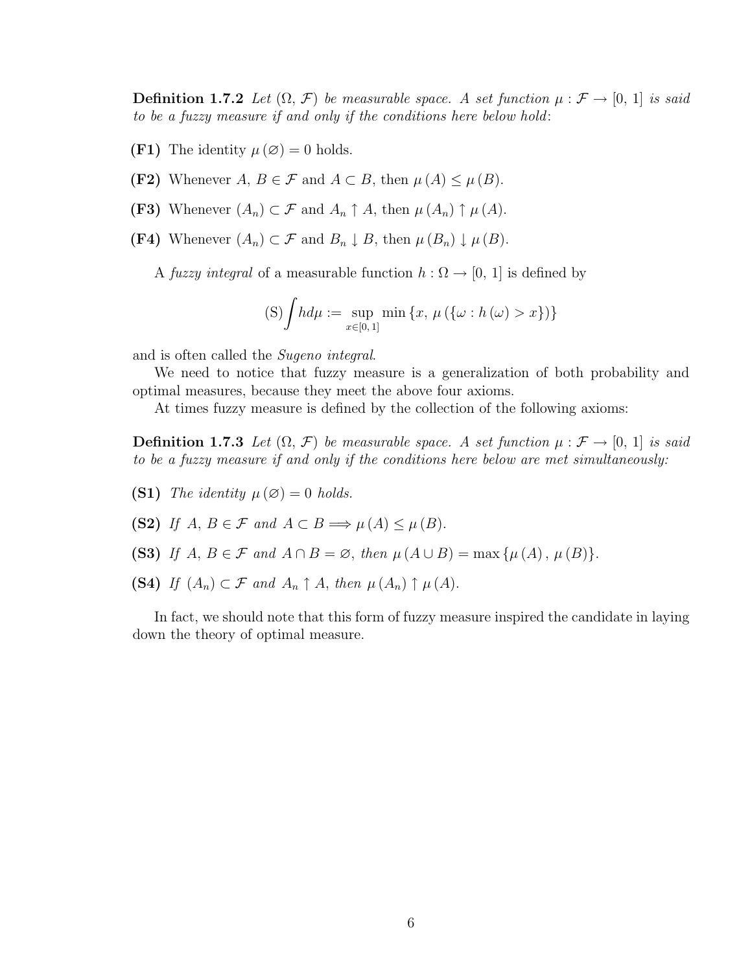**Definition 1.7.2** Let  $(\Omega, \mathcal{F})$  be measurable space. A set function  $\mu : \mathcal{F} \to [0, 1]$  is said to be a fuzzy measure if and only if the conditions here below hold:

(F1) The identity  $\mu(\emptyset) = 0$  holds.

(F2) Whenever A,  $B \in \mathcal{F}$  and  $A \subset B$ , then  $\mu(A) \leq \mu(B)$ .

(F3) Whenever  $(A_n) \subset \mathcal{F}$  and  $A_n \uparrow A$ , then  $\mu(A_n) \uparrow \mu(A)$ .

(F4) Whenever  $(A_n) \subset \mathcal{F}$  and  $B_n \downarrow B$ , then  $\mu(B_n) \downarrow \mu(B)$ .

A fuzzy integral of a measurable function  $h : \Omega \to [0, 1]$  is defined by

(S) 
$$
\int h d\mu := \sup_{x \in [0,1]} \min \{x, \mu (\{\omega : h(\omega) > x\})\}
$$

and is often called the Sugeno integral.

We need to notice that fuzzy measure is a generalization of both probability and optimal measures, because they meet the above four axioms.

At times fuzzy measure is defined by the collection of the following axioms:

**Definition 1.7.3** Let  $(\Omega, \mathcal{F})$  be measurable space. A set function  $\mu : \mathcal{F} \to [0, 1]$  is said to be a fuzzy measure if and only if the conditions here below are met simultaneously:

(S1) The identity  $\mu(\emptyset) = 0$  holds.

(S2) If  $A, B \in \mathcal{F}$  and  $A \subset B \Longrightarrow \mu(A) \leq \mu(B)$ .

- (S3) If  $A, B \in \mathcal{F}$  and  $A \cap B = \emptyset$ , then  $\mu(A \cup B) = \max{\mu(A), \mu(B)}.$
- (S4) If  $(A_n) \subset \mathcal{F}$  and  $A_n \uparrow A$ , then  $\mu(A_n) \uparrow \mu(A)$ .

In fact, we should note that this form of fuzzy measure inspired the candidate in laying down the theory of optimal measure.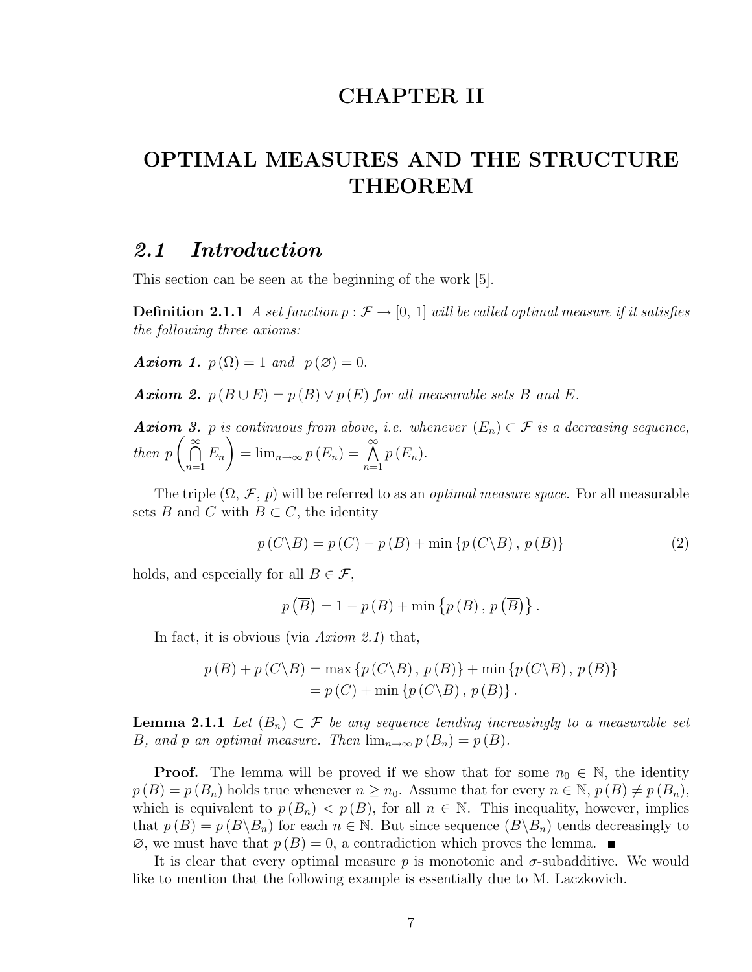## CHAPTER II

## OPTIMAL MEASURES AND THE STRUCTURE THEOREM

### 2.1 Introduction

This section can be seen at the beginning of the work [5].

**Definition 2.1.1** A set function  $p : \mathcal{F} \to [0, 1]$  will be called optimal measure if it satisfies the following three axioms:

**Axiom 1.**  $p(\Omega) = 1$  and  $p(\emptyset) = 0$ .

**Axiom 2.**  $p(B \cup E) = p(B) \vee p(E)$  for all measurable sets B and E.

**Axiom 3.** p is continuous from above, i.e. whenever  $(E_n) \subset \mathcal{F}$  is a decreasing sequence, then p  $\frac{\infty}{\infty}$  $n=1$  $E_n$  =  $\lim_{n\to\infty} p(E_n) = \bigwedge^{\infty}$  $n=1$  $p(E_n)$ .

The triple  $(\Omega, \mathcal{F}, p)$  will be referred to as an *optimal measure space*. For all measurable sets B and C with  $B \subset C$ , the identity

$$
p(C \backslash B) = p(C) - p(B) + \min \{p(C \backslash B), p(B)\}
$$
\n(2)

holds, and especially for all  $B \in \mathcal{F}$ ,

$$
p\left(\overline{B}\right) = 1 - p\left(B\right) + \min\left\{p\left(B\right), p\left(\overline{B}\right)\right\}.
$$

In fact, it is obvious (via  $Axiom 2.1$ ) that,

$$
p(B) + p(C\backslash B) = \max \{p(C\backslash B), p(B)\} + \min \{p(C\backslash B), p(B)\}
$$
  
=  $p(C) + \min \{p(C\backslash B), p(B)\}.$ 

**Lemma 2.1.1** Let  $(B_n) \subset \mathcal{F}$  be any sequence tending increasingly to a measurable set B, and p an optimal measure. Then  $\lim_{n\to\infty} p(B_n) = p(B)$ .

**Proof.** The lemma will be proved if we show that for some  $n_0 \in \mathbb{N}$ , the identity  $p(B) = p(B_n)$  holds true whenever  $n \geq n_0$ . Assume that for every  $n \in \mathbb{N}$ ,  $p(B) \neq p(B_n)$ , which is equivalent to  $p(B_n) < p(B)$ , for all  $n \in \mathbb{N}$ . This inequality, however, implies that  $p(B) = p(B \setminus B_n)$  for each  $n \in \mathbb{N}$ . But since sequence  $(B \setminus B_n)$  tends decreasingly to  $\emptyset$ , we must have that  $p(B) = 0$ , a contradiction which proves the lemma.

It is clear that every optimal measure  $p$  is monotonic and  $\sigma$ -subadditive. We would like to mention that the following example is essentially due to M. Laczkovich.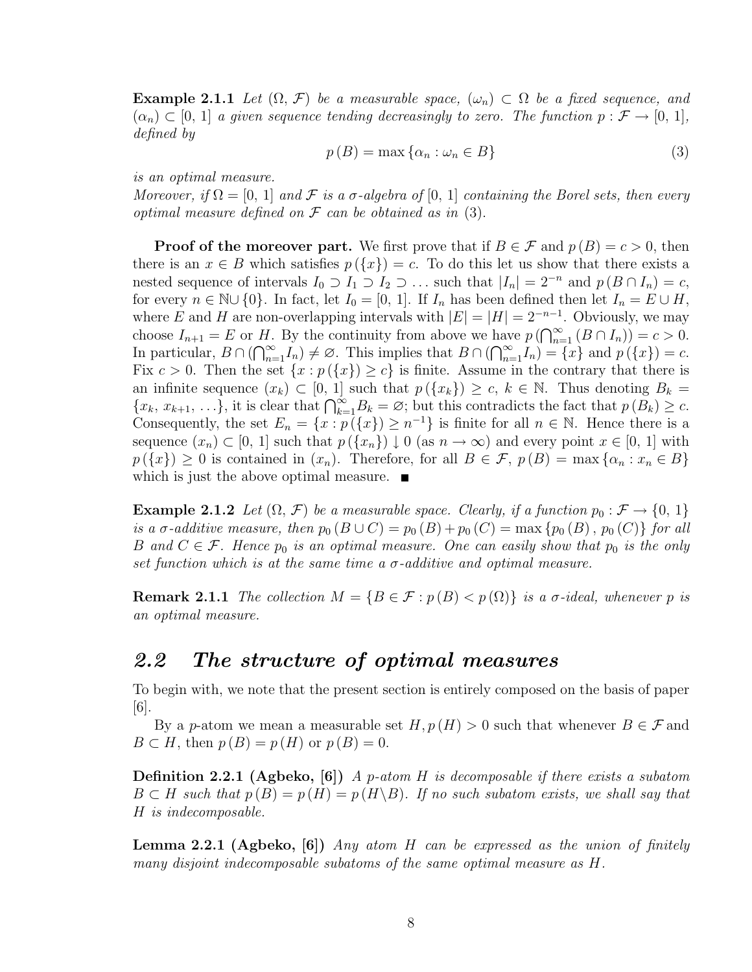**Example 2.1.1** Let  $(\Omega, \mathcal{F})$  be a measurable space,  $(\omega_n) \subset \Omega$  be a fixed sequence, and  $(\alpha_n) \subset [0, 1]$  a given sequence tending decreasingly to zero. The function  $p : \mathcal{F} \to [0, 1]$ , defined by

$$
p(B) = \max \{ \alpha_n : \omega_n \in B \}
$$
\n<sup>(3)</sup>

is an optimal measure.

Moreover, if  $\Omega = [0, 1]$  and  $\mathcal F$  is a  $\sigma$ -algebra of  $[0, 1]$  containing the Borel sets, then every optimal measure defined on  $\mathcal F$  can be obtained as in (3).

**Proof of the moreover part.** We first prove that if  $B \in \mathcal{F}$  and  $p(B) = c > 0$ , then there is an  $x \in B$  which satisfies  $p(\lbrace x \rbrace) = c$ . To do this let us show that there exists a nested sequence of intervals  $I_0 \supset I_1 \supset I_2 \supset \ldots$  such that  $|I_n| = 2^{-n}$  and  $p(B \cap I_n) = c$ , for every  $n \in \mathbb{N} \cup \{0\}$ . In fact, let  $I_0 = [0, 1]$ . If  $I_n$  has been defined then let  $I_n = E \cup H$ , where E and H are non-overlapping intervals with  $|E| = |H| = 2^{-n-1}$ . Obviously, we may where *E* and *H* are non-overlapping intervals with  $|E| = |H| = 2$ <br>choose  $I_{n+1} = E$  or *H*. By the continuity from above we have  $p(\bigcap_{n=1}^{\infty}$  $_{n=1}^{\infty}$   $(B \cap I_n)) = c > 0.$ choose  $I_{n+1} = E$  or  $H$ .<br>In particular,  $B \cap (\bigcap_{n=1}^{\infty}$  $\sum_{n=1}^{\infty}I_n$   $\neq \emptyset$ . This implies that  $B \cap ($ nav<br>∩∞  $\sum_{n=1}^{\infty} I_n$  = { $x$ } and  $p(\lbrace x \rbrace) = c$ . Fix  $c > 0$ . Then the set  $\{x : p(\lbrace x \rbrace) \ge c\}$  is finite. Assume in the contrary that there is an infinite sequence  $(x_k) \subset [0, 1]$  such that  $p(\lbrace x_k \rbrace) \geq c, k \in \mathbb{N}$ . Thus denoting  $B_k =$ an immute sequence  $(x_k) \subset [0, 1]$  such that  $p(\{x_k\}) \geq c, \kappa \in \mathbb{N}$ . Thus denoting  $D_k = \{x_k, x_{k+1}, \ldots\}$ , it is clear that  $\bigcap_{k=1}^{\infty} B_k = \emptyset$ ; but this contradicts the fact that  $p(B_k) \geq c$ . Consequently, the set  $E_n = \{x : p(\lbrace x \rbrace) \geq n^{-1}\}\$ is finite for all  $n \in \mathbb{N}$ . Hence there is a sequence  $(x_n) \subset [0, 1]$  such that  $p(\lbrace x_n \rbrace) \downarrow 0$  (as  $n \to \infty$ ) and every point  $x \in [0, 1]$  with  $p(\lbrace x \rbrace) \geq 0$  is contained in  $(x_n)$ . Therefore, for all  $B \in \mathcal{F}$ ,  $p(B) = \max\lbrace \alpha_n : x_n \in B \rbrace$ which is just the above optimal measure.  $\blacksquare$ 

**Example 2.1.2** Let  $(\Omega, \mathcal{F})$  be a measurable space. Clearly, if a function  $p_0 : \mathcal{F} \to \{0, 1\}$ is a  $\sigma$ -additive measure, then  $p_0 (B \cup C) = p_0 (B) + p_0 (C) = \max \{p_0 (B), p_0 (C)\}\$  for all B and  $C \in \mathcal{F}$ . Hence  $p_0$  is an optimal measure. One can easily show that  $p_0$  is the only set function which is at the same time a  $\sigma$ -additive and optimal measure.

**Remark 2.1.1** The collection  $M = \{B \in \mathcal{F} : p(B) < p(\Omega)\}\$ is a  $\sigma$ -ideal, whenever p is an optimal measure.

### 2.2 The structure of optimal measures

To begin with, we note that the present section is entirely composed on the basis of paper [6].

By a p-atom we mean a measurable set  $H, p(H) > 0$  such that whenever  $B \in \mathcal{F}$  and  $B \subset H$ , then  $p(B) = p(H)$  or  $p(B) = 0$ .

**Definition 2.2.1 (Agbeko, [6])** A p-atom H is decomposable if there exists a subatom  $B \subset H$  such that  $p(B) = p(H) = p(H \setminus B)$ . If no such subatom exists, we shall say that H is indecomposable.

**Lemma 2.2.1 (Agbeko, [6])** Any atom H can be expressed as the union of finitely many disjoint indecomposable subatoms of the same optimal measure as H.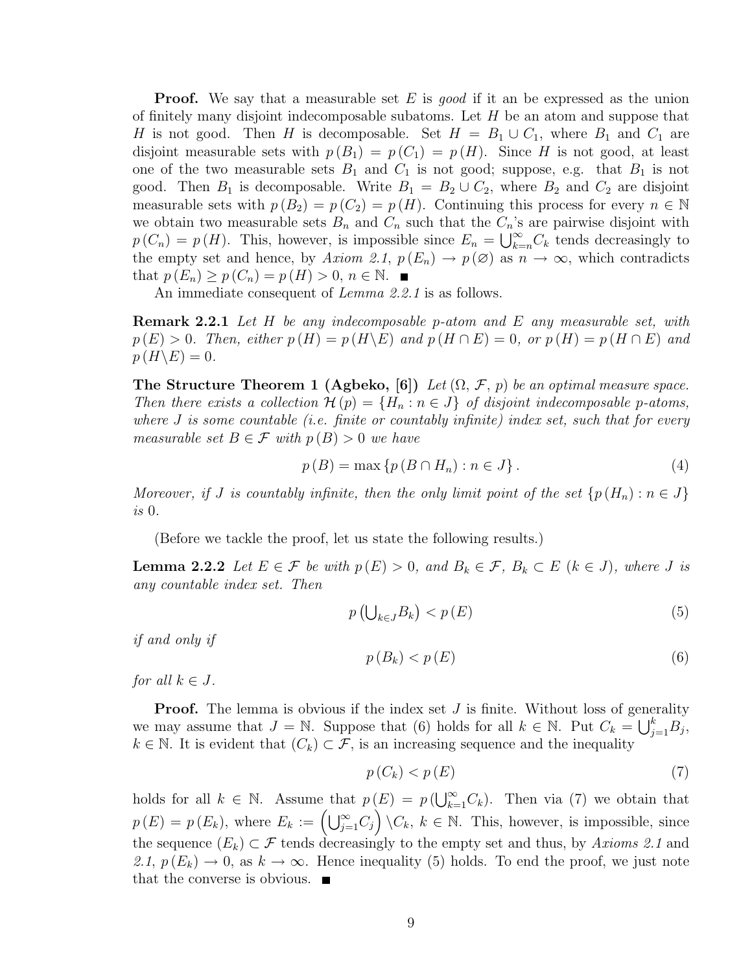**Proof.** We say that a measurable set E is good if it an be expressed as the union of finitely many disjoint indecomposable subatoms. Let  $H$  be an atom and suppose that H is not good. Then H is decomposable. Set  $H = B_1 \cup C_1$ , where  $B_1$  and  $C_1$  are disjoint measurable sets with  $p(B_1) = p(C_1) = p(H)$ . Since H is not good, at least one of the two measurable sets  $B_1$  and  $C_1$  is not good; suppose, e.g. that  $B_1$  is not good. Then  $B_1$  is decomposable. Write  $B_1 = B_2 \cup C_2$ , where  $B_2$  and  $C_2$  are disjoint measurable sets with  $p(B_2) = p(C_2) = p(H)$ . Continuing this process for every  $n \in \mathbb{N}$ we obtain two measurable sets  $B_n$  and  $C_n$  such that the  $C_n$ 's are pairwise disjoint with we obtain two measurable sets  $D_n$  and  $C_n$  such that the  $C_n$  s<br> $p(C_n) = p(H)$ . This, however, is impossible since  $E_n = \bigcup_{k=1}^{\infty}$  $\sum_{k=n}^{\infty} C_k$  tends decreasingly to the empty set and hence, by Axiom 2.1,  $p(E_n) \to p(\emptyset)$  as  $n \to \infty$ , which contradicts that  $p(E_n) \ge p(C_n) = p(H) > 0, n \in \mathbb{N}$ .

An immediate consequent of Lemma 2.2.1 is as follows.

Remark 2.2.1 Let H be any indecomposable p-atom and E any measurable set, with  $p(E) > 0$ . Then, either  $p(H) = p(H \backslash E)$  and  $p(H \cap E) = 0$ , or  $p(H) = p(H \cap E)$  and  $p(H\backslash E)=0.$ 

The Structure Theorem 1 (Agbeko, [6]) Let  $(\Omega, \mathcal{F}, p)$  be an optimal measure space. Then there exists a collection  $\mathcal{H}(p) = \{H_n : n \in J\}$  of disjoint indecomposable p-atoms, where  $J$  is some countable (i.e. finite or countably infinite) index set, such that for every measurable set  $B \in \mathcal{F}$  with  $p(B) > 0$  we have

$$
p(B) = \max \{ p(B \cap H_n) : n \in J \}.
$$
\n<sup>(4)</sup>

Moreover, if J is countably infinite, then the only limit point of the set  $\{p(H_n): n \in J\}$ is 0.

(Before we tackle the proof, let us state the following results.)

**Lemma 2.2.2** Let  $E \in \mathcal{F}$  be with  $p(E) > 0$ , and  $B_k \in \mathcal{F}$ ,  $B_k \subset E$  ( $k \in J$ ), where J is any countable index set. Then

$$
p\left(\bigcup_{k\in J} B_k\right) < p\left(E\right) \tag{5}
$$

if and only if

$$
p(B_k) < p(E) \tag{6}
$$

for all  $k \in J$ .

**Proof.** The lemma is obvious if the index set J is finite. Without loss of generality  $\sum_{n=1}^{\infty}$  Suppose that  $\binom{c}{k}$  holds for all  $k \in \mathbb{N}$ . But  $C = \bigsqcup_{n=1}^{k} B$ we may assume that  $J = \mathbb{N}$ . Suppose that (6) holds for all  $k \in \mathbb{N}$ . Put  $C_k = \bigcup_{j=1}^k B_j$ ,  $k \in \mathbb{N}$ . It is evident that  $(C_k) \subset \mathcal{F}$ , is an increasing sequence and the inequality

$$
p(C_k) < p(E) \tag{7}
$$

holds for all  $k \in \mathbb{N}$ . Assume that  $p(E) = p(\bigcup_{k=1}^{\infty}$  $k(E) = p(\bigcup_{k=1}^{\infty} C_k)$ . Then via (7) we obtain that p(E) =  $p(E_k)$ , where  $E_k := (\bigcup_{j=1}^{\infty} C_j) \setminus C_k$ ,  $k \in \mathbb{N}$ . This, however, is impossible, since the sequence  $(E_k) \subset \mathcal{F}$  tends decreasingly to the empty set and thus, by Axioms 2.1 and 2.1,  $p(E_k) \rightarrow 0$ , as  $k \rightarrow \infty$ . Hence inequality (5) holds. To end the proof, we just note that the converse is obvious.  $\blacksquare$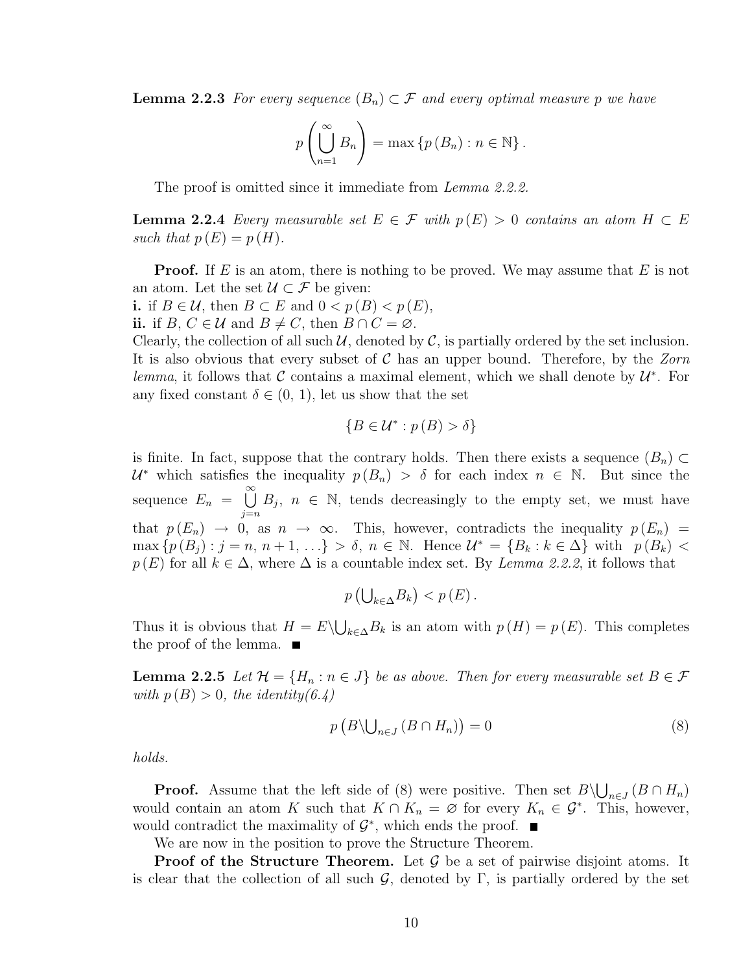**Lemma 2.2.3** For every sequence  $(B_n) \subset \mathcal{F}$  and every optimal measure p we have

$$
p\left(\bigcup_{n=1}^{\infty} B_n\right) = \max\left\{p\left(B_n\right) : n \in \mathbb{N}\right\}.
$$

The proof is omitted since it immediate from *Lemma 2.2.2.* 

**Lemma 2.2.4** Every measurable set  $E \in \mathcal{F}$  with  $p(E) > 0$  contains an atom  $H \subset E$ such that  $p(E) = p(H)$ .

**Proof.** If E is an atom, there is nothing to be proved. We may assume that E is not an atom. Let the set  $\mathcal{U} \subset \mathcal{F}$  be given:

i. if *B* ∈ *U*, then *B* ⊂ *E* and  $0 < p(B) < p(E)$ ,

ii. if  $B, C \in \mathcal{U}$  and  $B \neq C$ , then  $B \cap C = \emptyset$ .

Clearly, the collection of all such  $U$ , denoted by  $C$ , is partially ordered by the set inclusion. It is also obvious that every subset of  $\mathcal C$  has an upper bound. Therefore, by the Zorn lemma, it follows that C contains a maximal element, which we shall denote by  $\mathcal{U}^*$ . For any fixed constant  $\delta \in (0, 1)$ , let us show that the set

$$
\{B \in \mathcal{U}^* : p(B) > \delta\}
$$

is finite. In fact, suppose that the contrary holds. Then there exists a sequence  $(B_n) \subset$  $\mathcal{U}^*$  which satisfies the inequality  $p(B_n) > \delta$  for each index  $n \in \mathbb{N}$ . But since the sequence  $E_n =$  $\infty$  $j=n$  $B_j$ ,  $n \in \mathbb{N}$ , tends decreasingly to the empty set, we must have that  $p(E_n) \to 0$ , as  $n \to \infty$ . This, however, contradicts the inequality  $p(E_n)$  $\max\{p(B_j) : j = n, n+1, \ldots\} > \delta, n \in \mathbb{N}$ . Hence  $\mathcal{U}^* = \{B_k : k \in \Delta\}$  with  $p(B_k) <$  $p(E)$  for all  $k \in \Delta$ , where  $\Delta$  is a countable index set. By Lemma 2.2.2, it follows that

$$
p\left(\bigcup_{k\in\Delta}B_k\right)< p\left(E\right).
$$

Thus it is obvious that  $H = E \setminus$ S  $_{k\in\Delta}B_k$  is an atom with  $p(H) = p(E)$ . This completes the proof of the lemma.  $\blacksquare$ 

**Lemma 2.2.5** Let  $\mathcal{H} = \{H_n : n \in J\}$  be as above. Then for every measurable set  $B \in \mathcal{F}$ with  $p(B) > 0$ , the identity(6.4)

$$
p\left(B\backslash\bigcup_{n\in J}\left(B\cap H_n\right)\right)=0\tag{8}
$$

holds.

**Proof.** Assume that the left side of (8) were positive. Then set  $B\setminus$ S  $_{n\in J}(B\cap H_n)$ would contain an atom K such that  $K \cap K_n = \emptyset$  for every  $K_n \in \mathcal{G}^*$ . This, however, would contradict the maximality of  $\mathcal{G}^*$ , which ends the proof.

We are now in the position to prove the Structure Theorem.

**Proof of the Structure Theorem.** Let  $\mathcal{G}$  be a set of pairwise disjoint atoms. It is clear that the collection of all such  $\mathcal{G}$ , denoted by  $\Gamma$ , is partially ordered by the set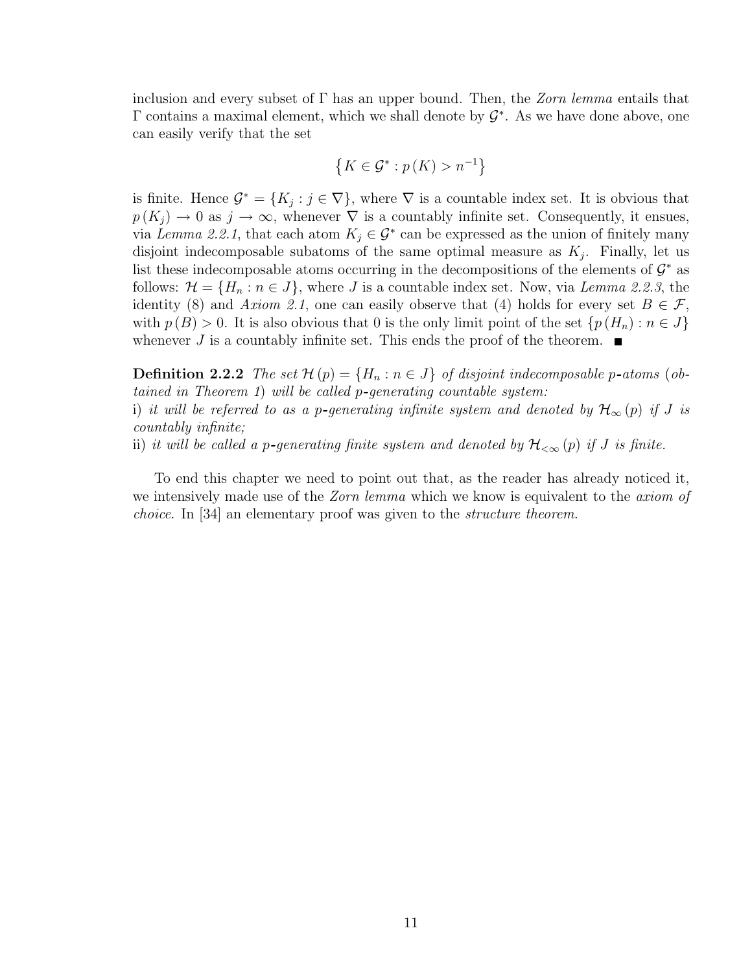inclusion and every subset of  $\Gamma$  has an upper bound. Then, the *Zorn lemma* entails that  $\Gamma$  contains a maximal element, which we shall denote by  $\mathcal{G}^*$ . As we have done above, one can easily verify that the set

$$
\left\{K\in\mathcal{G}^*: p(K) > n^{-1}\right\}
$$

is finite. Hence  $\mathcal{G}^* = \{K_j : j \in \nabla\}$ , where  $\nabla$  is a countable index set. It is obvious that  $p(K_i) \to 0$  as  $j \to \infty$ , whenever  $\nabla$  is a countably infinite set. Consequently, it ensues, via Lemma 2.2.1, that each atom  $K_j \in \mathcal{G}^*$  can be expressed as the union of finitely many disjoint indecomposable subatoms of the same optimal measure as  $K_j$ . Finally, let us list these indecomposable atoms occurring in the decompositions of the elements of  $\mathcal{G}^*$  as follows:  $\mathcal{H} = \{H_n : n \in J\}$ , where J is a countable index set. Now, via Lemma 2.2.3, the identity (8) and Axiom 2.1, one can easily observe that (4) holds for every set  $B \in \mathcal{F}$ , with  $p(B) > 0$ . It is also obvious that 0 is the only limit point of the set  $\{p(H_n) : n \in J\}$ whenever J is a countably infinite set. This ends the proof of the theorem.  $\blacksquare$ 

**Definition 2.2.2** The set  $\mathcal{H}(p) = \{H_n : n \in J\}$  of disjoint indecomposable p-atoms (obtained in Theorem 1) will be called p-generating countable system:

i) it will be referred to as a p-generating infinite system and denoted by  $\mathcal{H}_{\infty}(p)$  if J is countably infinite;

ii) it will be called a p-generating finite system and denoted by  $\mathcal{H}_{<\infty}(p)$  if J is finite.

To end this chapter we need to point out that, as the reader has already noticed it, we intensively made use of the *Zorn lemma* which we know is equivalent to the *axiom of* choice. In [34] an elementary proof was given to the structure theorem.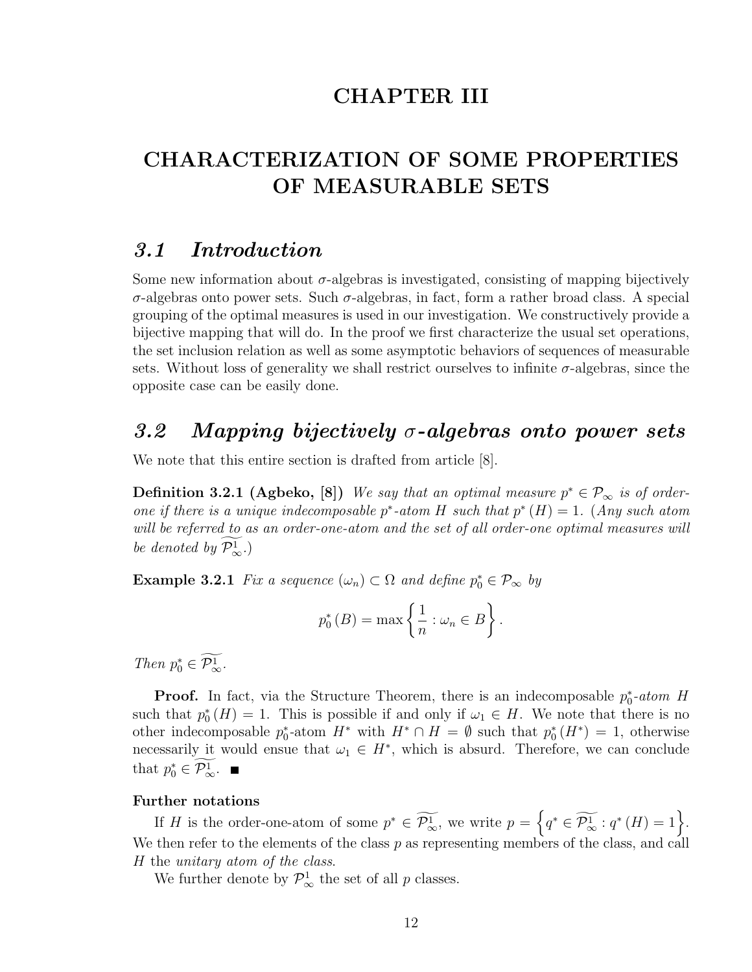## CHAPTER III

## CHARACTERIZATION OF SOME PROPERTIES OF MEASURABLE SETS

### 3.1 Introduction

Some new information about  $\sigma$ -algebras is investigated, consisting of mapping bijectively σ-algebras onto power sets. Such σ-algebras, in fact, form a rather broad class. A special grouping of the optimal measures is used in our investigation. We constructively provide a bijective mapping that will do. In the proof we first characterize the usual set operations, the set inclusion relation as well as some asymptotic behaviors of sequences of measurable sets. Without loss of generality we shall restrict ourselves to infinite  $\sigma$ -algebras, since the opposite case can be easily done.

## 3.2 Mapping bijectively  $\sigma$ -algebras onto power sets

We note that this entire section is drafted from article [8].

**Definition 3.2.1 (Agbeko, [8])** We say that an optimal measure  $p^* \in \mathcal{P}_{\infty}$  is of orderone if there is a unique indecomposable  $p^*$ -atom H such that  $p^*(H) = 1$ . (Any such atom will be referred to as an order-one-atom and the set of all order-one optimal measures will be denoted by  $\widetilde{\mathcal{P}_{\infty}^1}$ .)

**Example 3.2.1** Fix a sequence  $(\omega_n) \subset \Omega$  and define  $p_0^* \in \mathcal{P}_{\infty}$  by

$$
p_0^*(B) = \max\left\{\frac{1}{n} : \omega_n \in B\right\}.
$$

Then  $p_0^* \in \widetilde{\mathcal{P}_{\infty}^1}$ .

**Proof.** In fact, via the Structure Theorem, there is an indecomposable  $p_0^*$ -atom H such that  $p_0^*(H) = 1$ . This is possible if and only if  $\omega_1 \in H$ . We note that there is no other indecomposable  $p_0^*$ -atom  $H^*$  with  $H^* \cap H = \emptyset$  such that  $p_0^*(H^*) = 1$ , otherwise necessarily it would ensue that  $\omega_1 \in H^*$ , which is absurd. Therefore, we can conclude that  $p_0^* \in \widetilde{\mathcal{P}_{\infty}^1}$ .

#### Further notations

If H is the order-one-atom of some  $p^* \in \widetilde{\mathcal{P}_{\infty}^1}$ , we write  $p =$ n  $q^* \in \widetilde{\mathcal{P}_{\infty}^1} : q^*(H) = 1$ . We then refer to the elements of the class  $p$  as representing members of the class, and call H the unitary atom of the class.

We further denote by  $\mathcal{P}_{\infty}^{1}$  the set of all p classes.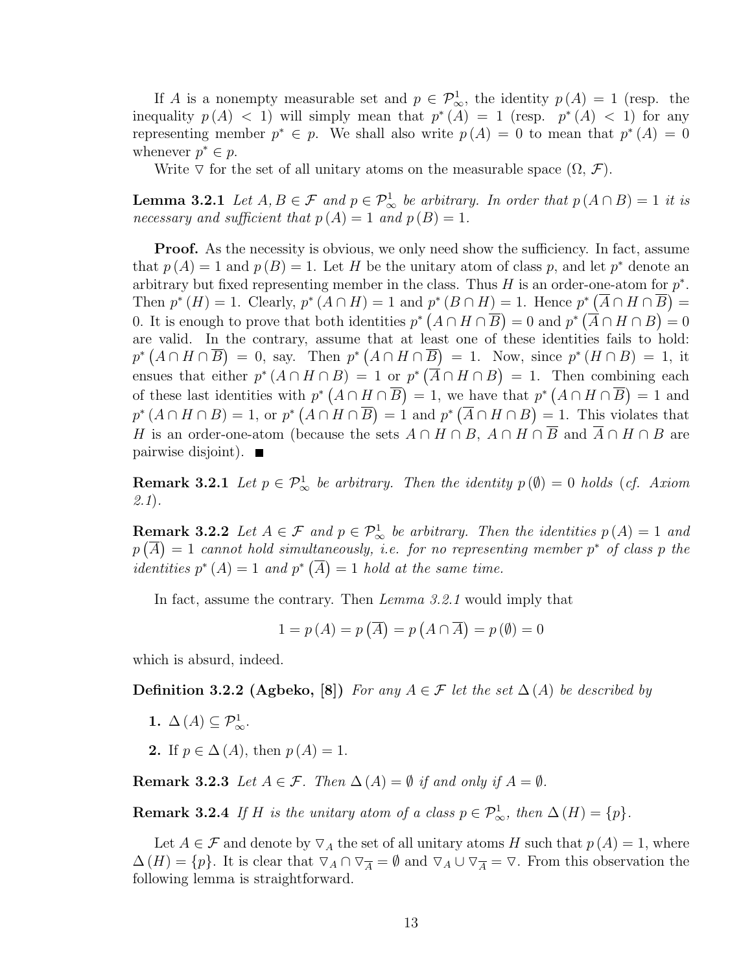If A is a nonempty measurable set and  $p \in \mathcal{P}^1_{\infty}$ , the identity  $p(A) = 1$  (resp. the inequality  $p(A) < 1$ ) will simply mean that  $p^*(A) = 1$  (resp.  $p^*(A) < 1$ ) for any representing member  $p^* \in p$ . We shall also write  $p(A) = 0$  to mean that  $p^*(A) = 0$ whenever  $p^* \in p$ .

Write  $\nabla$  for the set of all unitary atoms on the measurable space  $(\Omega, \mathcal{F})$ .

**Lemma 3.2.1** Let  $A, B \in \mathcal{F}$  and  $p \in \mathcal{P}^1_{\infty}$  be arbitrary. In order that  $p(A \cap B) = 1$  it is necessary and sufficient that  $p(A) = 1$  and  $p(B) = 1$ .

**Proof.** As the necessity is obvious, we only need show the sufficiency. In fact, assume that  $p(A) = 1$  and  $p(B) = 1$ . Let H be the unitary atom of class p, and let p<sup>\*</sup> denote an arbitrary but fixed representing member in the class. Thus H is an order-one-atom for  $p^*$ . Then  $p^*(H) = 1$ . Clearly,  $p^*(A \cap H) = 1$  and  $p^*(B \cap H) = 1$ . Hence  $p^*(\overline{A} \cap H \cap \overline{B}) = 1$ . 0. It is enough to prove that both identities  $p^* (A \cap H \cap \overline{B}) = 0$  and  $p^* (\overline{A} \cap H \cap B) = 0$ are valid. In the contrary, assume that at least one of these identities fails to hold:  $p^* (A \cap H \cap \overline{B}) = 0$ , say. Then  $p^* (A \cap H \cap \overline{B}) = 1$ . Now, since  $p^* (H \cap B) = 1$ , it ensues that either  $p^*(A \cap H \cap B) = 1$  or  $p^*(\overline{A} \cap H \cap B) = 1$ . Then combining each of these last identities with  $p^* (A \cap H \cap \overline{B}) = 1$ , we have that  $p^* (A \cap H \cap \overline{B}) = 1$  and  $p^*(A \cap H \cap B) = 1$ , or  $p^*(A \cap H \cap \overline{B}) = 1$  and  $p^*(\overline{A} \cap H \cap B) = 1$ . This violates that H is an order-one-atom (because the sets  $A \cap H \cap B$ ,  $A \cap H \cap \overline{B}$  and  $\overline{A} \cap H \cap B$  are pairwise disjoint).  $\blacksquare$ 

**Remark 3.2.1** Let  $p \in \mathcal{P}_{\infty}^1$  be arbitrary. Then the identity  $p(\emptyset) = 0$  holds (cf. Axiom 2.1).

**Remark 3.2.2** Let  $A \in \mathcal{F}$  and  $p \in \mathcal{P}_{\infty}^1$  be arbitrary. Then the identities  $p(A) = 1$  and  $p(\overline{A}) = 1$  cannot hold simultaneously, i.e. for no representing member  $p^*$  of class p the *identities*  $p^*(A) = 1$  and  $p^*(\overline{A}) = 1$  hold at the same time.

In fact, assume the contrary. Then *Lemma 3.2.1* would imply that

$$
1 = p(A) = p(\overline{A}) = p(A \cap \overline{A}) = p(\emptyset) = 0
$$

which is absurd, indeed.

**Definition 3.2.2 (Agbeko, [8])** For any  $A \in \mathcal{F}$  let the set  $\Delta(A)$  be described by

- 1.  $\Delta(A) \subseteq \mathcal{P}_{\infty}^1$ .
- 2. If  $p \in \Delta(A)$ , then  $p(A) = 1$ .

**Remark 3.2.3** Let  $A \in \mathcal{F}$ . Then  $\Delta(A) = \emptyset$  if and only if  $A = \emptyset$ .

**Remark 3.2.4** If H is the unitary atom of a class  $p \in \mathcal{P}^1_{\infty}$ , then  $\Delta(H) = \{p\}.$ 

Let  $A \in \mathcal{F}$  and denote by  $\nabla_A$  the set of all unitary atoms H such that  $p(A) = 1$ , where  $\Delta(H) = \{p\}.$  It is clear that  $\nabla_A \cap \nabla_{\overline{A}} = \emptyset$  and  $\nabla_A \cup \nabla_{\overline{A}} = \nabla$ . From this observation the following lemma is straightforward.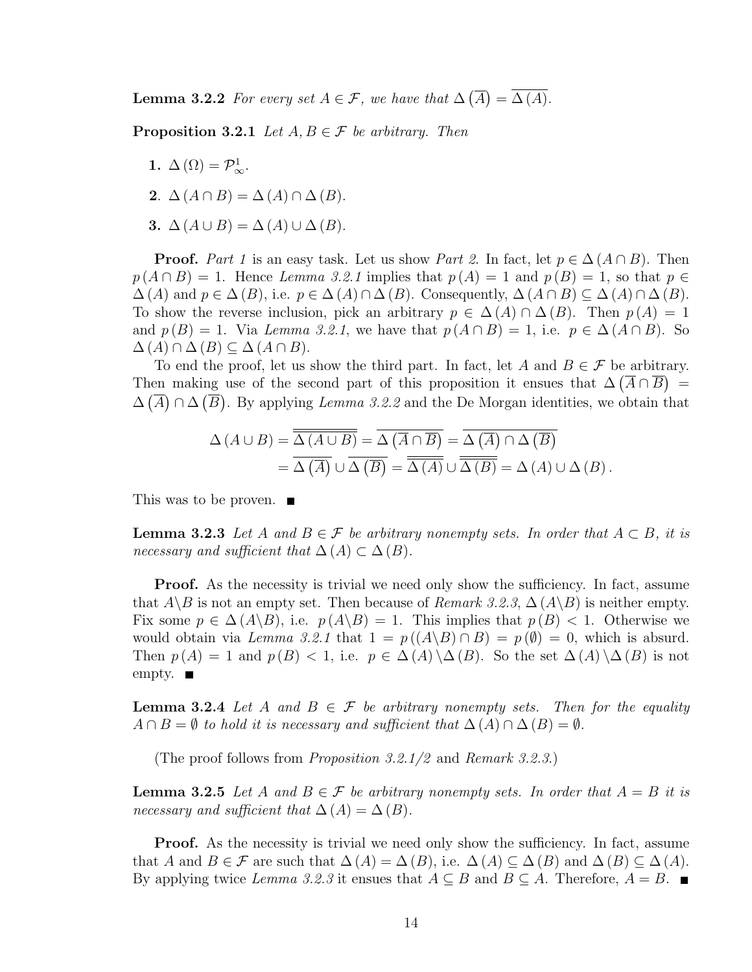**Lemma 3.2.2** For every set  $A \in \mathcal{F}$ , we have that  $\Delta$ ¡ A ¢  $= \Delta(A).$ 

**Proposition 3.2.1** Let  $A, B \in \mathcal{F}$  be arbitrary. Then

- 1.  $\Delta(\Omega) = \mathcal{P}_{\infty}^1$ .
- 2.  $\Delta(A \cap B) = \Delta(A) \cap \Delta(B)$ .
- 3.  $\Delta(A \cup B) = \Delta(A) \cup \Delta(B)$ .

**Proof.** Part 1 is an easy task. Let us show Part 2. In fact, let  $p \in \Delta(A \cap B)$ . Then  $p(A \cap B) = 1$ . Hence Lemma 3.2.1 implies that  $p(A) = 1$  and  $p(B) = 1$ , so that  $p \in$  $\Delta(A)$  and  $p \in \Delta(B)$ , i.e.  $p \in \Delta(A) \cap \Delta(B)$ . Consequently,  $\Delta(A \cap B) \subseteq \Delta(A) \cap \Delta(B)$ . To show the reverse inclusion, pick an arbitrary  $p \in \Delta(A) \cap \Delta(B)$ . Then  $p(A) = 1$ and  $p(B) = 1$ . Via Lemma 3.2.1, we have that  $p(A \cap B) = 1$ , i.e.  $p \in \Delta(A \cap B)$ . So  $\Delta(A) \cap \Delta(B) \subseteq \Delta(A \cap B).$ 

To end the proof, let us show the third part. In fact, let A and  $B \in \mathcal{F}$  be arbitrary. Then making use of the second part of this proposition it ensues that  $\Delta(\overline{A} \cap \overline{B}) =$  $\Delta(\overline{A}) \cap \Delta(\overline{B})$ . By applying Lemma 3.2.2 and the De Morgan identities, we obtain that

$$
\Delta (A \cup B) = \overline{\overline{\Delta (A \cup B)}} = \overline{\Delta (\overline{A} \cap \overline{B})} = \overline{\Delta (\overline{A}) \cap \Delta (\overline{B})}
$$
  
= 
$$
\overline{\Delta (\overline{A})} \cup \overline{\Delta (\overline{B})} = \overline{\overline{\Delta (A)}} \cup \overline{\overline{\Delta (B)}} = \Delta (A) \cup \Delta (B).
$$

This was to be proven. ■

**Lemma 3.2.3** Let A and  $B \in \mathcal{F}$  be arbitrary nonempty sets. In order that  $A \subset B$ , it is necessary and sufficient that  $\Delta(A) \subset \Delta(B)$ .

**Proof.** As the necessity is trivial we need only show the sufficiency. In fact, assume that  $A\backslash B$  is not an empty set. Then because of *Remark 3.2.3*,  $\Delta(A\backslash B)$  is neither empty. Fix some  $p \in \Delta(A \setminus B)$ , i.e.  $p(A \setminus B) = 1$ . This implies that  $p(B) < 1$ . Otherwise we would obtain via Lemma 3.2.1 that  $1 = p((A \ B) \cap B) = p(\emptyset) = 0$ , which is absurd. Then  $p(A) = 1$  and  $p(B) < 1$ , i.e.  $p \in \Delta(A) \setminus \Delta(B)$ . So the set  $\Delta(A) \setminus \Delta(B)$  is not empty. ■

**Lemma 3.2.4** Let A and  $B \in \mathcal{F}$  be arbitrary nonempty sets. Then for the equality  $A \cap B = \emptyset$  to hold it is necessary and sufficient that  $\Delta(A) \cap \Delta(B) = \emptyset$ .

(The proof follows from Proposition 3.2.1/2 and Remark 3.2.3.)

**Lemma 3.2.5** Let A and  $B \in \mathcal{F}$  be arbitrary nonempty sets. In order that  $A = B$  it is necessary and sufficient that  $\Delta(A) = \Delta(B)$ .

**Proof.** As the necessity is trivial we need only show the sufficiency. In fact, assume that A and  $B \in \mathcal{F}$  are such that  $\Delta(A) = \Delta(B)$ , i.e.  $\Delta(A) \subseteq \Delta(B)$  and  $\Delta(B) \subseteq \Delta(A)$ . By applying twice Lemma 3.2.3 it ensues that  $A \subseteq B$  and  $B \subseteq A$ . Therefore,  $A = B$ .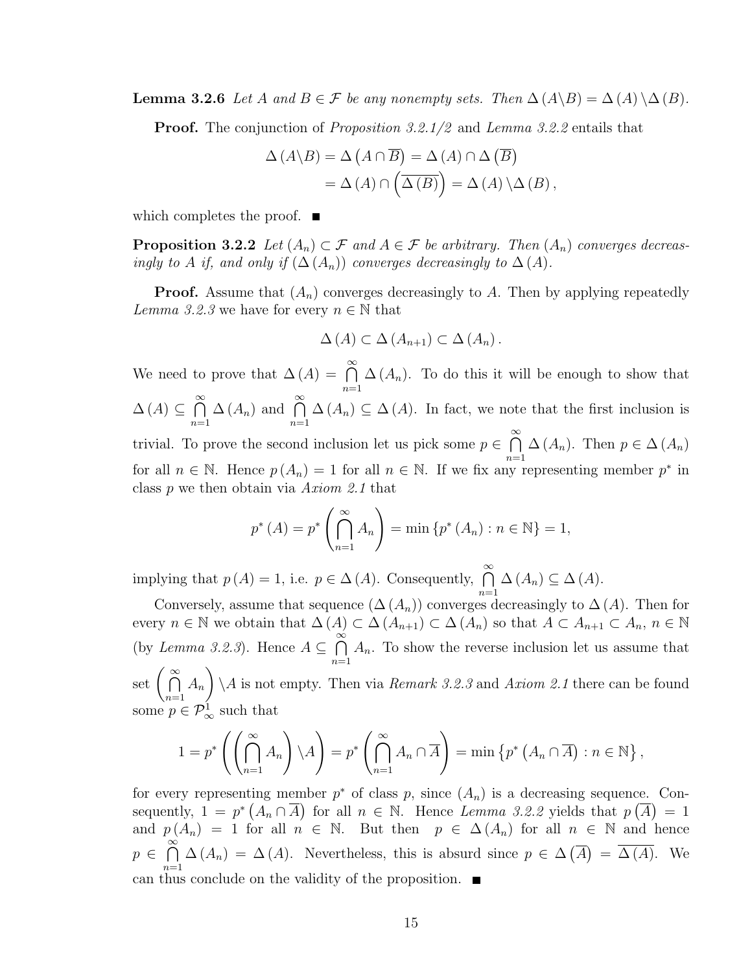**Lemma 3.2.6** Let A and  $B \in \mathcal{F}$  be any nonempty sets. Then  $\Delta(A \setminus B) = \Delta(A) \setminus \Delta(B)$ .

**Proof.** The conjunction of *Proposition 3.2.1/2* and *Lemma 3.2.2* entails that

$$
\Delta(A \backslash B) = \Delta(A \cap \overline{B}) = \Delta(A) \cap \Delta(\overline{B})
$$
  
= 
$$
\Delta(A) \cap (\overline{\Delta(B)}) = \Delta(A) \backslash \Delta(B),
$$

which completes the proof.  $\blacksquare$ 

**Proposition 3.2.2** Let  $(A_n) \subset \mathcal{F}$  and  $A \in \mathcal{F}$  be arbitrary. Then  $(A_n)$  converges decreasingly to A if, and only if  $(\Delta(A_n))$  converges decreasingly to  $\Delta(A)$ .

**Proof.** Assume that  $(A_n)$  converges decreasingly to A. Then by applying repeatedly Lemma 3.2.3 we have for every  $n \in \mathbb{N}$  that

$$
\Delta(A) \subset \Delta(A_{n+1}) \subset \Delta(A_n).
$$

We need to prove that  $\Delta(A) = \bigcap^{\infty}$  $n=1$  $\Delta(A_n)$ . To do this it will be enough to show that  $\Delta(A) \subseteq$  $\frac{∞}{6}$  $n=1$  $\Delta(A_n)$  and  $\bigcap^{\infty}$  $n=1$  $\Delta(A_n) \subseteq \Delta(A)$ . In fact, we note that the first inclusion is trivial. To prove the second inclusion let us pick some  $p \in$  $\frac{∞}{5}$  $n=1$  $\Delta(A_n)$ . Then  $p \in \Delta(A_n)$ for all  $n \in \mathbb{N}$ . Hence  $p(A_n) = 1$  for all  $n \in \mathbb{N}$ . If we fix any representing member  $p^*$  in class p we then obtain via Axiom 2.1 that

$$
p^*(A) = p^*\left(\bigcap_{n=1}^{\infty} A_n\right) = \min \{p^*(A_n) : n \in \mathbb{N}\} = 1,
$$

implying that  $p(A) = 1$ , i.e.  $p \in \Delta(A)$ . Consequently,  $\bigcap^{\infty}$  $n=1$  $\Delta(A_n) \subseteq \Delta(A)$ .

Conversely, assume that sequence  $(\Delta(A_n))$  converges decreasingly to  $\Delta(A)$ . Then for every  $n \in \mathbb{N}$  we obtain that  $\Delta(A) \subset \Delta(A_{n+1}) \subset \Delta(A_n)$  so that  $A \subset A_{n+1} \subset A_n$ ,  $n \in \mathbb{N}$ (by Lemma 3.2.3). Hence  $A \subseteq$  $\frac{\infty}{\infty}$  $n=1$  $A_n$ . To show the reverse inclusion let us assume that  $\int_{0}^{\infty}$  $n=1$  $A_n$  $\mathbf{r}$  $\setminus A$  is not empty. Then via *Remark 3.2.3* and *Axiom 2.1* there can be found some  $p \in \mathcal{P}_{\infty}^1$  such that

$$
1 = p^* \left( \left( \bigcap_{n=1}^{\infty} A_n \right) \setminus A \right) = p^* \left( \bigcap_{n=1}^{\infty} A_n \cap \overline{A} \right) = \min \left\{ p^* \left( A_n \cap \overline{A} \right) : n \in \mathbb{N} \right\},\
$$

for every representing member  $p^*$  of class p, since  $(A_n)$  is a decreasing sequence. Consequently,  $1 = p^* (A_n \cap \overline{A})$  for all  $n \in \mathbb{N}$ . Hence Lemma 3.2.2 yields that  $p(\overline{A}) = 1$ and  $p(A_n) = 1$  for all  $n \in \mathbb{N}$ . But then  $p \in \Delta(A_n)$  for all  $n \in \mathbb{N}$  and hence p ∈  $\frac{\infty}{\infty}$  $n=1$  $\Delta(A_n) = \Delta(A)$ . Nevertheless, this is absurd since  $p \in \Delta$ ¡ A  $\overline{a}$  $= \Delta(A)$ . We can thus conclude on the validity of the proposition.  $\blacksquare$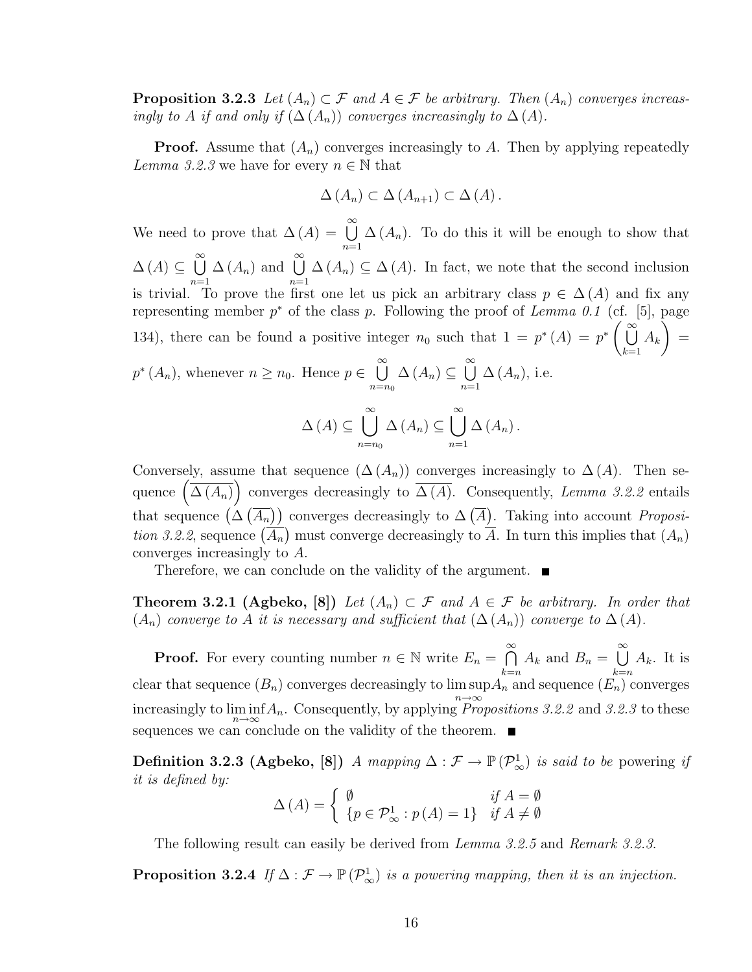**Proposition 3.2.3** Let  $(A_n) \subset \mathcal{F}$  and  $A \in \mathcal{F}$  be arbitrary. Then  $(A_n)$  converges increasingly to A if and only if  $(\Delta(A_n))$  converges increasingly to  $\Delta(A)$ .

**Proof.** Assume that  $(A_n)$  converges increasingly to A. Then by applying repeatedly Lemma 3.2.3 we have for every  $n \in \mathbb{N}$  that

$$
\Delta(A_n) \subset \Delta(A_{n+1}) \subset \Delta(A).
$$

We need to prove that  $\Delta(A) = \bigcup_{k=1}^{\infty}$  $n=1$  $\Delta(A_n)$ . To do this it will be enough to show that  $\Delta(A) \subseteq$  $\infty$  $n=1$  $\Delta(A_n)$  and  $\bigcup^{\infty}$  $n=1$  $\Delta(A_n) \subseteq \Delta(A)$ . In fact, we note that the second inclusion is trivial. To prove the first one let us pick an arbitrary class  $p \in \Delta(A)$  and fix any representing member  $p^*$  of the class p. Following the proof of Lemma 0.1 (cf. [5], page 134), there can be found a positive integer  $n_0$  such that  $1 = p^*(A) = p^* \begin{pmatrix} \infty \\ \infty \end{pmatrix}$  $k=1$  $A_k$ ) =  $p^*(A_n)$ , whenever  $n \geq n_0$ . Hence  $p \in$  $\infty$  $n=n_0$  $\Delta(A_n) \subseteq$  $\infty$  $n=1$  $\Delta(A_n)$ , i.e.  $\Delta(A) \subseteq$  $[\infty]$  $n=n_0$  $\Delta(A_n) \subseteq$  $[\infty]$  $n=1$  $\Delta\left(A_n\right)$  .

Conversely, assume that sequence  $(\Delta(A_n))$  converges increasingly to  $\Delta(A)$ . Then se-Conversely, assume that sequence  $(\Delta(A_n))$  converges increasingly to  $\Delta(A)$ . Then sequence  $(\overline{\Delta(A_n)})$  converges decreasingly to  $\overline{\Delta(A)}$ . Consequently, *Lemma 3.2.2* entails that sequence  $(\Delta(\overline{A_n}))$  converges decreasingly to  $\Delta(\overline{A})$ . Taking into account *Proposition*  $\sigma$  ( $\sigma$ ) tion 3.2.2, sequence  $(\overline{A_n})$  must converge decreasingly to  $\overline{A}$ . In turn this implies that  $(A_n)$ <br>tion 3.2.2, sequence  $(\overline{A_n})$  must converge decreasingly to  $\overline{A}$ . In turn this implies that  $(A_n)$ converges increasingly to A.

Therefore, we can conclude on the validity of the argument.

**Theorem 3.2.1 (Agbeko, [8])** Let  $(A_n) \subset \mathcal{F}$  and  $A \in \mathcal{F}$  be arbitrary. In order that  $(A_n)$  converge to A it is necessary and sufficient that  $(\Delta(A_n))$  converge to  $\Delta(A)$ .

**Proof.** For every counting number  $n \in \mathbb{N}$  write  $E_n =$  $\frac{∞}{6}$  $_{k=n}$  $A_k$  and  $B_n =$  $\infty$  $_{k=n}$  $A_k$ . It is clear that sequence  $(B_n)$  converges decreasingly to  $\limsup_{n\to\infty} A_n$  and sequence  $(E_n)$  converges increasingly to  $\liminf_{n\to\infty} A_n$ . Consequently, by applying *Propositions 3.2.2* and 3.2.3 to these sequences we can conclude on the validity of the theorem.  $\blacksquare$ 

Definition 3.2.3 (Agbeko, [8]) A mapping  $\Delta: \mathcal{F} \to \mathbb{P}(\mathcal{P}_{\infty}^1)$  is said to be powering if it is defined by:

$$
\Delta(A) = \begin{cases} \emptyset & \text{if } A = \emptyset \\ \{p \in \mathcal{P}_{\infty}^1 : p(A) = 1\} & \text{if } A \neq \emptyset \end{cases}
$$

The following result can easily be derived from *Lemma 3.2.5* and *Remark 3.2.3.* 

**Proposition 3.2.4** If  $\Delta : \mathcal{F} \to \mathbb{P}(\mathcal{P}_{\infty}^1)$  is a powering mapping, then it is an injection.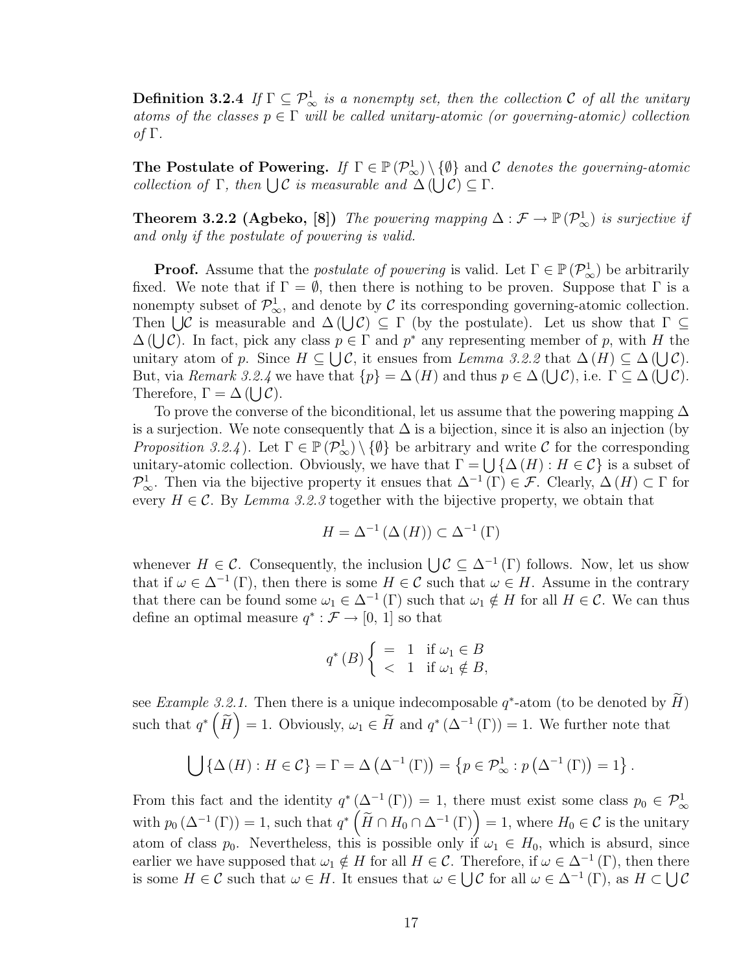**Definition 3.2.4** If  $\Gamma \subseteq \mathcal{P}_{\infty}^1$  is a nonempty set, then the collection C of all the unitary atoms of the classes  $p \in \Gamma$  will be called unitary-atomic (or governing-atomic) collection of Γ.

The Postulate of Powering. If  $\Gamma \in \mathbb{P}(\mathcal{P}_{\infty}^1) \setminus \{\emptyset\}$  and C denotes the governing-atomic **The Postulate of Powering.** *If*  $I \in \mathbb{F}(\mathcal{P}_{\infty}) \setminus \{\Psi\}$  and  $\text{collection of } \Gamma$ , then  $\bigcup \mathcal{C}$  is measurable and  $\Delta(\bigcup \mathcal{C}) \subseteq \Gamma$ .

**Theorem 3.2.2 (Agbeko, [8])** The powering mapping  $\Delta : \mathcal{F} \to \mathbb{P}(\mathcal{P}_{\infty}^1)$  is surjective if and only if the postulate of powering is valid.

**Proof.** Assume that the *postulate of powering* is valid. Let  $\Gamma \in \mathbb{P}(\mathcal{P}_{\infty}^1)$  be arbitrarily fixed. We note that if  $\Gamma = \emptyset$ , then there is nothing to be proven. Suppose that  $\Gamma$  is a nonempty subset of  $\mathcal{P}_{\infty}^1$ , and denote by C its corresponding governing-atomic collection. monempty subset of  $\mathcal{P}_{\infty}$ , and denote by C its corresponding governing-atomic conection.<br>Then  $\bigcup \mathcal{C}$  is measurable and  $\Delta(\bigcup \mathcal{C}) \subseteq \Gamma$  (by the postulate). Let us show that  $\Gamma \subseteq$ Then  $\bigcup$ C is measurable and  $\Delta(\bigcup C) \subseteq T$  (by the postulate). Let us show that  $T \subseteq \Delta(\bigcup C)$ . In fact, pick any class  $p \in \Gamma$  and  $p^*$  any representing member of p, with H the  $\Delta(U\mathcal{C})$ . In fact, pick any class  $p \in \Gamma$  and p any representing member of p, with H the unitary atom of p. Since  $H \subseteq \bigcup \mathcal{C}$ , it ensues from Lemma 3.2.2 that  $\Delta(H) \subseteq \Delta(\bigcup \mathcal{C})$ . But, via Remark 3.2.4 we have that  $\{p\} = \Delta(H)$  and thus  $p \in \Delta(U\mathcal{C})$ , i.e.  $\Gamma \subseteq \Delta(U\mathcal{C})$ . Dut, via *nemark 5.2.4* w<br>Therefore,  $\Gamma = \Delta$  ([*JC*).

To prove the converse of the biconditional, let us assume that the powering mapping  $\Delta$ is a surjection. We note consequently that  $\Delta$  is a bijection, since it is also an injection (by Proposition 3.2.4). Let  $\Gamma \in \mathbb{P}(\mathcal{P}_{\infty}^1) \setminus \{\emptyset\}$  be arbitrary and write C for the corresponding *Froposition 5.2.4*). Let  $I \in \mathbb{F}(\ell_{\infty}) \setminus \{\Psi\}$  be arbitrary and write C for the corresponding unitary-atomic collection. Obviously, we have that  $\Gamma = \bigcup \{\Delta(H) : H \in \mathcal{C}\}\$ is a subset of  $\mathcal{P}_{\infty}^1$ . Then via the bijective property it ensues that  $\Delta^{-1}(\Gamma) \in \mathcal{F}$ . Clearly,  $\Delta(H) \subset \Gamma$  for every  $H \in \mathcal{C}$ . By Lemma 3.2.3 together with the bijective property, we obtain that

$$
H = \Delta^{-1} \left( \Delta \left( H \right) \right) \subset \Delta^{-1} \left( \Gamma \right)
$$

whenever  $H \in \mathcal{C}$ . Consequently, the inclusion  $\bigcup \mathcal{C} \subseteq \Delta^{-1}(\Gamma)$  follows. Now, let us show that if  $\omega \in \Delta^{-1}(\Gamma)$ , then there is some  $H \in \mathcal{C}$  such that  $\omega \in H$ . Assume in the contrary that there can be found some  $\omega_1 \in \Delta^{-1}(\Gamma)$  such that  $\omega_1 \notin H$  for all  $H \in \mathcal{C}$ . We can thus define an optimal measure  $q^* : \mathcal{F} \to [0, 1]$  so that

$$
q^*(B)\begin{cases}\n= & 1 \quad \text{if } \omega_1 \in B \\
< & 1 \quad \text{if } \omega_1 \notin B,\n\end{cases}
$$

see *Example 3.2.1*. Then there is a unique indecomposable  $q^*$ -atom (to be denoted by  $\widetilde{H}$ ) such that  $q^* \n\left( \widetilde{H} \right) = 1$ . Obviously,  $\omega_1 \in \widetilde{H}$  and  $q^* \left( \Delta^{-1} \left( \Gamma \right) \right) = 1$ . We further note that

$$
\bigcup \{ \Delta(H) : H \in \mathcal{C} \} = \Gamma = \Delta(\Delta^{-1}(\Gamma)) = \{ p \in \mathcal{P}_{\infty}^1 : p(\Delta^{-1}(\Gamma)) = 1 \}.
$$

From this fact and the identity  $q^*(\Delta^{-1}(\Gamma)) = 1$ , there must exist some class  $p_0 \in \mathcal{P}^1_{\infty}$ From this fact and the identity  $q^* (\Delta^{-1} (I)) = I$ , there must exist some class  $p_0 \in P^*_{\infty}$ <br>with  $p_0 (\Delta^{-1} (\Gamma)) = I$ , such that  $q^* (\widetilde{H} \cap H_0 \cap \Delta^{-1} (\Gamma)) = I$ , where  $H_0 \in \mathcal{C}$  is the unitary atom of class  $p_0$ . Nevertheless, this is possible only if  $\omega_1 \in H_0$ , which is absurd, since earlier we have supposed that  $\omega_1 \notin H$  for all  $H \in \mathcal{C}$ . Therefore, if  $\omega \in \Delta^{-1}(\Gamma)$ , then there is some  $H \in \mathcal{C}$  such that  $\omega \in H$ . It ensues that  $\omega \in \bigcup \mathcal{C}$  for all  $\omega \in \Delta^{-1}(\Gamma)$ , as  $H \subset \bigcup \mathcal{C}$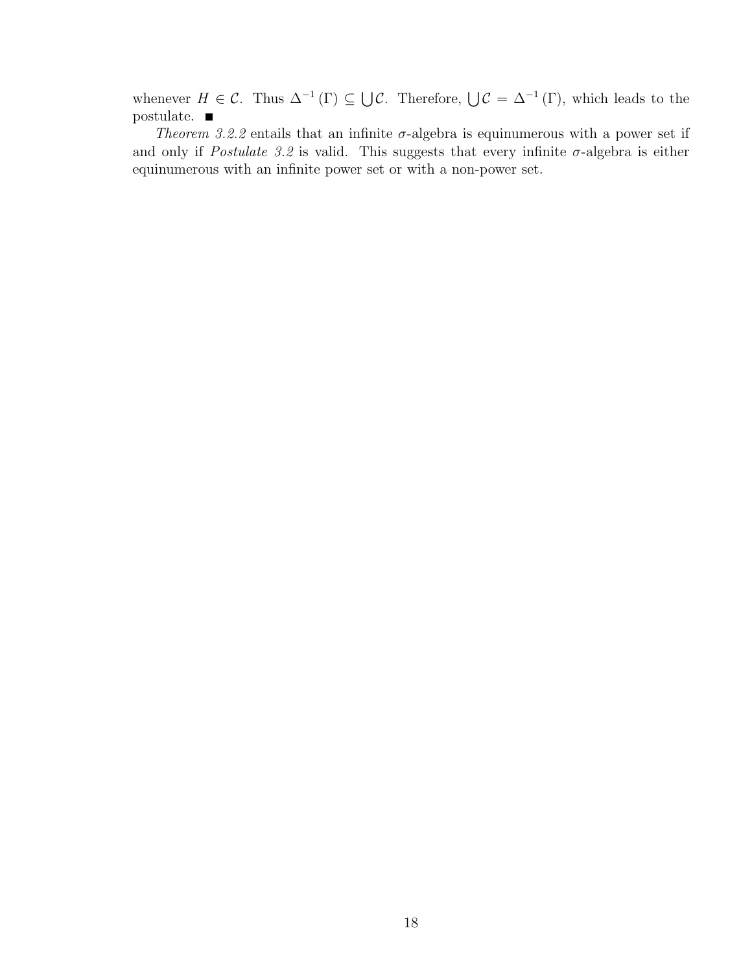whenever  $H \in \mathcal{C}$ . Thus  $\Delta^{-1}(\Gamma) \subseteq$  $\bigcup \mathcal{C}$ . Therefore,  $\bigcup \mathcal{C} = \Delta^{-1}(\Gamma)$ , which leads to the postulate.  $\blacksquare$ 

Theorem 3.2.2 entails that an infinite  $\sigma$ -algebra is equinumerous with a power set if and only if *Postulate 3.2* is valid. This suggests that every infinite  $\sigma$ -algebra is either equinumerous with an infinite power set or with a non-power set.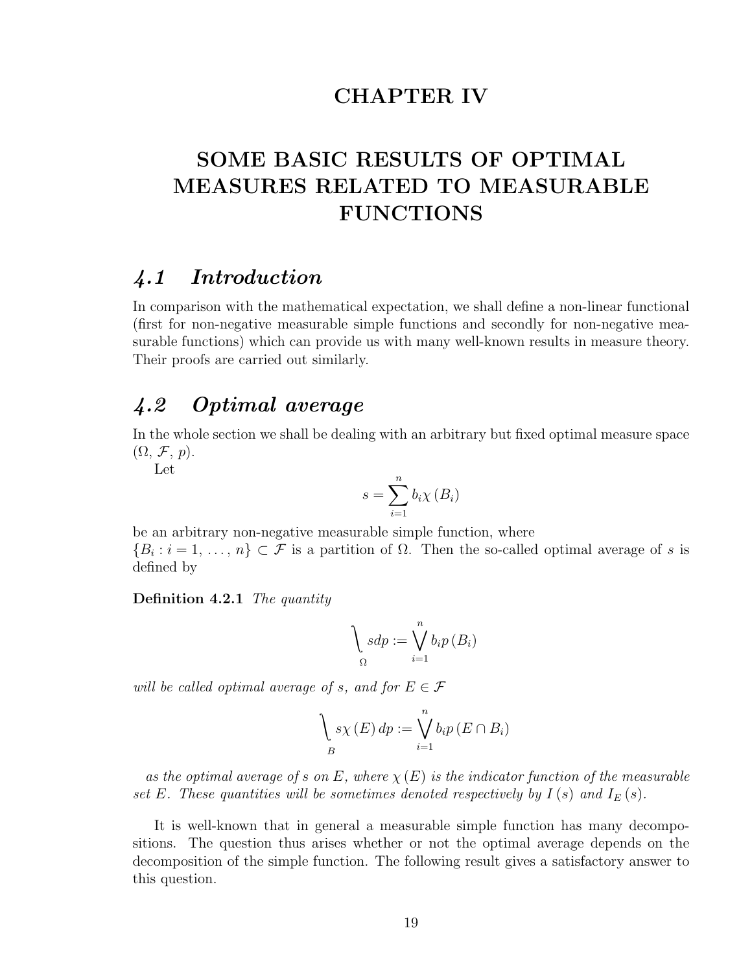## CHAPTER IV

## SOME BASIC RESULTS OF OPTIMAL MEASURES RELATED TO MEASURABLE FUNCTIONS

## 4.1 Introduction

In comparison with the mathematical expectation, we shall define a non-linear functional (first for non-negative measurable simple functions and secondly for non-negative measurable functions) which can provide us with many well-known results in measure theory. Their proofs are carried out similarly.

## 4.2 Optimal average

In the whole section we shall be dealing with an arbitrary but fixed optimal measure space  $(\Omega, \mathcal{F}, p).$ 

Let

$$
s = \sum_{i=1}^{n} b_i \chi(B_i)
$$

be an arbitrary non-negative measurable simple function, where  $\{B_i : i = 1, \ldots, n\} \subset \mathcal{F}$  is a partition of  $\Omega$ . Then the so-called optimal average of s is defined by

Definition 4.2.1 The quantity

$$
\bigg\backslash \underset{\Omega}{sdp} := \bigvee_{i=1}^{n} b_i p\left(B_i\right)
$$

will be called optimal average of s, and for  $E \in \mathcal{F}$ 

$$
\bigvee_{B} s\chi(E) dp := \bigvee_{i=1}^{n} b_i p(E \cap B_i)
$$

as the optimal average of s on E, where  $\chi(E)$  is the indicator function of the measurable set E. These quantities will be sometimes denoted respectively by  $I(s)$  and  $I<sub>E</sub>(s)$ .

It is well-known that in general a measurable simple function has many decompositions. The question thus arises whether or not the optimal average depends on the decomposition of the simple function. The following result gives a satisfactory answer to this question.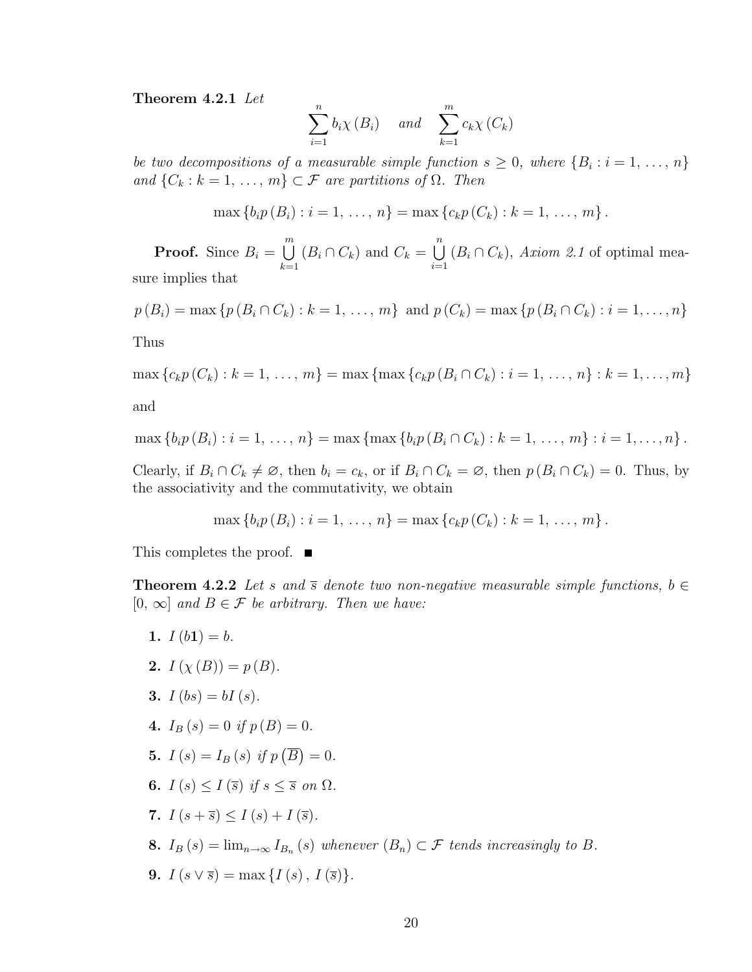Theorem 4.2.1 Let

$$
\sum_{i=1}^{n} b_i \chi(B_i) \quad \text{and} \quad \sum_{k=1}^{m} c_k \chi(C_k)
$$

be two decompositions of a measurable simple function  $s \geq 0$ , where  $\{B_i : i = 1, \ldots, n\}$ and  $\{C_k : k = 1, \ldots, m\} \subset \mathcal{F}$  are partitions of  $\Omega$ . Then

$$
\max \{b_i p(B_i) : i = 1, ..., n\} = \max \{c_k p(C_k) : k = 1, ..., m\}.
$$

**Proof.** Since  $B_i =$  $\binom{m}{k}$  $k=1$  $(B_i \cap C_k)$  and  $C_k =$  $\binom{n}{k}$  $i=1$  $(B_i \cap C_k)$ , Axiom 2.1 of optimal measure implies that

$$
p(B_i) = \max \{p(B_i \cap C_k) : k = 1, ..., m\}
$$
 and  $p(C_k) = \max \{p(B_i \cap C_k) : i = 1, ..., n\}$ 

Thus

max  ${c_k p(C_k) : k = 1, ..., m} = \max \{ \max{c_k p(B_i \cap C_k) : i = 1, ..., n} : k = 1, ..., m}$ and

$$
\max \{b_i p(B_i) : i = 1, ..., n\} = \max \{ \max \{b_i p(B_i \cap C_k) : k = 1, ..., m\} : i = 1, ..., n\}.
$$

Clearly, if  $B_i \cap C_k \neq \emptyset$ , then  $b_i = c_k$ , or if  $B_i \cap C_k = \emptyset$ , then  $p(B_i \cap C_k) = 0$ . Thus, by the associativity and the commutativity, we obtain

$$
\max \{b_i p(B_i) : i = 1, ..., n\} = \max \{c_k p(C_k) : k = 1, ..., m\}.
$$

This completes the proof.  $\blacksquare$ 

**Theorem 4.2.2** Let s and  $\overline{s}$  denote two non-negative measurable simple functions,  $b \in$  $[0, \infty]$  and  $B \in \mathcal{F}$  be arbitrary. Then we have:

1.  $I(b1) = b$ . 2.  $I(\chi(B)) = p(B)$ . 3.  $I (bs) = bI (s)$ . 4.  $I_B(s) = 0$  if  $p(B) = 0$ . 5.  $I(s) = I_B(s)$  if p ¡ B ¢  $= 0.$ 6.  $I(s) \leq I(\overline{s})$  if  $s \leq \overline{s}$  on  $\Omega$ . 7.  $I(s+\overline{s}) \leq I(s) + I(\overline{s})$ . **8.**  $I_B(s) = \lim_{n \to \infty} I_{B_n}(s)$  whenever  $(B_n) \subset \mathcal{F}$  tends increasingly to B. 9.  $I(s \vee \overline{s}) = \max \{ I(s), I(\overline{s}) \}.$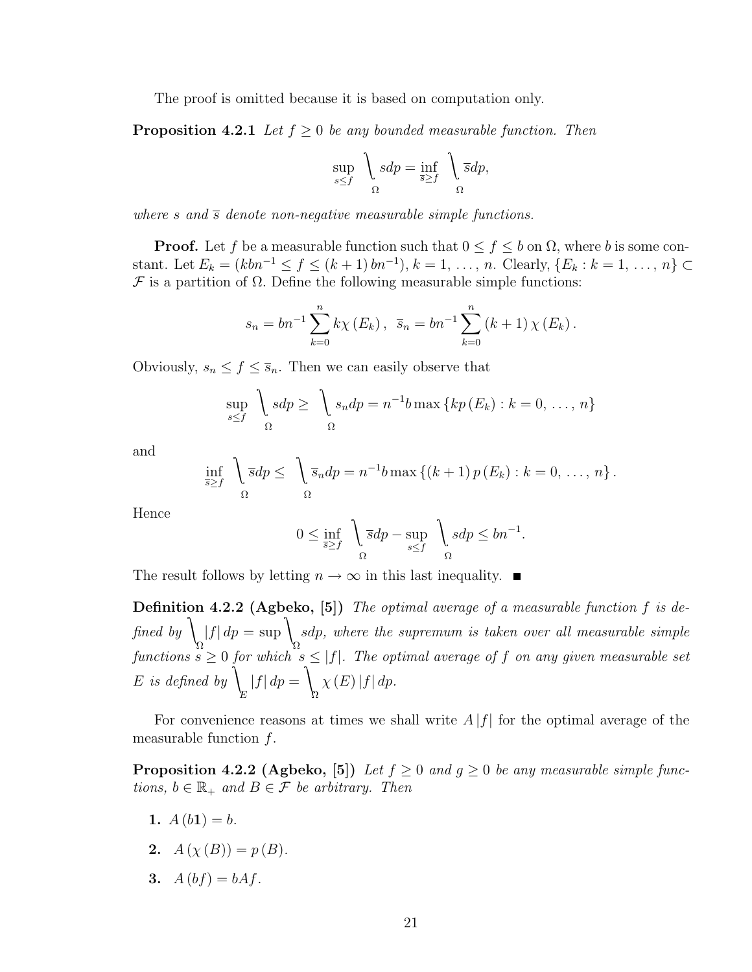The proof is omitted because it is based on computation only.

**Proposition 4.2.1** Let  $f \geq 0$  be any bounded measurable function. Then

$$
\sup_{s \le f} \quad \int_{\Omega} s dp = \inf_{\overline{s} \ge f} \quad \int_{\Omega} \overline{s} dp,
$$

where s and  $\overline{s}$  denote non-negative measurable simple functions.

**Proof.** Let f be a measurable function such that  $0 \le f \le b$  on  $\Omega$ , where b is some constant. Let  $E_k = (kbn^{-1} \le f \le (k+1) bn^{-1}), k = 1, ..., n$ . Clearly,  $\{E_k : k = 1, ..., n\}$  $\mathcal F$  is a partition of  $\Omega$ . Define the following measurable simple functions:

$$
s_n = bn^{-1} \sum_{k=0}^{n} k \chi(E_k), \ \ \overline{s}_n = bn^{-1} \sum_{k=0}^{n} (k+1) \chi(E_k).
$$

Obviously,  $s_n \leq f \leq \overline{s}_n$ . Then we can easily observe that

$$
\sup_{s\leq f} \bigg\downarrow_{sdp} \geq \bigg\downarrow_{s_ndp} = n^{-1}b \max \{kp(E_k) : k = 0, \ldots, n\}
$$

and

$$
\inf_{\overline{s}\geq f} \quad \int_{\Omega} \overline{s} dp \leq \quad \int_{\Omega} \overline{s}_n dp = n^{-1}b \max \left\{ (k+1) p(E_k) : k = 0, \ldots, n \right\}.
$$

Hence

$$
0 \le \inf_{\overline{s} \ge f} \quad \left\lfloor \overline{s}dp - \sup_{s \le f} \quad \right\rfloor_{\Omega} sdp \le bn^{-1}.
$$

The result follows by letting  $n \to \infty$  in this last inequality.  $\blacksquare$ 

Definition 4.2.2 (Agbeko, [5]) The optimal average of a measurable function f is defined by  $\langle \rangle$ Ω  $|f| dp = \sup$ Ω sdp, where the supremum is taken over all measurable simple functions  $s \geq 0$  for which  $s \leq |f|$ . The optimal average of f on any given measurable set  $\stackrel{\text{\normalsize{F}}}{E}$  is defined by  $\stackrel{\text{\normalsize{F}}}{E}$ E  $|f| dp =$  $\lambda$ Ω  $\chi(E)|f| dp.$ 

For convenience reasons at times we shall write  $A |f|$  for the optimal average of the measurable function  $f$ .

**Proposition 4.2.2 (Agbeko, [5])** Let  $f \geq 0$  and  $g \geq 0$  be any measurable simple functions,  $b \in \mathbb{R}_+$  and  $B \in \mathcal{F}$  be arbitrary. Then

- 1.  $A(b1) = b$ .
- 2.  $A(\chi(B)) = p(B)$ .
- 3.  $A(bt) = bAf$ .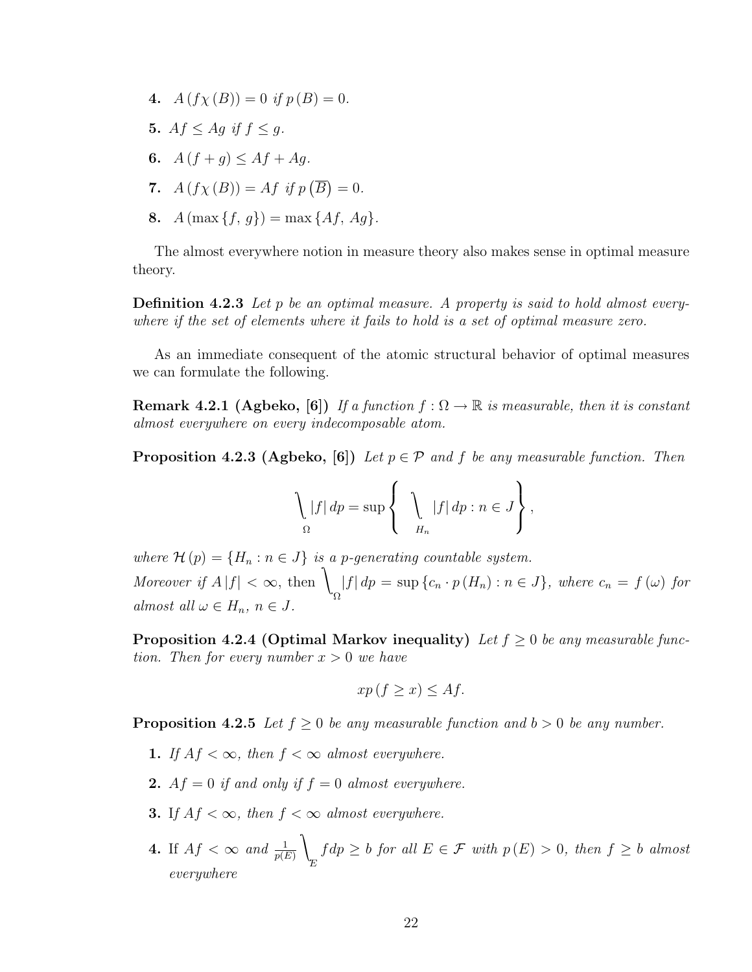- 4.  $A(f\chi(B)) = 0$  if  $p(B) = 0$ .
- 5.  $Af < Ag$  if  $f < g$ .
- 6.  $A(f+q) \leq Af + Aq$ .
- 7.  $A(f\chi(B)) = Af$  if p ¡ B ¢  $= 0.$
- 8.  $A(\max\{f, q\}) = \max\{Af, Aq\}.$

The almost everywhere notion in measure theory also makes sense in optimal measure theory.

**Definition 4.2.3** Let p be an optimal measure. A property is said to hold almost everywhere if the set of elements where it fails to hold is a set of optimal measure zero.

As an immediate consequent of the atomic structural behavior of optimal measures we can formulate the following.

**Remark 4.2.1 (Agbeko, [6])** If a function  $f : \Omega \to \mathbb{R}$  is measurable, then it is constant almost everywhere on every indecomposable atom.

**Proposition 4.2.3 (Agbeko, [6])** Let  $p \in \mathcal{P}$  and f be any measurable function. Then

$$
\bigg\{\n \begin{aligned}\n |f| \, dp &= \sup \left\{\n \begin{aligned}\n |f| \, dp : n \in J\n \end{aligned}\n \right\},\n \end{aligned}
$$

where  $\mathcal{H}(p) = \{H_n : n \in J\}$  is a p-generating countable system. Moreover if  $A |f| < \infty$ , then Ω  $|f| dp = \sup \{c_n \cdot p(H_n) : n \in J\}$ , where  $c_n = f(\omega)$  for almost all  $\omega \in H_n$ ,  $n \in J$ .

**Proposition 4.2.4 (Optimal Markov inequality)** Let  $f \geq 0$  be any measurable function. Then for every number  $x > 0$  we have

$$
xp(f \ge x) \le Af.
$$

**Proposition 4.2.5** Let  $f \geq 0$  be any measurable function and  $b > 0$  be any number.

- 1. If  $Af < \infty$ , then  $f < \infty$  almost everywhere.
- **2.**  $Af = 0$  if and only if  $f = 0$  almost everywhere.
- **3.** If  $Af < \infty$ , then  $f < \infty$  almost everywhere.
- **4.** If  $Af < \infty$  and  $\frac{1}{p(E)}$  $\lambda$ E  $fdp \geq b$  for all  $E \in \mathcal{F}$  with  $p(E) > 0$ , then  $f \geq b$  almost everywhere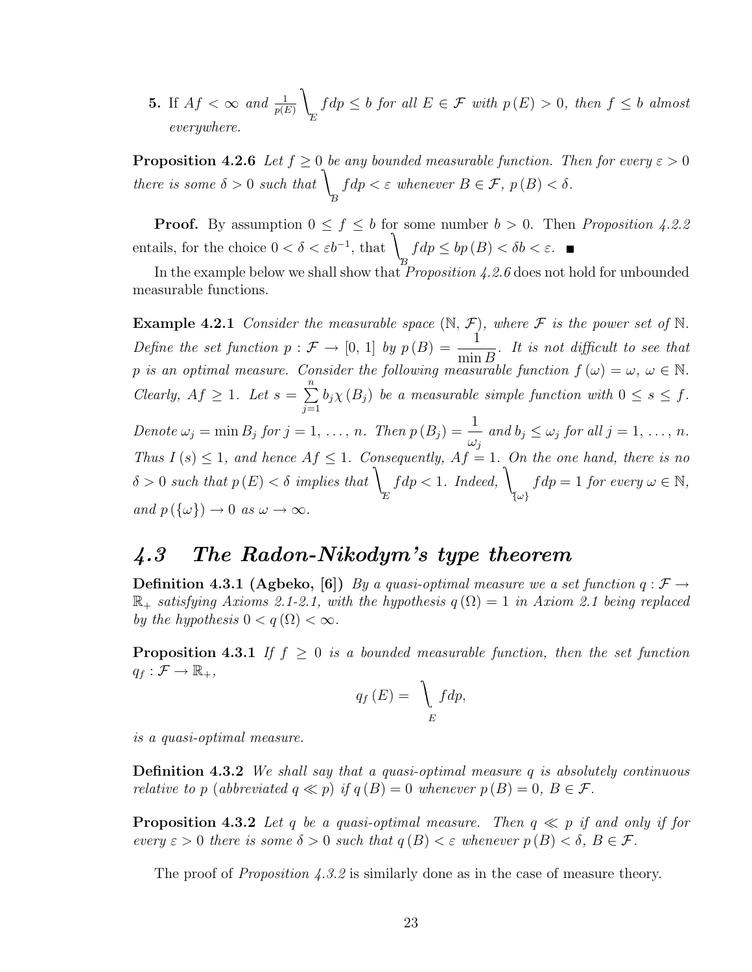**5.** If  $Af < \infty$  and  $\frac{1}{p(E)}$  $\lambda$ E  $fdp \leq b$  for all  $E \in \mathcal{F}$  with  $p(E) > 0$ , then  $f \leq b$  almost everywhere.

**Proposition 4.2.6** Let  $f \ge 0$  be any bounded measurable function. Then for every  $\varepsilon > 0$ there is some  $\delta > 0$  such that B  $fdp < \varepsilon$  whenever  $B \in \mathcal{F}$ ,  $p(B) < \delta$ .

**Proof.** By assumption  $0 \le f \le b$  for some number  $b > 0$ . Then *Proposition 4.2.2* entails, for the choice  $0 < \delta < \varepsilon b^{-1}$ , that B  $fdp \le bp (B) < \delta b < \varepsilon.$ 

In the example below we shall show that *Proposition 4.2.6* does not hold for unbounded measurable functions.

**Example 4.2.1** Consider the measurable space  $(\mathbb{N}, \mathcal{F})$ , where  $\mathcal{F}$  is the power set of  $\mathbb{N}$ . Define the set function  $p : \mathcal{F} \to [0, 1]$  by  $p(B) = \frac{1}{\sqrt{2\pi}}$  $\min B$ . It is not difficult to see that p is an optimal measure. Consider the following measurable function  $f(\omega) = \omega, \ \omega \in \mathbb{N}$ . Clearly,  $Af \geq 1$ . Let  $s =$  $\frac{n}{2}$  $j=1$  $b_j \chi(B_j)$  be a measurable simple function with  $0 \leq s \leq f$ . Denote  $\omega_j = \min B_j$  for  $j = 1, \ldots, n$ . Then  $p(B_j) = \frac{1}{j}$  $\omega_j$ and  $b_j \leq \omega_j$  for all  $j = 1, \ldots, n$ . Thus  $I(s) \leq 1$ , and hence  $Af \leq 1$ . Consequently,  $Af = 1$ . On the one hand, there is no  $\delta > 0$  such that  $p(E) < \delta$  implies that E f  $dp < 1$ . Indeed, {ω}  $fdp = 1$  for every  $\omega \in \mathbb{N}$ , and  $p(\{\omega\}) \to 0$  as  $\omega \to \infty$ .

### 4.3 The Radon-Nikodym's type theorem

**Definition 4.3.1 (Agbeko, [6])** By a quasi-optimal measure we a set function  $q : \mathcal{F} \to$  $\mathbb{R}_+$  satisfying Axioms 2.1-2.1, with the hypothesis  $q(\Omega) = 1$  in Axiom 2.1 being replaced by the hypothesis  $0 < q(\Omega) < \infty$ .

**Proposition 4.3.1** If  $f \geq 0$  is a bounded measurable function, then the set function  $q_f : \mathcal{F} \to \mathbb{R}_+,$ 

$$
q_f(E) = \bigcup_E f dp,
$$

is a quasi-optimal measure.

**Definition 4.3.2** We shall say that a quasi-optimal measure q is absolutely continuous relative to p (abbreviated  $q \ll p$ ) if  $q(B) = 0$  whenever  $p(B) = 0$ ,  $B \in \mathcal{F}$ .

**Proposition 4.3.2** Let q be a quasi-optimal measure. Then  $q \ll p$  if and only if for every  $\varepsilon > 0$  there is some  $\delta > 0$  such that  $q(B) < \varepsilon$  whenever  $p(B) < \delta$ ,  $B \in \mathcal{F}$ .

The proof of *Proposition 4.3.2* is similarly done as in the case of measure theory.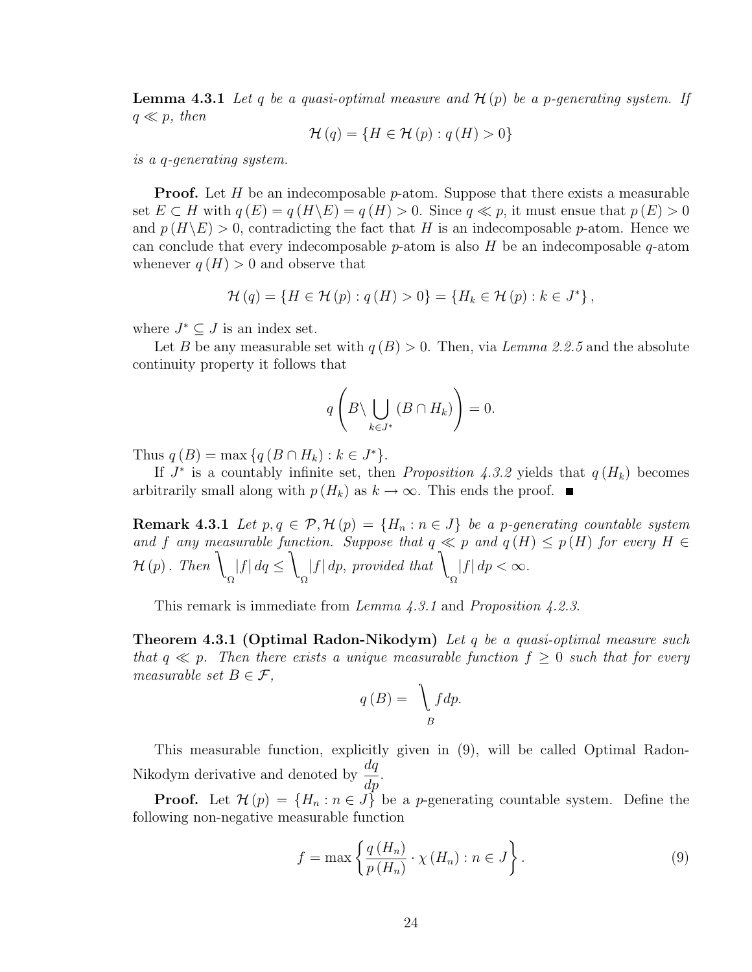**Lemma 4.3.1** Let q be a quasi-optimal measure and  $\mathcal{H}(p)$  be a p-generating system. If  $q \ll p$ , then

$$
\mathcal{H}(q) = \{ H \in \mathcal{H}(p) : q(H) > 0 \}
$$

is a q-generating system.

**Proof.** Let  $H$  be an indecomposable  $p$ -atom. Suppose that there exists a measurable set  $E \subset H$  with  $q(E) = q(H \backslash E) = q(H) > 0$ . Since  $q \ll p$ , it must ensue that  $p(E) > 0$ and  $p(H\backslash E) > 0$ , contradicting the fact that H is an indecomposable p-atom. Hence we can conclude that every indecomposable  $p$ -atom is also H be an indecomposable  $q$ -atom whenever  $q(H) > 0$  and observe that

$$
\mathcal{H}(q) = \{ H \in \mathcal{H}(p) : q(H) > 0 \} = \{ H_k \in \mathcal{H}(p) : k \in J^* \},
$$

where  $J^* \subseteq J$  is an index set.

Let B be any measurable set with  $q(B) > 0$ . Then, via Lemma 2.2.5 and the absolute continuity property it follows that

$$
q\left(B\backslash \bigcup_{k\in J^*} (B\cap H_k)\right) = 0.
$$

Thus  $q(B) = \max \{q(B \cap H_k) : k \in J^*\}.$ 

If  $J^*$  is a countably infinite set, then *Proposition 4.3.2* yields that  $q(H_k)$  becomes arbitrarily small along with  $p(H_k)$  as  $k \to \infty$ . This ends the proof. ■

**Remark 4.3.1** Let  $p, q \in \mathcal{P}, \mathcal{H}(p) = \{H_n : n \in J\}$  be a p-generating countable system and f any measurable function. Suppose that  $q \ll p$  and  $q(H) \leq p(H)$  for every  $H \in$  $\mathcal{H}(p)$ . Then  $\lambda$ Ω  $|f| dq \leq$  $\lambda$ Ω  $|f| dp$ , provided that Ω  $|f| dp < \infty$ .

This remark is immediate from *Lemma 4.3.1* and *Proposition 4.2.3.* 

**Theorem 4.3.1 (Optimal Radon-Nikodym)** Let q be a quasi-optimal measure such that  $q \ll p$ . Then there exists a unique measurable function  $f \geq 0$  such that for every measurable set  $B \in \mathcal{F}$ ,

$$
q(B) = \int\limits_B f dp.
$$

This measurable function, explicitly given in (9), will be called Optimal Radon-Nikodym derivative and denoted by  $\frac{dq}{dt}$  $rac{dq}{dp}$ .

**Proof.** Let  $\mathcal{H}(p) = \{H_n : n \in J\}$  be a *p*-generating countable system. Define the following non-negative measurable function

$$
f = \max\left\{\frac{q(H_n)}{p(H_n)} \cdot \chi(H_n) : n \in J\right\}.
$$
 (9)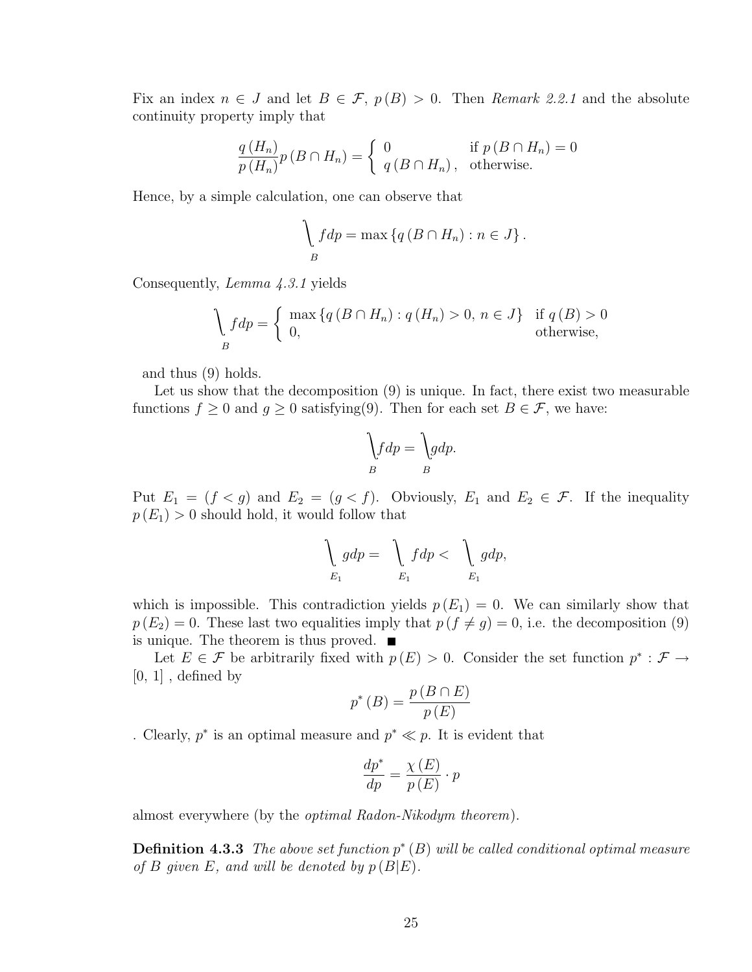Fix an index  $n \in J$  and let  $B \in \mathcal{F}$ ,  $p(B) > 0$ . Then Remark 2.2.1 and the absolute continuity property imply that

$$
\frac{q(H_n)}{p(H_n)}p(B\cap H_n) = \begin{cases} 0 & \text{if } p(B\cap H_n) = 0\\ q(B\cap H_n), & \text{otherwise.} \end{cases}
$$

Hence, by a simple calculation, one can observe that

$$
\int_{B} f dp = \max \left\{ q \left( B \cap H_n \right) : n \in J \right\}.
$$

Consequently, Lemma 4.3.1 yields

$$
\begin{cases} \n\max\left\{q\left(B\cap H_n\right): q\left(H_n\right) > 0, \, n \in J\right\} & \text{if } q\left(B\right) > 0, \, n \in J, \, \text{otherwise,} \n\end{cases}
$$

and thus (9) holds.

Let us show that the decomposition (9) is unique. In fact, there exist two measurable functions  $f \geq 0$  and  $g \geq 0$  satisfying(9). Then for each set  $B \in \mathcal{F}$ , we have:

$$
\int_B f dp = \int_B g dp.
$$

Put  $E_1 = (f < g)$  and  $E_2 = (g < f)$ . Obviously,  $E_1$  and  $E_2 \in \mathcal{F}$ . If the inequality  $p(E_1) > 0$  should hold, it would follow that

$$
\bigg\downarrow_{E_1} gdp = \bigg\downarrow_{E_1} fdp < \bigg\downarrow_{E_1} gdp,
$$

which is impossible. This contradiction yields  $p(E_1) = 0$ . We can similarly show that  $p(E_2) = 0$ . These last two equalities imply that  $p(f \neq g) = 0$ , i.e. the decomposition (9) is unique. The theorem is thus proved.  $\blacksquare$ 

Let  $E \in \mathcal{F}$  be arbitrarily fixed with  $p(E) > 0$ . Consider the set function  $p^* : \mathcal{F} \to$  $[0, 1]$ , defined by

$$
p^*(B) = \frac{p(B \cap E)}{p(E)}
$$

. Clearly,  $p^*$  is an optimal measure and  $p^* \ll p$ . It is evident that

$$
\frac{dp^*}{dp} = \frac{\chi(E)}{p(E)} \cdot p
$$

almost everywhere (by the optimal Radon-Nikodym theorem).

**Definition 4.3.3** The above set function  $p^*(B)$  will be called conditional optimal measure of B given E, and will be denoted by  $p(B|E)$ .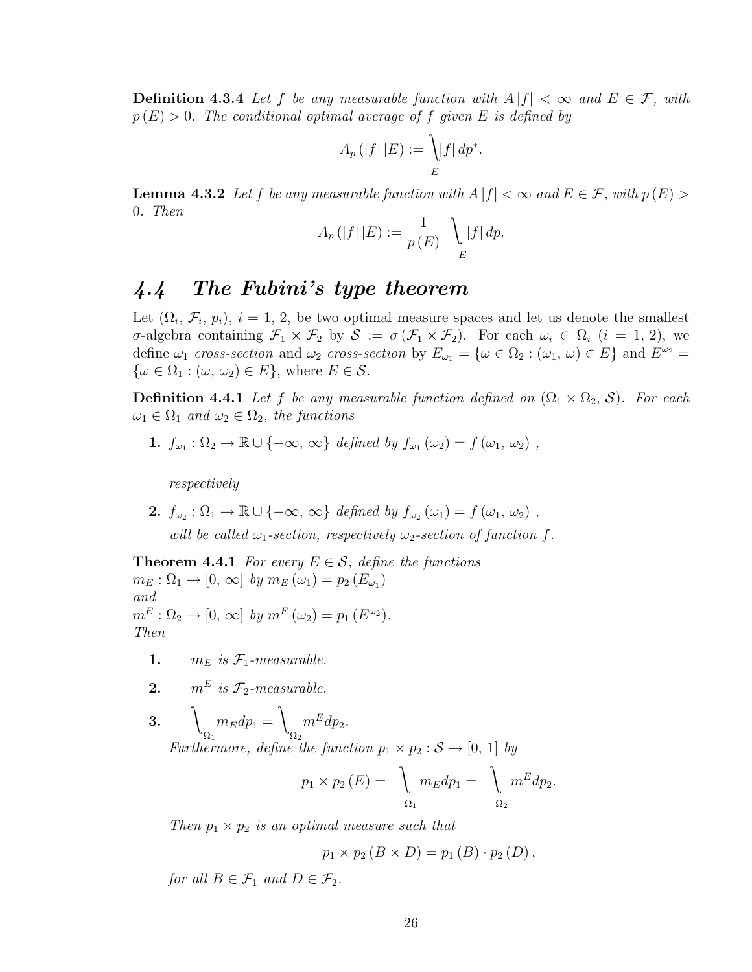**Definition 4.3.4** Let f be any measurable function with  $A |f| < \infty$  and  $E \in \mathcal{F}$ , with  $p(E) > 0$ . The conditional optimal average of f given E is defined by

$$
A_p(|f||E) := \bigcup_{E} |f| dp^*.
$$

**Lemma 4.3.2** Let f be any measurable function with  $A |f| < \infty$  and  $E \in \mathcal{F}$ , with  $p(E) >$ 0. Then

$$
A_p(|f| | E) := \frac{1}{p(E)} \bigcup_{E} |f| dp.
$$

## 4.4 The Fubini's type theorem

Let  $(\Omega_i, \mathcal{F}_i, p_i), i = 1, 2$ , be two optimal measure spaces and let us denote the smallest σ-algebra containing  $\mathcal{F}_1 \times \mathcal{F}_2$  by  $\mathcal{S} := \sigma(\mathcal{F}_1 \times \mathcal{F}_2)$ . For each  $\omega_i \in \Omega_i$   $(i = 1, 2)$ , we define  $\omega_1$  cross-section and  $\omega_2$  cross-section by  $E_{\omega_1} = {\omega \in \Omega_2 : (\omega_1, \omega) \in E}$  and  $E^{\omega_2} =$  $\{\omega \in \Omega_1 : (\omega, \omega_2) \in E\}$ , where  $E \in \mathcal{S}$ .

**Definition 4.4.1** Let f be any measurable function defined on  $(\Omega_1 \times \Omega_2, \mathcal{S})$ . For each  $\omega_1 \in \Omega_1$  and  $\omega_2 \in \Omega_2$ , the functions

1.  $f_{\omega_1} : \Omega_2 \to \mathbb{R} \cup \{-\infty, \infty\}$  defined by  $f_{\omega_1}(\omega_2) = f(\omega_1, \omega_2)$ ,

respectively

2.  $f_{\omega_2} : \Omega_1 \to \mathbb{R} \cup \{-\infty, \infty\}$  defined by  $f_{\omega_2}(\omega_1) = f(\omega_1, \omega_2)$ , will be called  $\omega_1$ -section, respectively  $\omega_2$ -section of function f.

**Theorem 4.4.1** For every  $E \in \mathcal{S}$ , define the functions  $m_E : \Omega_1 \to [0, \infty]$  by  $m_E(\omega_1) = p_2(E_{\omega_1})$ and  $m^{E}: \Omega_2 \to [0, \infty]$  by  $m^{E}(\omega_2) = p_1(E^{\omega_2}).$ Then

- 1.  $m_E$  is  $\mathcal{F}_1$ -measurable.
- **2.**  $m^E$  is  $\mathcal{F}_2$ -measurable.

 $3. \qquad \qquad$  $\Omega_1$  $m_E dp_1 =$  $\lambda$  $\Omega_2$  $m^E dp_2$ . Furthermore, define the function  $p_1 \times p_2 : \mathcal{S} \to [0, 1]$  by

$$
p_1 \times p_2(E) = \bigg\downarrow_{\Omega_1} m_E dp_1 = \bigg\downarrow_{\Omega_2} m^E dp_2.
$$

Then  $p_1 \times p_2$  is an optimal measure such that

$$
p_1 \times p_2 (B \times D) = p_1 (B) \cdot p_2 (D) ,
$$

for all  $B \in \mathcal{F}_1$  and  $D \in \mathcal{F}_2$ .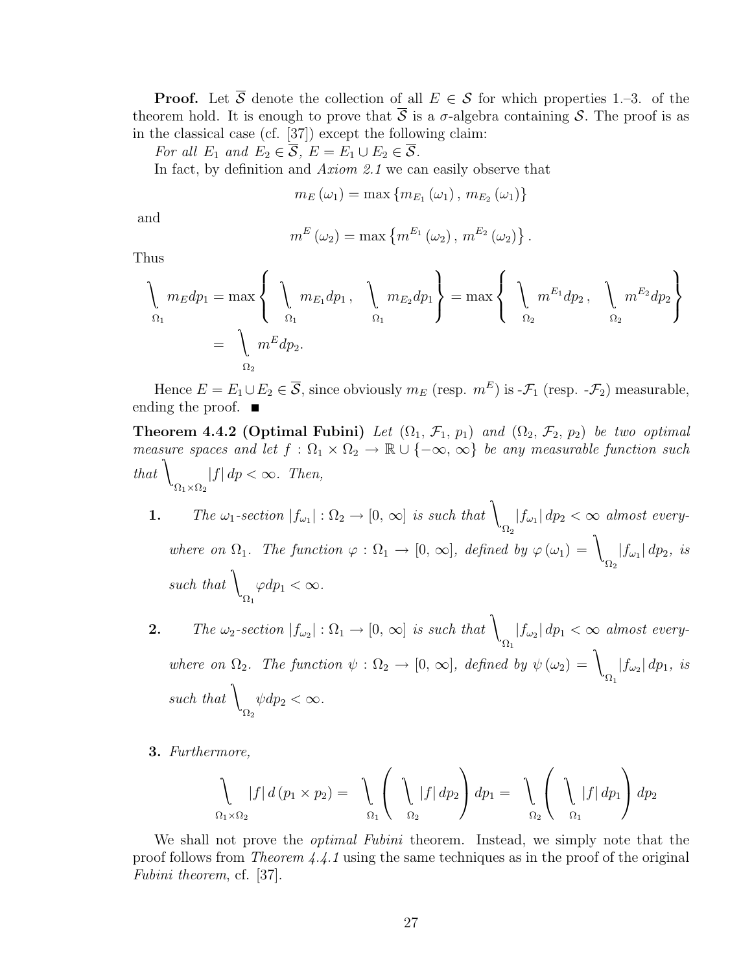**Proof.** Let  $\overline{S}$  denote the collection of all  $E \in S$  for which properties 1.–3. of the theorem hold. It is enough to prove that  $\overline{S}$  is a  $\sigma$ -algebra containing S. The proof is as in the classical case (cf. [37]) except the following claim:

For all  $E_1$  and  $E_2 \in \mathcal{S}$ ,  $E = E_1 \cup E_2 \in \mathcal{S}$ .

In fact, by definition and Axiom 2.1 we can easily observe that

$$
m_{E}(\omega_{1}) = \max\{m_{E_{1}}(\omega_{1}), m_{E_{2}}(\omega_{1})\}
$$

and

$$
m^{E}(\omega_2) = \max \left\{ m^{E_1}(\omega_2), m^{E_2}(\omega_2) \right\}.
$$

Thus

$$
\left\{\begin{array}{l}\nm_E dp_1 = \max\left\{\begin{array}{l}\nm_{E_1} dp_1, & \m_{E_2} dp_1\end{array}\right\} = \max\left\{\begin{array}{l}\nm^{E_1} dp_2, & \m_{E_2} m^{E_2} dp_2\end{array}\right\} \\
= \left\{\begin{array}{l}\nm^E dp_2. & \m_{2} \end{array}\right.
$$

Hence  $E = E_1 \cup E_2 \in \overline{S}$ , since obviously  $m_E$  (resp.  $m^E$ ) is - $\mathcal{F}_1$  (resp. - $\mathcal{F}_2$ ) measurable, ending the proof.  $\blacksquare$ 

**Theorem 4.4.2 (Optimal Fubini)** Let  $(\Omega_1, \mathcal{F}_1, p_1)$  and  $(\Omega_2, \mathcal{F}_2, p_2)$  be two optimal measure spaces and let  $f : \Omega_1 \times \Omega_2 \to \mathbb{R} \cup \{-\infty, \infty\}$  be any measurable function such  $_{that}$  $\Omega_1 \times \Omega_2$  $|f| dp < \infty$ . Then,

- **1.** The  $\omega_1$ -section  $|f_{\omega_1}| : \Omega_2 \to [0, \infty]$  is such that  $\Omega_2$  $|f_{\omega_1}| dp_2 < \infty$  almost everywhere on  $\Omega_1$ . The function  $\varphi : \Omega_1 \to [0, \infty]$ , defined by  $\varphi(\omega_1) = \emptyset$  $\Omega_2$  $|f_{\omega_1}| dp_2$ , is such that  $\langle$  $\Omega_1$  $\varphi dp_1 < \infty$ .
- **2.** The  $\omega_2$ -section  $|f_{\omega_2}| : \Omega_1 \to [0, \infty]$  is such that  $\Omega_1$  $|f_{\omega_2}| dp_1 < \infty$  almost everywhere on  $\Omega_2$ . The function  $\psi : \Omega_2 \to [0, \infty]$ , defined by  $\psi(\omega_2) = \mathcal{V}$  $\Omega_1$  $|f_{\omega_2}| dp_1$ , is such that  $\langle$  $\Omega_2$  $\psi dp_2 < \infty$ .
- 3. Furthermore,

$$
\int_{\Omega_1 \times \Omega_2} |f| d(p_1 \times p_2) = \int_{\Omega_1} \left( \int_{\Omega_2} |f| dp_2 \right) dp_1 = \int_{\Omega_2} \left( \int_{\Omega_1} |f| dp_1 \right) dp_2
$$

We shall not prove the *optimal Fubini* theorem. Instead, we simply note that the proof follows from Theorem 4.4.1 using the same techniques as in the proof of the original Fubini theorem, cf. [37].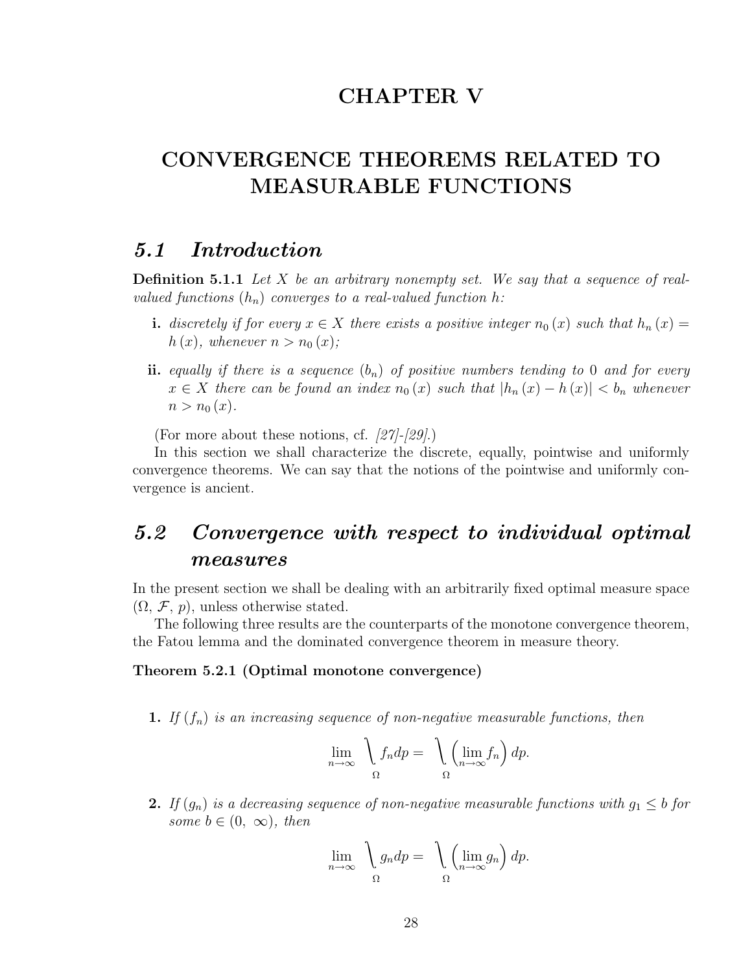## CHAPTER V

## CONVERGENCE THEOREMS RELATED TO MEASURABLE FUNCTIONS

## 5.1 Introduction

**Definition 5.1.1** Let  $X$  be an arbitrary nonempty set. We say that a sequence of realvalued functions  $(h_n)$  converges to a real-valued function h:

- i. discretely if for every  $x \in X$  there exists a positive integer  $n_0(x)$  such that  $h_n(x) =$  $h(x)$ , whenever  $n > n_0(x)$ ;
- ii. equally if there is a sequence  $(b_n)$  of positive numbers tending to 0 and for every  $x \in X$  there can be found an index  $n_0(x)$  such that  $|h_n(x) - h(x)| < b_n$  whenever  $n > n_0(x)$ .

(For more about these notions, cf. [27]-[29].)

In this section we shall characterize the discrete, equally, pointwise and uniformly convergence theorems. We can say that the notions of the pointwise and uniformly convergence is ancient.

## 5.2 Convergence with respect to individual optimal measures

In the present section we shall be dealing with an arbitrarily fixed optimal measure space  $(\Omega, \mathcal{F}, p)$ , unless otherwise stated.

The following three results are the counterparts of the monotone convergence theorem, the Fatou lemma and the dominated convergence theorem in measure theory.

#### Theorem 5.2.1 (Optimal monotone convergence)

1. If  $(f_n)$  is an increasing sequence of non-negative measurable functions, then

$$
\lim_{n \to \infty} \quad \int_{\Omega} f_n dp = \quad \int_{\Omega} \left( \lim_{n \to \infty} f_n \right) dp.
$$

2. If  $(g_n)$  is a decreasing sequence of non-negative measurable functions with  $g_1 \leq b$  for some  $b \in (0, \infty)$ , then

$$
\lim_{n \to \infty} \quad \int_{\Omega} g_n dp = \quad \int_{\Omega} \left( \lim_{n \to \infty} g_n \right) dp.
$$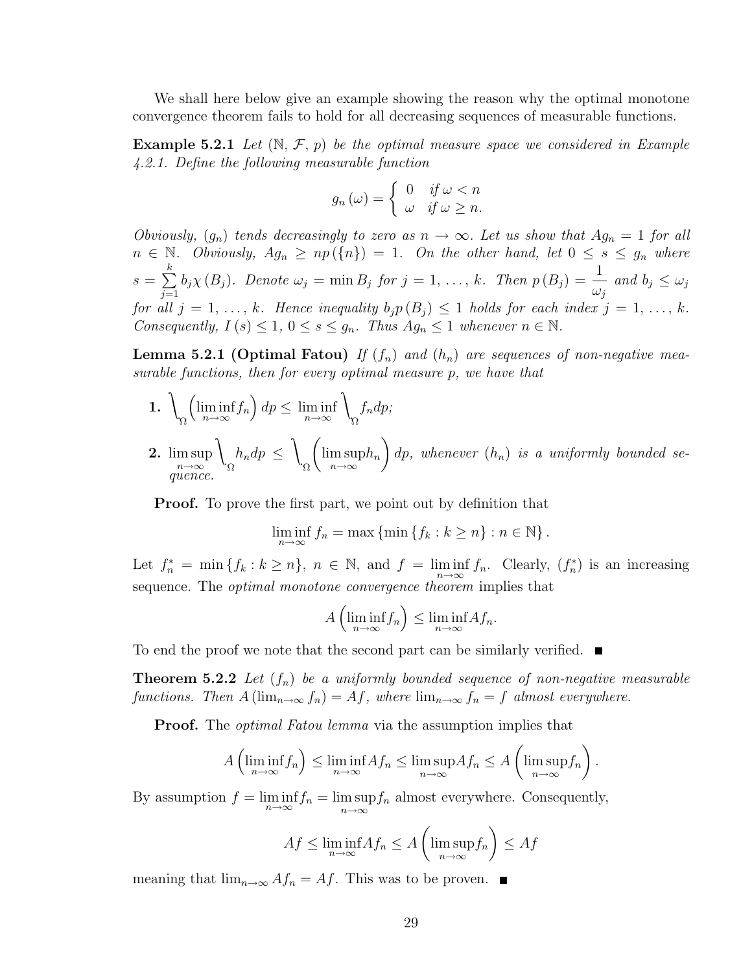We shall here below give an example showing the reason why the optimal monotone convergence theorem fails to hold for all decreasing sequences of measurable functions.

**Example 5.2.1** Let  $(\mathbb{N}, \mathcal{F}, p)$  be the optimal measure space we considered in Example 4.2.1. Define the following measurable function

$$
g_n(\omega) = \begin{cases} 0 & \text{if } \omega < n \\ \omega & \text{if } \omega \ge n. \end{cases}
$$

Obviously,  $(g_n)$  tends decreasingly to zero as  $n \to \infty$ . Let us show that  $Ag_n = 1$  for all  $n \in \mathbb{N}$ . Obviously,  $Ag_n \geq np(\lbrace n \rbrace) = 1$ . On the other hand, let  $0 \leq s \leq g_n$  where  $s =$  $\frac{k}{2}$  $j=1$  $b_j \chi(B_j)$ . Denote  $\omega_j = \min B_j$  for  $j = 1, \ldots, k$ . Then  $p(B_j) = \frac{1}{j}$  $\omega_j$ and  $b_j \leq \omega_j$ for all  $j = 1, \ldots, k$ . Hence inequality  $b_j p(B_j) \leq 1$  holds for each index  $j = 1, \ldots, k$ . Consequently,  $I(s) \leq 1, 0 \leq s \leq g_n$ . Thus  $Ag_n \leq 1$  whenever  $n \in \mathbb{N}$ .

**Lemma 5.2.1 (Optimal Fatou)** If  $(f_n)$  and  $(h_n)$  are sequences of non-negative measurable functions, then for every optimal measure p, we have that

- $_1.$ Ω  $\overline{a}$  $\liminf_{n\to\infty}f_n$ ´  $dp \leq \liminf_{n \to \infty}$  $\lambda$ Ω  $f_n dp;$  $\overline{a}$  $\mathbf{r}$
- 2. lim sup n→∞  $\lambda$ Ω  $h_n dp \leq$  $\lambda$ Ω lim sup  $\limsup_{n\to\infty}$  $dp,$  whenever  $(h_n)$  is a uniformly bounded sequence.

Proof. To prove the first part, we point out by definition that

$$
\liminf_{n \to \infty} f_n = \max \{ \min \{ f_k : k \ge n \} : n \in \mathbb{N} \}.
$$

Let  $f_n^* = \min \{f_k : k \geq n\}$ ,  $n \in \mathbb{N}$ , and  $f = \liminf_{n \to \infty} f_n$ . Clearly,  $(f_n^*)$  is an increasing sequence. The *optimal monotone convergence theorem* implies that

$$
A\left(\liminf_{n\to\infty}f_n\right)\leq \liminf_{n\to\infty}Af_n.
$$

To end the proof we note that the second part can be similarly verified.  $\blacksquare$ 

**Theorem 5.2.2** Let  $(f_n)$  be a uniformly bounded sequence of non-negative measurable functions. Then  $A(\lim_{n\to\infty} f_n) = Af$ , where  $\lim_{n\to\infty} f_n = f$  almost everywhere.

**Proof.** The *optimal Fatou lemma* via the assumption implies that

$$
A\left(\liminf_{n\to\infty}f_n\right)\leq \liminf_{n\to\infty}Af_n\leq \limsup_{n\to\infty}Af_n\leq A\left(\limsup_{n\to\infty}f_n\right).
$$

By assumption  $f = \liminf_{n \to \infty} f_n = \limsup_{n \to \infty} f_n$  almost everywhere. Consequently,

$$
Af \le \liminf_{n \to \infty} Af_n \le A\left(\limsup_{n \to \infty} f_n\right) \le Af
$$

meaning that  $\lim_{n\to\infty} Af_n = Af$ . This was to be proven. ■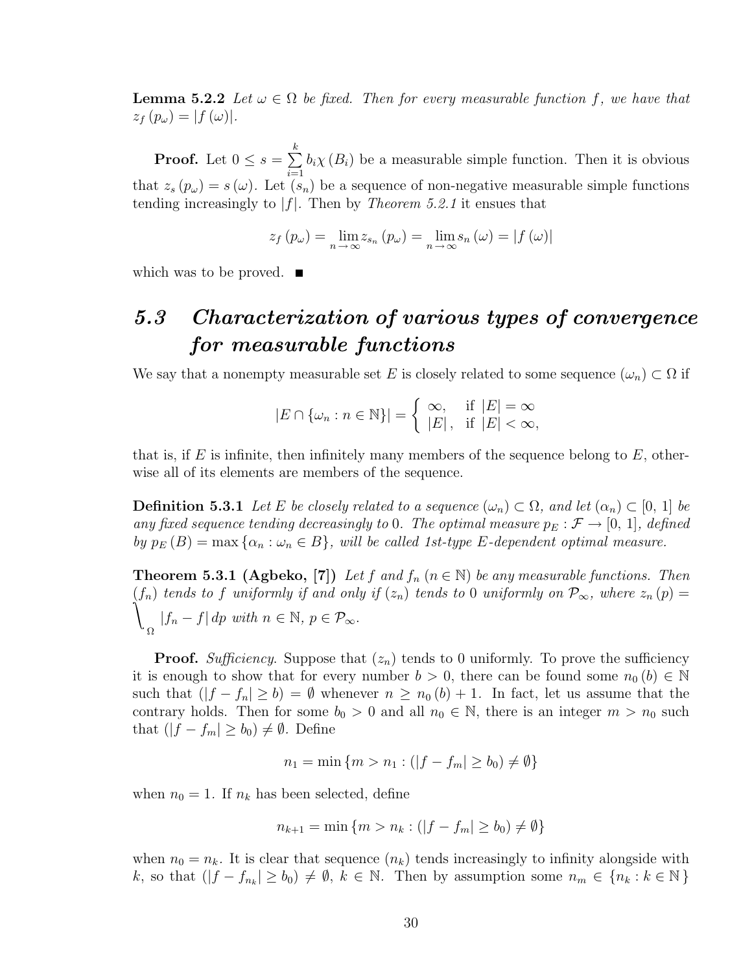**Lemma 5.2.2** Let  $\omega \in \Omega$  be fixed. Then for every measurable function f, we have that  $z_f(p_\omega) = |f(\omega)|.$ 

**Proof.** Let  $0 \leq s =$  $\stackrel{k}{\longleftarrow}$  $i=1$  $b_i\chi(B_i)$  be a measurable simple function. Then it is obvious that  $z_s(p_\omega) = s(\omega)$ . Let  $(s_n)$  be a sequence of non-negative measurable simple functions tending increasingly to  $|f|$ . Then by *Theorem 5.2.1* it ensues that

$$
z_f(p_\omega) = \lim_{n \to \infty} z_{s_n}(p_\omega) = \lim_{n \to \infty} s_n(\omega) = |f(\omega)|
$$

which was to be proved.  $\blacksquare$ 

## 5.3 Characterization of various types of convergence for measurable functions

We say that a nonempty measurable set E is closely related to some sequence  $(\omega_n) \subset \Omega$  if

$$
|E \cap \{\omega_n : n \in \mathbb{N}\}| = \begin{cases} \infty, & \text{if } |E| = \infty \\ |E|, & \text{if } |E| < \infty, \end{cases}
$$

that is, if E is infinite, then infinitely many members of the sequence belong to  $E$ , otherwise all of its elements are members of the sequence.

**Definition 5.3.1** Let E be closely related to a sequence  $(\omega_n) \subset \Omega$ , and let  $(\alpha_n) \subset [0, 1]$  be any fixed sequence tending decreasingly to 0. The optimal measure  $p_E : \mathcal{F} \to [0, 1]$ , defined by  $p_E(B) = \max \{ \alpha_n : \omega_n \in B \}$ , will be called 1st-type E-dependent optimal measure.

**Theorem 5.3.1 (Agbeko, [7])** Let f and  $f_n$  ( $n \in \mathbb{N}$ ) be any measurable functions. Then  $\tilde{\mathcal{L}}$  $(f_n)$  tends to f uniformly if and only if  $(z_n)$  tends to 0 uniformly on  $\mathcal{P}_{\infty}$ , where  $z_n(p)$ Ω  $|f_n - f| dp$  with  $n \in \mathbb{N}, p \in \mathcal{P}_{\infty}$ .

**Proof.** Sufficiency. Suppose that  $(z_n)$  tends to 0 uniformly. To prove the sufficiency it is enough to show that for every number  $b > 0$ , there can be found some  $n_0(b) \in \mathbb{N}$ such that  $(|f - f_n| \ge b) = \emptyset$  whenever  $n \ge n_0 (b) + 1$ . In fact, let us assume that the contrary holds. Then for some  $b_0 > 0$  and all  $n_0 \in \mathbb{N}$ , there is an integer  $m > n_0$  such that  $(|f - f_m| \ge b_0) \ne \emptyset$ . Define

$$
n_1 = \min \{ m > n_1 : (|f - f_m| \ge b_0) \ne \emptyset \}
$$

when  $n_0 = 1$ . If  $n_k$  has been selected, define

$$
n_{k+1} = \min \{ m > n_k : (|f - f_m| \ge b_0) \ne \emptyset \}
$$

when  $n_0 = n_k$ . It is clear that sequence  $(n_k)$  tends increasingly to infinity alongside with k, so that  $(|f - f_{n_k}| \ge b_0) \ne \emptyset$ ,  $k \in \mathbb{N}$ . Then by assumption some  $n_m \in \{n_k : k \in \mathbb{N}\}\$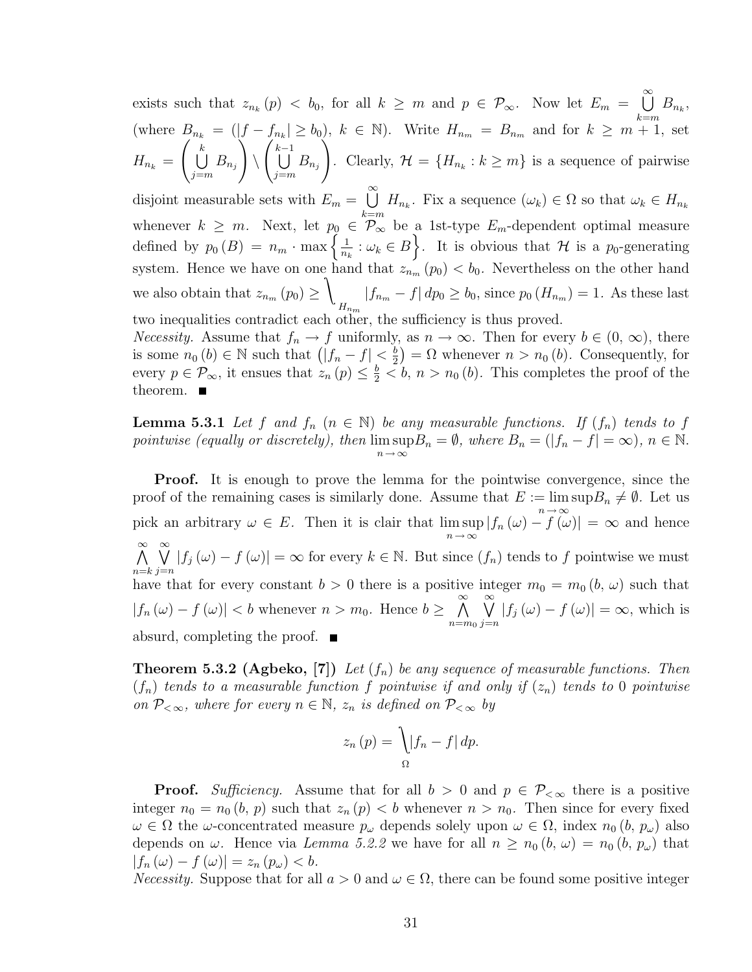exists such that  $z_{n_k}(p) < b_0$ , for all  $k \geq m$  and  $p \in \mathcal{P}_{\infty}$ . Now let  $E_m =$  $\infty$ (where  $B_{n_k} = (|f - f_{n_k}| \ge b_0)$ ,  $k \in \mathbb{N}$ ). Write  $H_{n_m} = B_{n_m}$  and for  $k \ge m + 1$ , set  $B_{n_k}$  $H_{n_k} =$  $\overline{D}$  $k$  $\bigcup_{j=m} B_{n_j}$  $\overline{J}$  $\setminus$  $\frac{1}{2}$  $k-1$  $\bigcup_{j=m} B_{n_j}$  $\frac{1}{2}$ Clearly,  $\mathcal{H} = \{H_{n_k} : k \geq m\}$  is a sequence of pairwise disjoint measurable sets with  $E_m =$  $\infty$ whenever  $k \geq m$ . Next, let  $p_0 \in \mathcal{P}_{\infty}^{\infty}$  be a 1st-type  $E_m$ -dependent optimal measure  $H_{n_k}$ . Fix a sequence  $(\omega_k) \in \Omega$  so that  $\omega_k \in H_{n_k}$ whenever  $k \geq m$ . Next, let  $p_0$ <br>defined by  $p_0(B) = n_m \cdot \max\left\{\frac{1}{n}\right\}$  $\frac{1}{n_k}$ :  $\omega_k \in B$ . It is obvious that H is a p<sub>0</sub>-generating system. Hence we have on one hand that  $z_{n_m}(p_0) < b_0$ . Nevertheless on the other hand we also obtain that  $z_{n_m}(p_0) \geq$  $\lambda$  $H_{nm}$  $|f_{n_m} - f| dp_0 \ge b_0$ , since  $p_0(H_{n_m}) = 1$ . As these last two inequalities contradict each other, the sufficiency is thus proved.

Necessity. Assume that  $f_n \to f$  uniformly, as  $n \to \infty$ . Then for every  $b \in (0, \infty)$ , there *Necessity.* Assume that  $J_n \to J$  uniformly<br>is some  $n_0(b) \in \mathbb{N}$  such that  $(|f_n - f| < \frac{b}{2})$  $\left(\frac{b}{2}\right) = \Omega$  whenever  $n > n_0(b)$ . Consequently, for every  $p \in \mathcal{P}_{\infty}$ , it ensues that  $z_n(p) \leq \frac{b}{2} < b$ ,  $n > n_0(b)$ . This completes the proof of the theorem.  $\blacksquare$ 

**Lemma 5.3.1** Let f and  $f_n$   $(n \in \mathbb{N})$  be any measurable functions. If  $(f_n)$  tends to f pointwise (equally or discretely), then lim sup  $\limsup_{n \to \infty} B_n = \emptyset$ , where  $B_n = (|f_n - f| = \infty)$ ,  $n \in \mathbb{N}$ .

Proof. It is enough to prove the lemma for the pointwise convergence, since the proof of the remaining cases is similarly done. Assume that  $E := \limsup B_n \neq \emptyset$ . Let us pick an arbitrary  $\omega \in E$ . Then it is clair that  $\limsup |f_n(\omega) - f(\omega)|$  $\limsup_{n \to \infty} |f_n(\omega) - f(\omega)| = \infty$  and hence  $\infty$   $\infty$  $n=k j=n$  $|f_j(\omega) - f(\omega)| = \infty$  for every  $k \in \mathbb{N}$ . But since  $(f_n)$  tends to f pointwise we must have that for every constant  $b > 0$  there is a positive integer  $m_0 = m_0 (b, \omega)$  such that  $|f_n(\omega) - f(\omega)| < b$  whenever  $n > m_0$ . Hence  $b \geq$  $\infty$  $n = m<sub>0</sub>$  $\infty$  $j=n$  $|f_j(\omega) - f(\omega)| = \infty$ , which is absurd, completing the proof.

**Theorem 5.3.2 (Agbeko, [7])** Let  $(f_n)$  be any sequence of measurable functions. Then  $(f_n)$  tends to a measurable function f pointwise if and only if  $(z_n)$  tends to 0 pointwise on  $P_{< \infty}$ , where for every  $n \in \mathbb{N}$ ,  $z_n$  is defined on  $P_{< \infty}$  by

$$
z_n(p) = \int_{\Omega} |f_n - f| \, dp.
$$

**Proof.** Sufficiency. Assume that for all  $b > 0$  and  $p \in \mathcal{P}_{< \infty}$  there is a positive integer  $n_0 = n_0 (b, p)$  such that  $z_n (p) < b$  whenever  $n > n_0$ . Then since for every fixed  $\omega \in \Omega$  the  $\omega$ -concentrated measure  $p_{\omega}$  depends solely upon  $\omega \in \Omega$ , index  $n_0$   $(b, p_{\omega})$  also depends on  $\omega$ . Hence via Lemma 5.2.2 we have for all  $n \ge n_0 (b, \omega) = n_0 (b, p_\omega)$  that  $|f_n(\omega) - f(\omega)| = z_n (p_\omega) < b.$ 

Necessity. Suppose that for all  $a > 0$  and  $\omega \in \Omega$ , there can be found some positive integer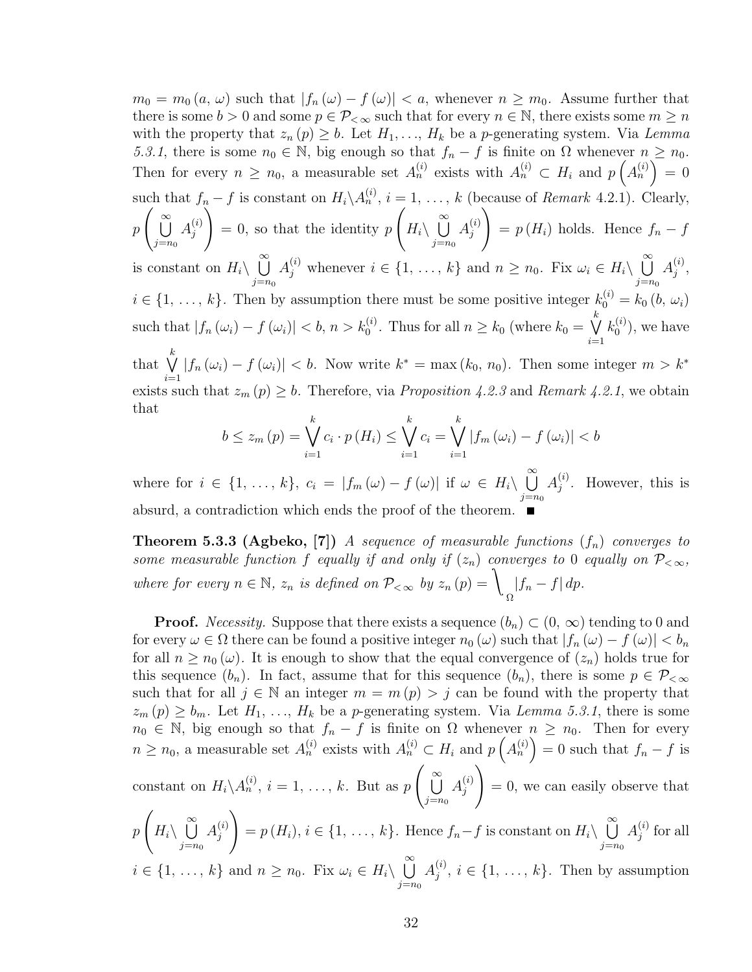$m_0 = m_0 (a, \omega)$  such that  $|f_n(\omega) - f(\omega)| < a$ , whenever  $n \geq m_0$ . Assume further that there is some  $b > 0$  and some  $p \in \mathcal{P}_{< \infty}$  such that for every  $n \in \mathbb{N}$ , there exists some  $m \geq n$ with the property that  $z_n(p) \geq b$ . Let  $H_1, \ldots, H_k$  be a p-generating system. Via Lemma 5.3.1, there is some  $n_0 \in \mathbb{N}$ , big enough so that  $f_n - f$  is finite on  $\Omega$  whenever  $n \geq n_0$ . Then for every  $n \geq n_0$ , a measurable set  $A_n^{(i)}$  exists with  $A_n^{(i)} \subset H_i$  and  $p(A_n^{(i)}) = 0$ such that  $f_n - f$  is constant on  $H_i \backslash A_n^{(i)}$ ,  $i = 1, \ldots, k$  (because of Remark 4.2.1). Clearly, p <sup>1C]</sup>  $\infty$  $j=n_0$  $A_i^{(i)}$ j  $\frac{n}{\sqrt{2}}$  $= 0$ , so that the identity p  $\equiv$  $H_i\setminus$  $\infty$  $j=n_0$  $A_i^{(i)}$ j ec<br>、  $= p(H_i)$  holds. Hence  $f_n - f$ is constant on  $H_i \setminus$  $\infty$  $j=n_0$  $A_j^{(i)}$  whenever  $i \in \{1, \ldots, k\}$  and  $n \geq n_0$ . Fix  $\omega_i \in H_i \setminus$  $\infty$  $j=n_0$  $A_i^{(i)}$  $\genfrac{}{}{0pt}{}{\left\langle i\right\rangle }{j},$  $i \in \{1, \ldots, k\}$ . Then by assumption there must be some positive integer  $k_0^{(i)} = k_0 (b, \omega_i)$ such that  $|f_n(\omega_i) - f(\omega_i)| < b, n > k_0^{(i)}$ . Thus for all  $n \geq k_0$  (where  $k_0 =$  $\mathbf{k}$  $i=1$  $k_0^{(i)}$  $\binom{1}{0}$ , we have that  $\bigvee^k$  $i=1$  $|f_n(\omega_i) - f(\omega_i)| < b$ . Now write  $k^* = \max(k_0, n_0)$ . Then some integer  $m > k^*$ exists such that  $z_m(p) \geq b$ . Therefore, via *Proposition 4.2.3* and *Remark 4.2.1*, we obtain that

$$
b \le z_m(p) = \bigvee_{i=1}^k c_i \cdot p(H_i) \le \bigvee_{i=1}^k c_i = \bigvee_{i=1}^k |f_m(\omega_i) - f(\omega_i)| < b
$$

where for  $i \in \{1, \ldots, k\}, c_i = |f_m(\omega) - f(\omega)|$  if  $\omega \in H_i \setminus$  $\infty$  $j=n_0$  $A_i^{(i)}$  $j^{(i)}$ . However, this is absurd, a contradiction which ends the proof of the theorem.

**Theorem 5.3.3 (Agbeko, [7])** A sequence of measurable functions  $(f_n)$  converges to some measurable function f equally if and only if  $(z_n)$  converges to 0 equally on  $P_{< \infty}$ , where for every  $n \in \mathbb{N}$ ,  $z_n$  is defined on  $\mathcal{P}_{\leq \infty}$  by  $z_n(p) = \mathcal{P}$ Ω  $|f_n - f| dp$ .

**Proof.** Necessity. Suppose that there exists a sequence  $(b_n) \subset (0, \infty)$  tending to 0 and for every  $\omega \in \Omega$  there can be found a positive integer  $n_0(\omega)$  such that  $|f_n(\omega) - f(\omega)| < b_n$ for all  $n \geq n_0(\omega)$ . It is enough to show that the equal convergence of  $(z_n)$  holds true for this sequence  $(b_n)$ . In fact, assume that for this sequence  $(b_n)$ , there is some  $p \in \mathcal{P}_{< \infty}$ such that for all  $j \in \mathbb{N}$  an integer  $m = m(p) > j$  can be found with the property that  $z_m(p) \ge b_m$ . Let  $H_1, \ldots, H_k$  be a p-generating system. Via Lemma 5.3.1, there is some  $n_0 \in \mathbb{N}$ , big enough so that  $f_n - f$  is finite on  $\Omega$  whenever  $n \geq n_0$ . Then for every  $n \geq n_0$ , a measurable set  $A_n^{(i)}$  exists with  $A_n^{(i)} \subset H_i$  and  $p\left(A_n^{(i)}\right) = 0$  such that  $f_n - f$  is constant on  $H_i \backslash A_n^{(i)}$ ,  $i = 1, \ldots, k$ . But as p  $\overline{a}$  $\infty$  $j=n_0$  $A_i^{(i)}$ j !<br>\  $= 0$ , we can easily observe that  $p\mid H_i\setminus$ Ã !  $\infty$  $j=n_0$  $A_i^{(i)}$  $j_j^{(i)}$  =  $p(H_i)$ ,  $i \in \{1, \ldots, k\}$ . Hence  $f_n - f$  is constant on  $H_i \setminus$  $\infty$  $j=n_0$  $A_i^{(i)}$  $j^{(i)}$  for all  $i \in \{1, \ldots, k\}$  and  $n \geq n_0$ . Fix  $\omega_i \in H_i \setminus$  $\infty$  $A_i^{(i)}$  $j^{(i)}$ ,  $i \in \{1, \ldots, k\}$ . Then by assumption

 $j=n_0$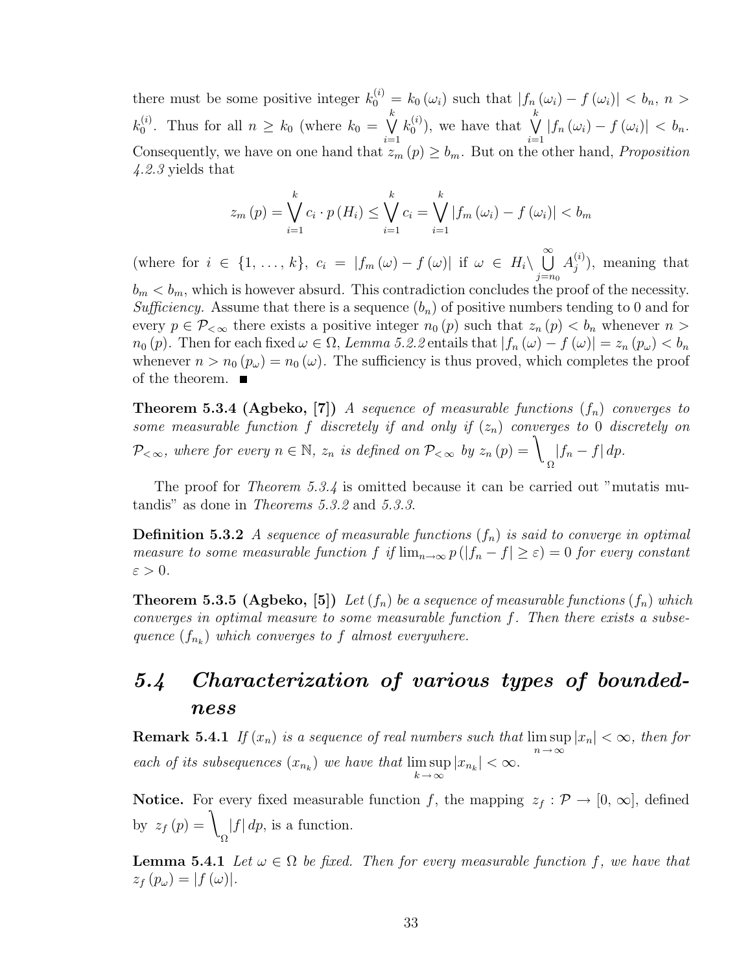there must be some positive integer  $k_0^{(i)} = k_0(\omega_i)$  such that  $|f_n(\omega_i) - f(\omega_i)| < b_n$ ,  $n >$  $k_0^{(i)}$  $\binom{v}{0}$ . Thus for all  $n \geq k_0$  (where  $k_0 =$  $k$  $i=1$  $k_0^{(i)}$  $\binom{i}{0}$ , we have that  $\bigvee^k$  $i=1$  $|f_n(\omega_i) - f(\omega_i)| < b_n.$ Consequently, we have on one hand that  $z_m(p) \geq b_m$ . But on the other hand, *Proposition* 4.2.3 yields that

$$
z_{m}(p) = \bigvee_{i=1}^{k} c_{i} \cdot p(H_{i}) \le \bigvee_{i=1}^{k} c_{i} = \bigvee_{i=1}^{k} |f_{m}(\omega_{i}) - f(\omega_{i})| < b_{m}
$$

(where for  $i \in \{1, \ldots, k\}, c_i = |f_m(\omega) - f(\omega)|$  if  $\omega \in H_i \setminus$  $\infty$  $j=n_0$  $A_i^{(i)}$  $j^{(i)}$ , meaning that

 $b_m < b_m$ , which is however absurd. This contradiction concludes the proof of the necessity. Sufficiency. Assume that there is a sequence  $(b_n)$  of positive numbers tending to 0 and for every  $p \in \mathcal{P}_{< \infty}$  there exists a positive integer  $n_0(p)$  such that  $z_n(p) < b_n$  whenever  $n >$  $n_0(p)$ . Then for each fixed  $\omega \in \Omega$ , Lemma 5.2.2 entails that  $|f_n(\omega) - f(\omega)| = z_n(p_\omega) < b_n$ whenever  $n > n_0(p_\omega) = n_0(\omega)$ . The sufficiency is thus proved, which completes the proof of the theorem.  $\blacksquare$ 

**Theorem 5.3.4 (Agbeko, [7])** A sequence of measurable functions  $(f_n)$  converges to some measurable function f discretely if and only if  $(z_n)$  converges to 0 discretely on  $\mathcal{P}_{<\infty}$ , where for every  $n \in \mathbb{N}$ ,  $z_n$  is defined on  $\mathcal{P}_{<\infty}$  by  $z_n(p) = \mathcal{P}_{<\infty}$ Ω  $|f_n - f| dp.$ 

The proof for *Theorem 5.3.4* is omitted because it can be carried out "mutatis mutandis" as done in Theorems 5.3.2 and 5.3.3.

**Definition 5.3.2** A sequence of measurable functions  $(f_n)$  is said to converge in optimal measure to some measurable function f if  $\lim_{n\to\infty} p(|f_n - f| \geq \varepsilon) = 0$  for every constant  $\varepsilon > 0$ .

**Theorem 5.3.5 (Agbeko, [5])** Let  $(f_n)$  be a sequence of measurable functions  $(f_n)$  which converges in optimal measure to some measurable function f. Then there exists a subsequence  $(f_{n_k})$  which converges to f almost everywhere.

## 5.4 Characterization of various types of boundedness

**Remark 5.4.1** If  $(x_n)$  is a sequence of real numbers such that  $\limsup_{n\to\infty} |x_n| < \infty$ , then for each of its subsequences  $(x_{n_k})$  we have that  $\limsup$  $\max_{k \to \infty} |x_{n_k}| < \infty.$ 

**Notice.** For every fixed measurable function f, the mapping  $z_f : \mathcal{P} \to [0, \infty]$ , defined by  $z_f(p) = \sqrt{\frac{\sum_{i=1}^{n} z_i^2}{n}}$ Ω  $|f| dp$ , is a function.

**Lemma 5.4.1** Let  $\omega \in \Omega$  be fixed. Then for every measurable function f, we have that  $z_f(p_\omega) = |f(\omega)|.$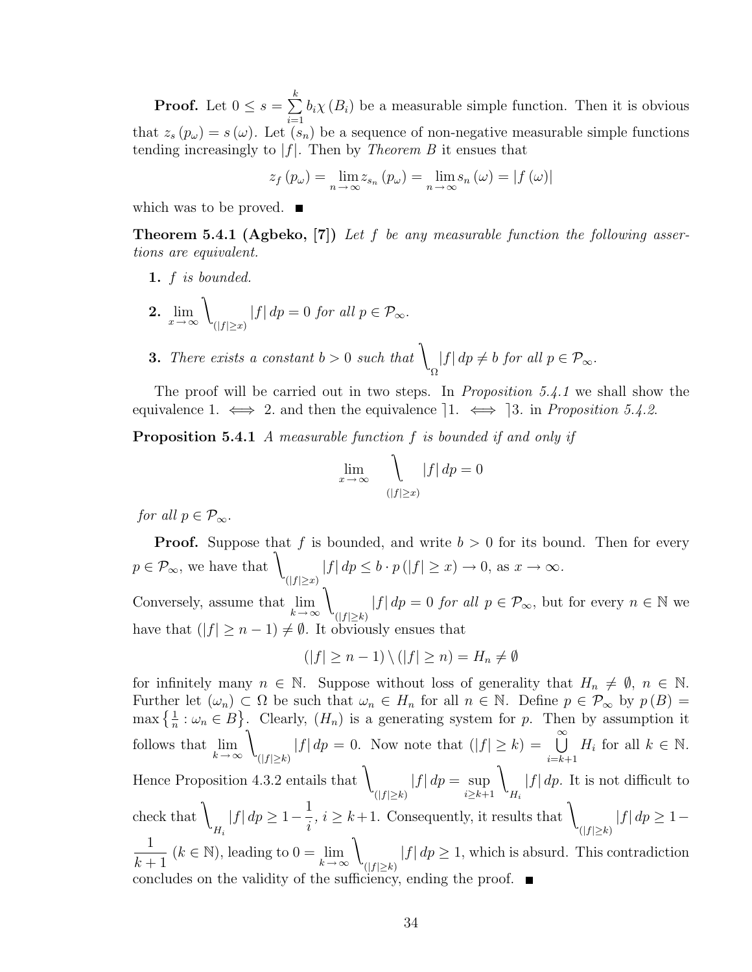**Proof.** Let  $0 \leq s =$  $\frac{k}{2}$  $i=1$  $b_i\chi(B_i)$  be a measurable simple function. Then it is obvious that  $z_s(p_\omega) = s(\omega)$ . Let  $(s_n)$  be a sequence of non-negative measurable simple functions tending increasingly to  $|f|$ . Then by *Theorem B* it ensues that

$$
z_f(p_\omega) = \lim_{n \to \infty} z_{s_n}(p_\omega) = \lim_{n \to \infty} s_n(\omega) = |f(\omega)|
$$

which was to be proved.  $\blacksquare$ 

**Theorem 5.4.1 (Agbeko, [7])** Let f be any measurable function the following assertions are equivalent.

1.  $f$  is bounded.

**2.** 
$$
\lim_{x \to \infty} \int_{(|f| \ge x)} |f| \, dp = 0 \text{ for all } p \in \mathcal{P}_{\infty}.
$$

**3.** There exists a constant  $b > 0$  such that  $\big\}$ Ω  $|f| dp \neq b$  for all  $p \in \mathcal{P}_{\infty}$ .

The proof will be carried out in two steps. In *Proposition 5.4.1* we shall show the equivalence 1.  $\iff$  2. and then the equivalence 1.  $\iff$  3. in Proposition 5.4.2.

Proposition 5.4.1 A measurable function f is bounded if and only if

$$
\lim_{x \to \infty} \quad \bigcup_{(|f| \ge x)} |f| \, dp = 0
$$

for all  $p \in \mathcal{P}_{\infty}$ .

**Proof.** Suppose that f is bounded, and write  $b > 0$  for its bound. Then for every  $p \in \mathcal{P}_{\infty}$ , we have that  $\setminus$  $(|f| \geq x)$  $|f| dp \leq b \cdot p (|f| \geq x) \to 0$ , as  $x \to \infty$ . Conversely, assume that  $\lim_{k \to \infty}$  $\lambda$  $(|f| \geq k)$  $|f| dp = 0$  for all  $p \in \mathcal{P}_{\infty}$ , but for every  $n \in \mathbb{N}$  we have that  $(|f| \ge n - 1) \ne \emptyset$ . It obviously ensues that

$$
(|f| \ge n - 1) \setminus (|f| \ge n) = H_n \ne \emptyset
$$

for infinitely many  $n \in \mathbb{N}$ . Suppose without loss of generality that  $H_n \neq \emptyset$ ,  $n \in \mathbb{N}$ . Further let  $(\omega_n) \subset \Omega$  be such that  $\omega_n \in H_n$  for all  $n \in \mathbb{N}$ . Define  $p \in \mathcal{P}_{\infty}$  by  $p(B) =$ Furtner let  $(\omega_n) \subset \Omega$  be such that  $\omega_n \in H_n$  for all  $n \in \mathbb{N}$ . Denne  $p \in \mathcal{P}_{\infty}$  by  $p(B) =$ <br>max  $\{\frac{1}{n} : \omega_n \in B\}$ . Clearly,  $(H_n)$  is a generating system for p. Then by assumption it follows that  $\lim_{k \to \infty}$  $\lambda$  $(|f| \geq k)$  $|f| dp = 0$ . Now note that  $(|f| \ge k) = \bigcup_{k=0}^{\infty}$  $\frac{i=k+1}{k+1}$  $H_i$  for all  $k \in \mathbb{N}$ . Hence Proposition 4.3.2 entails that  $\langle \rangle$  $(|f| \geq k)$  $|f| dp = \sup$  $i \geq k+1$  $\lambda$  $H_i$  $|f| dp$ . It is not difficult to check that \  $H_i$  $|f| dp \geq 1-$ 1 i  $, i \geq k+1$ . Consequently, it results that  $\lambda$  $(|f| \geq k)$  $|f| dp \geq 1-$ 1  $k+1$  $(k \in \mathbb{N})$ , leading to  $0 = \lim_{k \to \infty}$  $\lambda$  $(|f|\geq k)$  $|f| dp \geq 1$ , which is absurd. This contradiction concludes on the validity of the sufficiency, ending the proof.  $\blacksquare$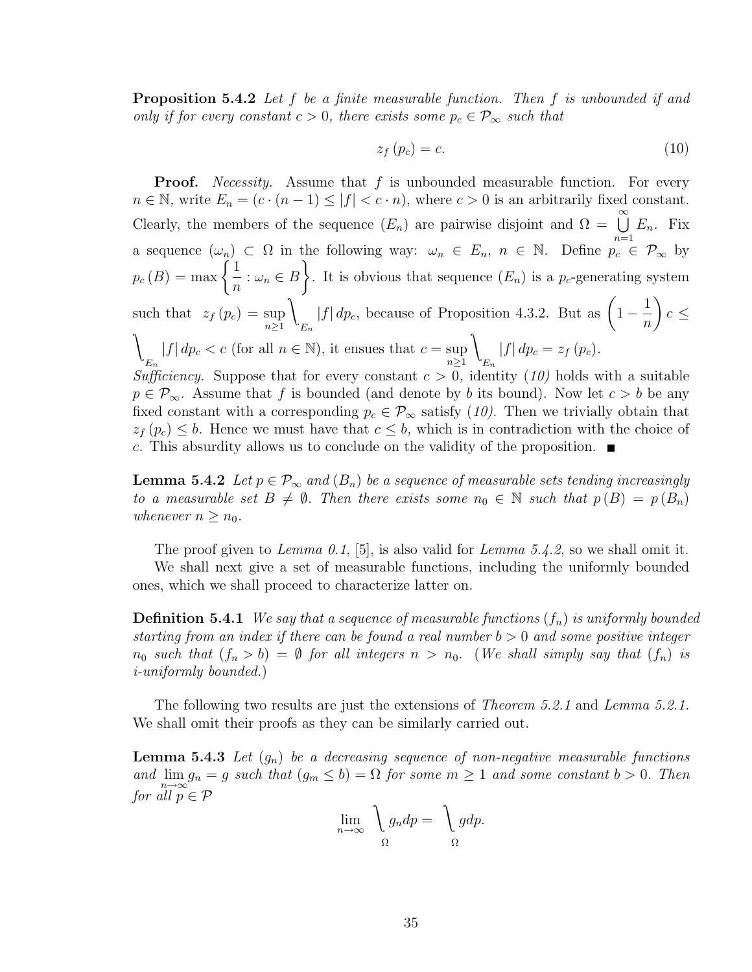**Proposition 5.4.2** Let f be a finite measurable function. Then f is unbounded if and only if for every constant  $c > 0$ , there exists some  $p_c \in \mathcal{P}_{\infty}$  such that

$$
z_f(p_c) = c.\t\t(10)
$$

**Proof.** Necessity. Assume that  $f$  is unbounded measurable function. For every  $n \in \mathbb{N}$ , write  $E_n = (c \cdot (n-1) \le |f| < c \cdot n)$ , where  $c > 0$  is an arbitrarily fixed constant. Clearly, the members of the sequence  $(E_n)$  are pairwise disjoint and  $\Omega = \bigcup_{n=0}^{\infty}$  $n=1$  $E_n$ . Fix a sequence  $(\omega_n) \subset \Omega$  in the following way:  $\omega_n \in E_n$ ,  $n \in \mathbb{N}$ . Define  $p_c \in \mathcal{P}_{\infty}$  by a sequence  $\omega_n$ <br>  $p_c(B) = \max \left\{ \begin{array}{c} 0 & \text{if } b \leq 1, \ \text{if } b \leq 2. \end{array} \right\}$ 1  $\frac{1}{n}$ :  $\omega_n \in B$ . It is obvious that sequence  $(E_n)$  is a  $p_c$ -generating system such that  $z_f(p_c) = \sup_{n \geq 1}$  $\lambda$  $E_n$  $|f| dp_c$ , because of Proposition 4.3.2. But as  $(1 -$ 1 n  $\mathbf{r}$  $c \leq$  $\lambda$  $E_n$  $|f| dp_c < c$  (for all  $n \in \mathbb{N}$ ), it ensues that  $c = \sup_{n \ge 1}$  $\lambda$  $E_n$  $|f| dp_c = z_f(p_c).$ Sufficiency. Suppose that for every constant  $c > 0$ , identity  $(10)$  holds with a suitable  $p \in \mathcal{P}_{\infty}$ . Assume that f is bounded (and denote by b its bound). Now let  $c > b$  be any fixed constant with a corresponding  $p_c \in \mathcal{P}_{\infty}$  satisfy (10). Then we trivially obtain that  $z_f(p_c) \leq b$ . Hence we must have that  $c \leq b$ , which is in contradiction with the choice of c. This absurdity allows us to conclude on the validity of the proposition.  $\blacksquare$ 

**Lemma 5.4.2** Let  $p \in \mathcal{P}_{\infty}$  and  $(B_n)$  be a sequence of measurable sets tending increasingly to a measurable set  $B \neq \emptyset$ . Then there exists some  $n_0 \in \mathbb{N}$  such that  $p(B) = p(B_n)$ whenever  $n \geq n_0$ .

The proof given to Lemma 0.1, [5], is also valid for Lemma 5.4.2, so we shall omit it.

We shall next give a set of measurable functions, including the uniformly bounded ones, which we shall proceed to characterize latter on.

**Definition 5.4.1** We say that a sequence of measurable functions  $(f_n)$  is uniformly bounded starting from an index if there can be found a real number  $b > 0$  and some positive integer  $n_0$  such that  $(f_n > b) = \emptyset$  for all integers  $n > n_0$ . (We shall simply say that  $(f_n)$  is i-uniformly bounded.)

The following two results are just the extensions of *Theorem 5.2.1* and *Lemma 5.2.1*. We shall omit their proofs as they can be similarly carried out.

**Lemma 5.4.3** Let  $(g_n)$  be a decreasing sequence of non-negative measurable functions and  $\lim_{n\to\infty} g_n = g$  such that  $(g_m \leq b) = \Omega$  for some  $m \geq 1$  and some constant  $b > 0$ . Then for all  $p \in \mathcal{P}$ 

$$
\lim_{n \to \infty} \bigvee_{\Omega} g_n dp = \bigvee_{\Omega} g dp.
$$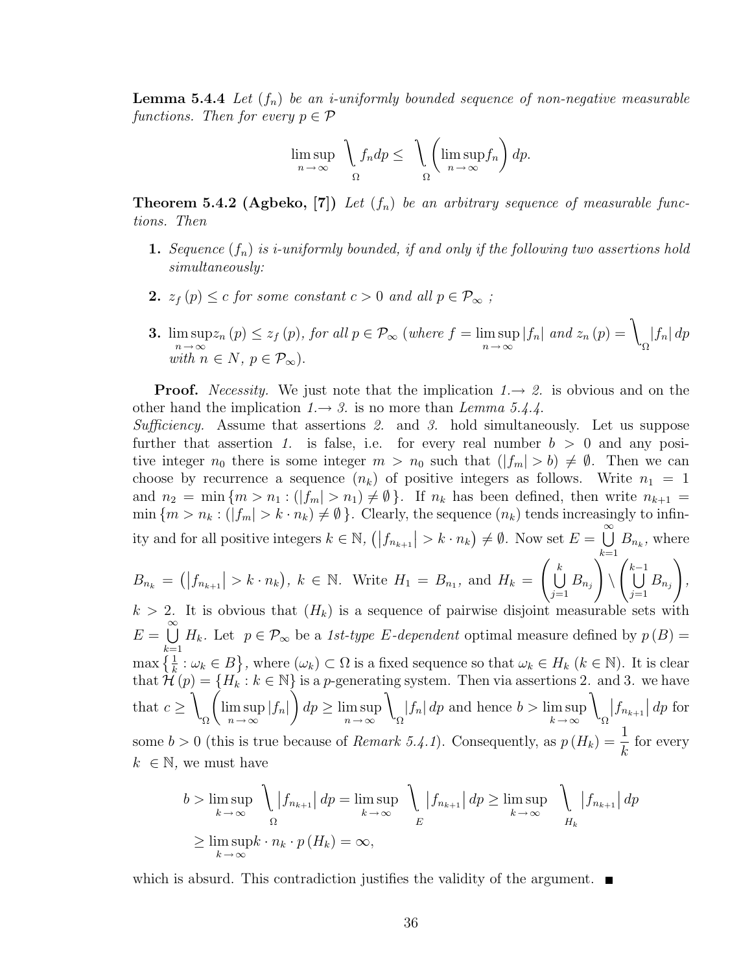**Lemma 5.4.4** Let  $(f_n)$  be an *i*-uniformly bounded sequence of non-negative measurable functions. Then for every  $p \in \mathcal{P}$ 

$$
\limsup_{n \to \infty} \left( \int_{\Omega} f_n dp \leq \left( \limsup_{n \to \infty} f_n \right) dp.
$$

**Theorem 5.4.2 (Agbeko, [7])** Let  $(f_n)$  be an arbitrary sequence of measurable functions. Then

- **1.** Sequence  $(f_n)$  is *i*-uniformly bounded, if and only if the following two assertions hold simultaneously:
- 2.  $z_f(p) \leq c$  for some constant  $c > 0$  and all  $p \in \mathcal{P}_{\infty}$ ;
- 3. lim sup  $\limsup_{n\to\infty} z_n(p) \leq z_f(p)$ , for all  $p \in \mathcal{P}_{\infty}$  (where  $f = \limsup_{n\to\infty} |f_n|$  and  $z_n(p) = \infty$ Ω  $|f_n| dp$ with  $n \in N$ ,  $p \in \mathcal{P}_{\infty}$ ).

**Proof.** Necessity. We just note that the implication  $1 \rightarrow 2$ . is obvious and on the other hand the implication  $1 \rightarrow 3$ . is no more than Lemma 5.4.4.

Sufficiency. Assume that assertions 2. and 3. hold simultaneously. Let us suppose further that assertion 1. is false, i.e. for every real number  $b > 0$  and any positive integer  $n_0$  there is some integer  $m > n_0$  such that  $(|f_m| > b) \neq \emptyset$ . Then we can choose by recurrence a sequence  $(n_k)$  of positive integers as follows. Write  $n_1 = 1$ and  $n_2 = \min \{m > n_1 : (|f_m| > n_1) \neq \emptyset\}$ . If  $n_k$  has been defined, then write  $n_{k+1} =$  $\min \{m > n_k : (|f_m| > k \cdot n_k) \neq \emptyset \}.$  Clearly, the sequence  $(n_k)$  tends increasingly to infinity and for all positive integers  $k \in \mathbb{N}$ ,  $(|f_{n_{k+1}}| > k \cdot n_k)$  $\neq \emptyset$ . Now set  $E =$  $\infty$  $\bigcup_{k=1} B_{n_k}$ , where  $k=1$ 

$$
B_{n_k} = (|f_{n_{k+1}}| > k \cdot n_k), \ k \in \mathbb{N}.
$$
 Write  $H_1 = B_{n_1}$ , and  $H_k = \left(\bigcup_{j=1}^k B_{n_j}\right) \setminus \left(\bigcup_{j=1}^{k-1} B_{n_j}\right),$   
 $k > 2$ . It is obvious that  $(H_1)$  is a sequence of pairwise disjoint measurable sets with

 $k > 2$ . It is obvious that  $(H_k)$  is a sequence of pairwise disjoint measurable sets with  $E =$  $\infty$  $k=1$  $H_k$ . Let  $p \in \mathcal{P}_{\infty}$  be a 1st-type E-dependent optimal measure defined by  $p(B)$  =  $\max\left\{\frac{1}{k}:\omega_k\in B\right\}$ ª , where  $(\omega_k) \subset \Omega$  is a fixed sequence so that  $\omega_k \in H_k$   $(k \in \mathbb{N})$ . It is clear that  $\mathcal{H}(p) = \{H_k : k \in \mathbb{N}\}\$  is a p-generating system. Then via assertions 2. and 3. we have that  $c \geq$  $\lambda$ Ω lim sup  $\limsup_{n\to\infty} |f_n|$   $\left\{ dp \geq \limsup_{n\to\infty}$  $n \rightarrow \infty$  $\lambda$ Ω  $|f_n| dp$  and hence  $b > \limsup$  $k \rightarrow \infty$  $\lambda$ Ω  $\left|f_{n_{k+1}}\right| dp$  for some  $b > 0$  (this is true because of *Remark 5.4.1*). Consequently, as  $p(H_k) = \frac{1}{k}$ for every  $k \in \mathbb{N}$ , we must have

$$
b > \limsup_{k \to \infty} \left( |f_{n_{k+1}}| \, dp = \limsup_{k \to \infty} \left( |f_{n_{k+1}}| \, dp \right) \right) = \limsup_{k \to \infty} \left( |f_{n_{k+1}}| \, dp \right) \leq \limsup_{k \to \infty} \left( |f_{n_{k+1}}| \, dp \right)
$$
  

$$
\geq \limsup_{k \to \infty} k \cdot n_k \cdot p(H_k) = \infty,
$$

which is absurd. This contradiction justifies the validity of the argument.  $\blacksquare$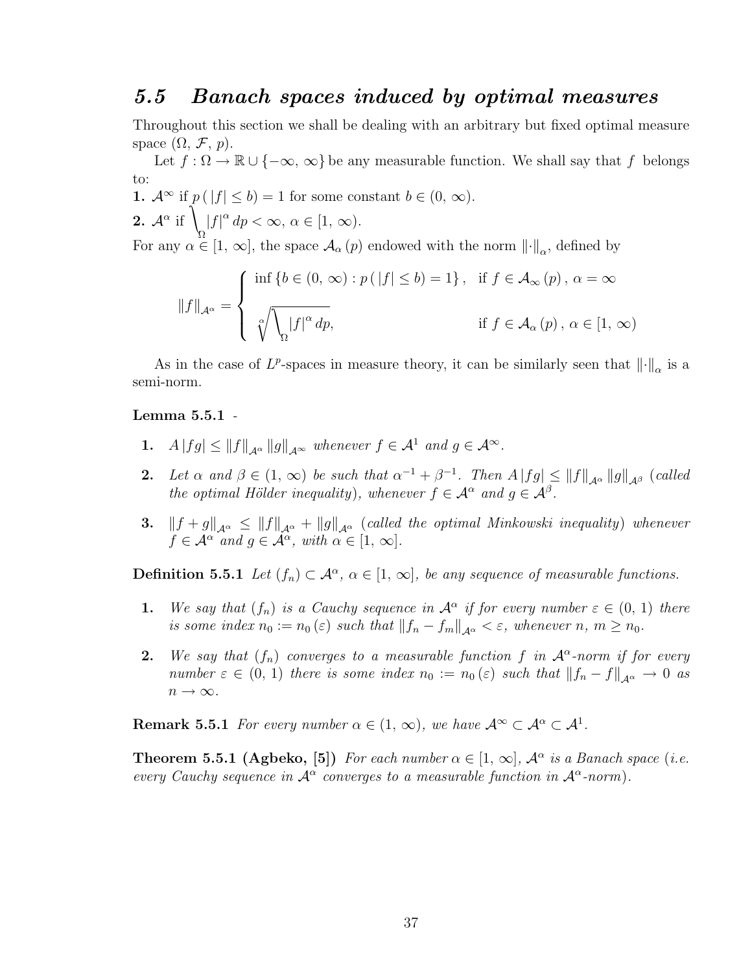#### 5.5 Banach spaces induced by optimal measures

Throughout this section we shall be dealing with an arbitrary but fixed optimal measure space  $(\Omega, \mathcal{F}, p)$ .

Let  $f : \Omega \to \mathbb{R} \cup \{-\infty, \infty\}$  be any measurable function. We shall say that f belongs to:

1.  $\mathcal{A}^{\infty}$  if  $p(|f| \leq b) = 1$  for some constant  $b \in (0, \infty)$ . **2.**  $\mathcal{A}^{\alpha}$  if  $\int |f|^{\alpha} dp < \infty, \alpha \in [1, \infty).$ For any  $\alpha \in [1, \infty]$ , the space  $\mathcal{A}_{\alpha}(p)$  endowed with the norm  $\left\|\cdot\right\|_{\alpha}$ , defined by

$$
||f||_{\mathcal{A}^{\alpha}} = \begin{cases} \inf \{b \in (0, \infty) : p(|f| \le b) = 1\}, & \text{if } f \in \mathcal{A}_{\infty}(p), \alpha = \infty \\ \sqrt[\alpha]{\sqrt{\log |f|^{\alpha} dp}}, & \text{if } f \in \mathcal{A}_{\alpha}(p), \alpha \in [1, \infty) \end{cases}
$$

As in the case of  $L^p$ -spaces in measure theory, it can be similarly seen that  $\left\|\cdot\right\|_{\alpha}$  is a semi-norm.

#### Lemma 5.5.1 -

- 1.  $A |fg| \leq ||f||_{A^{\alpha}} ||g||_{A^{\infty}}$  whenever  $f \in A^1$  and  $g \in A^{\infty}$ .
- 2. Let  $\alpha$  and  $\beta \in (1, \infty)$  be such that  $\alpha^{-1} + \beta^{-1}$ . Then  $A |fg| \leq ||f||_{\mathcal{A}^{\alpha}} ||g||_{\mathcal{A}^{\beta}}$  (called the optimal Hölder inequality), whenever  $f \in \mathcal{A}^{\alpha}$  and  $g \in \mathcal{A}^{\beta}$ .
- 3.  $||f + g||_{\mathcal{A}^{\alpha}} \leq ||f||_{\mathcal{A}^{\alpha}} + ||g||_{\mathcal{A}^{\alpha}}$  (called the optimal Minkowski inequality) whenever  $f \in \mathcal{A}^{\alpha}$  and  $g \in \mathcal{A}^{\alpha}$ , with  $\alpha \in [1, \infty]$ .

**Definition 5.5.1** Let  $(f_n) \subset \mathcal{A}^{\alpha}, \alpha \in [1, \infty]$ , be any sequence of measurable functions.

- **1.** We say that  $(f_n)$  is a Cauchy sequence in  $\mathcal{A}^{\alpha}$  if for every number  $\varepsilon \in (0, 1)$  there is some index  $n_0 := n_0(\varepsilon)$  such that  $||f_n - f_m||_{\mathcal{A}^{\alpha}} < \varepsilon$ , whenever  $n, m \ge n_0$ .
- **2.** We say that  $(f_n)$  converges to a measurable function f in  $\mathcal{A}^{\alpha}$ -norm if for every number  $\varepsilon \in (0, 1)$  there is some index  $n_0 := n_0(\varepsilon)$  such that  $||f_n - f||_{\mathcal{A}^{\alpha}} \to 0$  as  $n\to\infty.$

**Remark 5.5.1** For every number  $\alpha \in (1, \infty)$ , we have  $\mathcal{A}^{\infty} \subset \mathcal{A}^{\alpha} \subset \mathcal{A}^1$ .

**Theorem 5.5.1 (Agbeko, [5])** For each number  $\alpha \in [1, \infty]$ ,  $\mathcal{A}^{\alpha}$  is a Banach space (i.e. every Cauchy sequence in  $\mathcal{A}^{\alpha}$  converges to a measurable function in  $\mathcal{A}^{\alpha}$ -norm).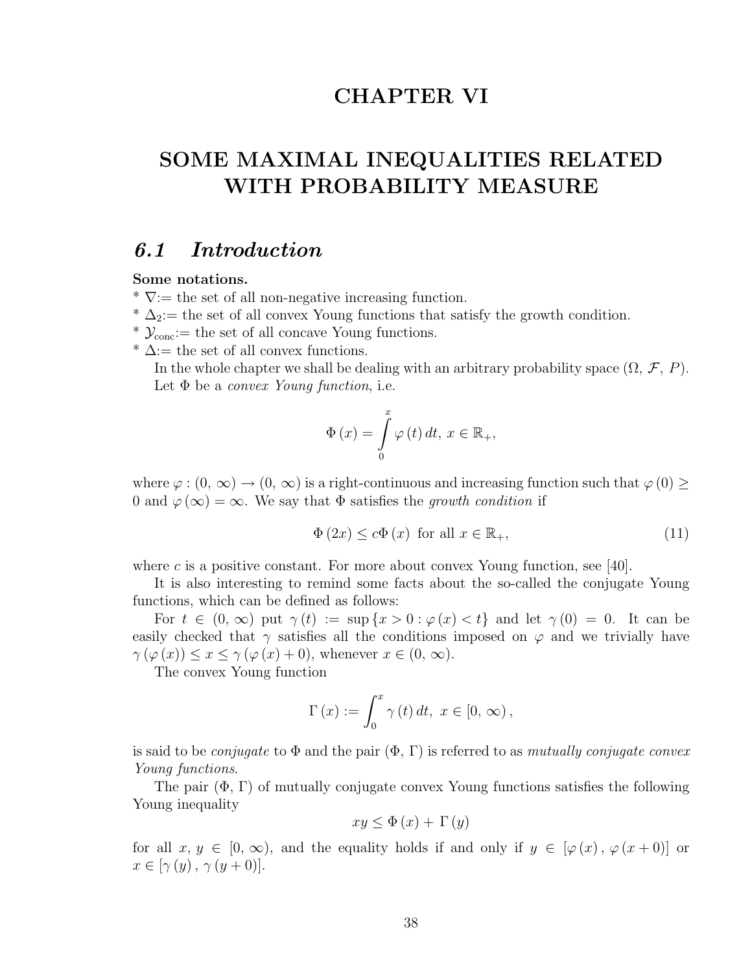### CHAPTER VI

# SOME MAXIMAL INEQUALITIES RELATED WITH PROBABILITY MEASURE

#### 6.1 Introduction

#### Some notations.

 $\overline{\mathbf{v}}$ : the set of all non-negative increasing function.

 $* \Delta_2$ : the set of all convex Young functions that satisfy the growth condition.

\*  $\mathcal{Y}_{\text{conc}}$ : the set of all concave Young functions.

 $* \Delta :=$  the set of all convex functions.

In the whole chapter we shall be dealing with an arbitrary probability space  $(\Omega, \mathcal{F}, P)$ . Let  $\Phi$  be a *convex Young function*, i.e.

$$
\Phi\left(x\right) = \int\limits_{0}^{x} \varphi\left(t\right) dt, \, x \in \mathbb{R}_{+},
$$

where  $\varphi: (0, \infty) \to (0, \infty)$  is a right-continuous and increasing function such that  $\varphi(0) \ge$ 0 and  $\varphi(\infty) = \infty$ . We say that  $\Phi$  satisfies the growth condition if

$$
\Phi\left(2x\right) \le c\Phi\left(x\right) \text{ for all } x \in \mathbb{R}_+, \tag{11}
$$

where c is a positive constant. For more about convex Young function, see [40].

It is also interesting to remind some facts about the so-called the conjugate Young functions, which can be defined as follows:

For  $t \in (0, \infty)$  put  $\gamma(t) := \sup\{x > 0 : \varphi(x) < t\}$  and let  $\gamma(0) = 0$ . It can be easily checked that  $\gamma$  satisfies all the conditions imposed on  $\varphi$  and we trivially have  $\gamma(\varphi(x)) \leq x \leq \gamma(\varphi(x) + 0)$ , whenever  $x \in (0, \infty)$ .

The convex Young function

$$
\Gamma(x) := \int_0^x \gamma(t) dt, \ x \in [0, \infty),
$$

is said to be *conjugate* to  $\Phi$  and the pair  $(\Phi, \Gamma)$  is referred to as *mutually conjugate convex* Young functions.

The pair  $(\Phi, \Gamma)$  of mutually conjugate convex Young functions satisfies the following Young inequality

$$
xy \le \Phi(x) + \Gamma(y)
$$

for all  $x, y \in [0, \infty)$ , and the equality holds if and only if  $y \in [\varphi(x), \varphi(x+0)]$  or  $x \in [\gamma(y), \gamma(y+0)].$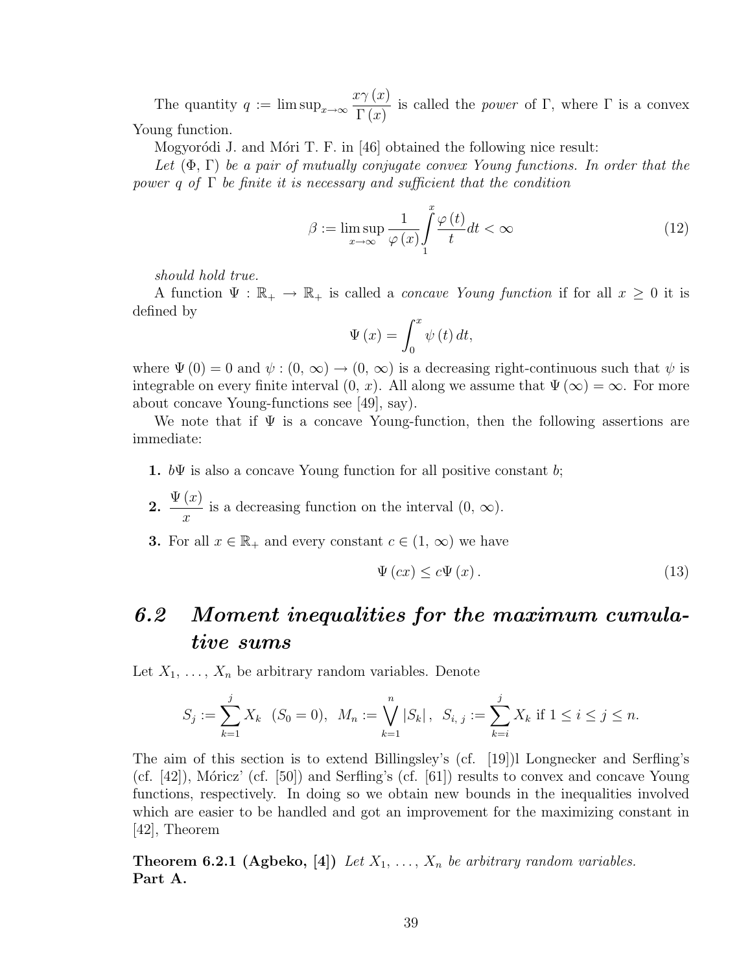The quantity  $q := \limsup_{x \to \infty}$  $x\gamma(x)$  $\Gamma(x)$ is called the *power* of Γ, where Γ is a convex Young function.

Mogyoródi J. and Móri T. F. in [46] obtained the following nice result:

Let  $(\Phi, \Gamma)$  be a pair of mutually conjugate convex Young functions. In order that the power q of  $\Gamma$  be finite it is necessary and sufficient that the condition

$$
\beta := \limsup_{x \to \infty} \frac{1}{\varphi(x)} \int_{1}^{x} \frac{\varphi(t)}{t} dt < \infty \tag{12}
$$

should hold true.

A function  $\Psi : \mathbb{R}_+ \to \mathbb{R}_+$  is called a *concave Young function* if for all  $x \geq 0$  it is defined by

$$
\Psi\left(x\right) = \int_0^x \psi\left(t\right) dt,
$$

where  $\Psi(0) = 0$  and  $\psi : (0, \infty) \to (0, \infty)$  is a decreasing right-continuous such that  $\psi$  is integrable on every finite interval  $(0, x)$ . All along we assume that  $\Psi(\infty) = \infty$ . For more about concave Young-functions see [49], say).

We note that if  $\Psi$  is a concave Young-function, then the following assertions are immediate:

- 1.  $b\Psi$  is also a concave Young function for all positive constant b;
- 2.  $\Psi(x)$  $\hat{x}$ is a decreasing function on the interval  $(0, \infty)$ .

**3.** For all  $x \in \mathbb{R}_+$  and every constant  $c \in (1, \infty)$  we have

$$
\Psi(cx) \leq c\Psi(x). \tag{13}
$$

# 6.2 Moment inequalities for the maximum cumulative sums

Let  $X_1, \ldots, X_n$  be arbitrary random variables. Denote

$$
S_j := \sum_{k=1}^j X_k \quad (S_0 = 0), \ \ M_n := \bigvee_{k=1}^n |S_k|, \ \ S_{i, j} := \sum_{k=i}^j X_k \text{ if } 1 \le i \le j \le n.
$$

The aim of this section is to extend Billingsley's (cf. [19])l Longnecker and Serfling's (cf.  $[42]$ ), Móricz' (cf.  $[50]$ ) and Serfling's (cf.  $[61]$ ) results to convex and concave Young functions, respectively. In doing so we obtain new bounds in the inequalities involved which are easier to be handled and got an improvement for the maximizing constant in [42], Theorem

**Theorem 6.2.1 (Agbeko, [4])** Let  $X_1, \ldots, X_n$  be arbitrary random variables. Part A.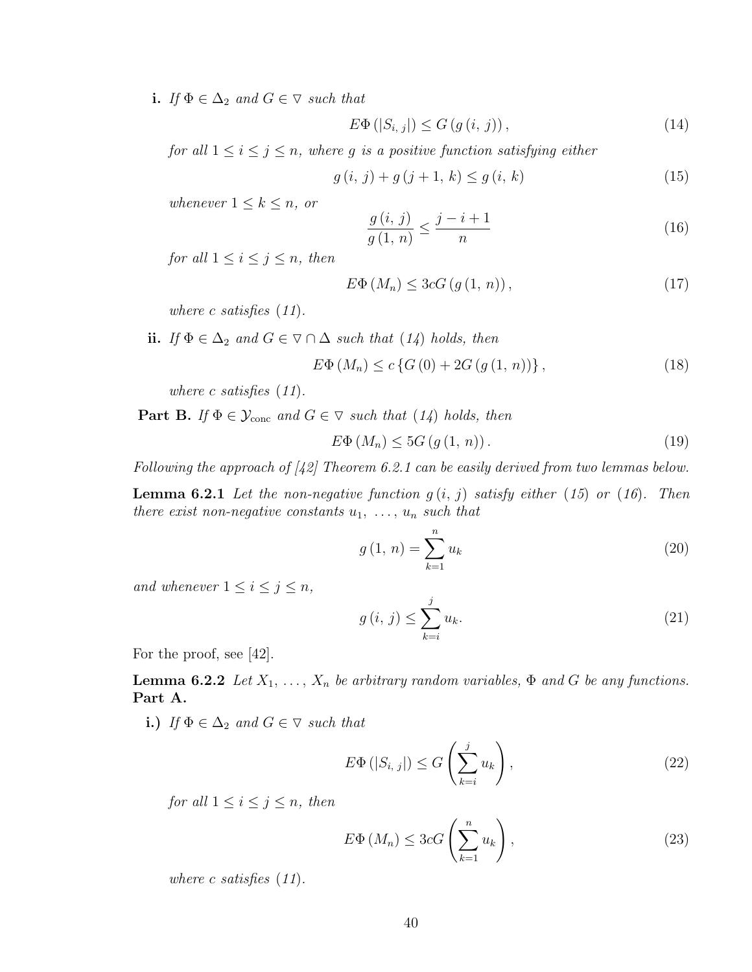i. If  $\Phi \in \Delta_2$  and  $G \in \nabla$  such that

$$
E\Phi\left(|S_{i,j}|\right) \le G\left(g\left(i,j\right)\right),\tag{14}
$$

for all  $1 \leq i \leq j \leq n$ , where g is a positive function satisfying either

$$
g(i, j) + g(j+1, k) \le g(i, k)
$$
\n(15)

whenever  $1 \leq k \leq n$ , or

$$
\frac{g(i,j)}{g(1,n)} \le \frac{j-i+1}{n} \tag{16}
$$

for all  $1 \leq i \leq j \leq n$ , then

$$
E\Phi\left(M_n\right) \leq 3cG\left(g\left(1,\,n\right)\right),\tag{17}
$$

where c satisfies  $(11)$ .

ii. If  $\Phi \in \Delta_2$  and  $G \in \nabla \cap \Delta$  such that  $(14)$  holds, then  $E\Phi(M_n) \leq c \{G(0) + 2G(q(1, n))\},$  (18)

where c satisfies  $(11)$ .

**Part B.** If  $\Phi \in \mathcal{Y}_{conc}$  and  $G \in \nabla$  such that (14) holds, then

$$
E\Phi\left(M_n\right) \le 5G\left(g\left(1,\,n\right)\right). \tag{19}
$$

Following the approach of  $(42)$  Theorem 6.2.1 can be easily derived from two lemmas below.

**Lemma 6.2.1** Let the non-negative function  $g(i, j)$  satisfy either (15) or (16). Then there exist non-negative constants  $u_1, \ldots, u_n$  such that

$$
g(1, n) = \sum_{k=1}^{n} u_k
$$
\n(20)

and whenever  $1 \leq i \leq j \leq n$ ,

$$
g(i, j) \le \sum_{k=i}^{j} u_k. \tag{21}
$$

For the proof, see [42].

**Lemma 6.2.2** Let  $X_1, \ldots, X_n$  be arbitrary random variables,  $\Phi$  and G be any functions. Part A.

i.) If  $\Phi \in \Delta_2$  and  $G \in \nabla$  such that

$$
E\Phi(|S_{i,j}|) \le G\left(\sum_{k=i}^{j} u_k\right),\tag{22}
$$

for all  $1 \leq i \leq j \leq n$ , then

$$
E\Phi\left(M_n\right) \leq 3cG\left(\sum_{k=1}^n u_k\right),\tag{23}
$$

where c satisfies  $(11)$ .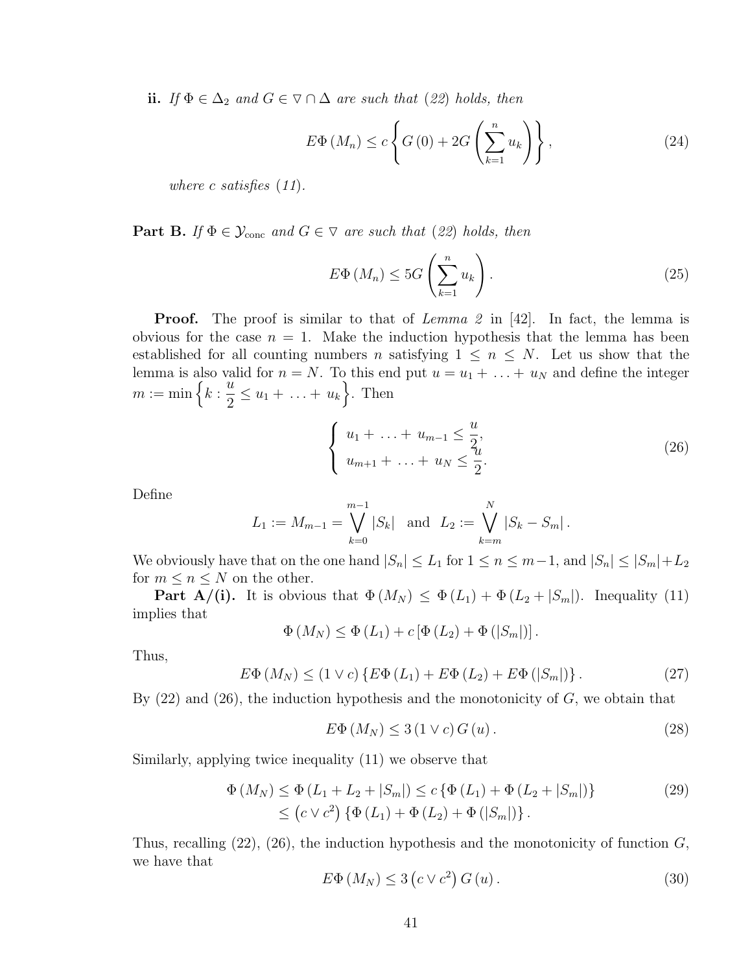ii. If  $\Phi \in \Delta_2$  and  $G \in \nabla \cap \Delta$  are such that (22) holds, then

$$
E\Phi\left(M_n\right) \le c \left\{ G\left(0\right) + 2G\left(\sum_{k=1}^n u_k\right) \right\},\tag{24}
$$

where c satisfies  $(11)$ .

**Part B.** If  $\Phi \in \mathcal{Y}_{\text{conc}}$  and  $G \in \nabla$  are such that (22) holds, then

$$
E\Phi\left(M_n\right) \le 5G\left(\sum_{k=1}^n u_k\right). \tag{25}
$$

**Proof.** The proof is similar to that of Lemma 2 in  $[42]$ . In fact, the lemma is obvious for the case  $n = 1$ . Make the induction hypothesis that the lemma has been established for all counting numbers n satisfying  $1 \leq n \leq N$ . Let us show that the lemma is also valid for  $n = N$ . To this end put  $u = u_1 + \ldots + u_N$  and define the integer lemma is also<br>  $m := \min \left\{ k : \right.$  $\tilde{u}$  $\frac{a}{2} \leq u_1 + \ldots + u_k$ . Then

$$
\begin{cases} u_1 + \ldots + u_{m-1} \leq \frac{u}{2}, \\ u_{m+1} + \ldots + u_N \leq \frac{u}{2}. \end{cases}
$$
 (26)

Define

$$
L_1 := M_{m-1} = \bigvee_{k=0}^{m-1} |S_k| \text{ and } L_2 := \bigvee_{k=m}^{N} |S_k - S_m|.
$$

We obviously have that on the one hand  $|S_n| \le L_1$  for  $1 \le n \le m-1$ , and  $|S_n| \le |S_m| + L_2$ for  $m \leq n \leq N$  on the other.

**Part A/(i).** It is obvious that  $\Phi(M_N) \leq \Phi(L_1) + \Phi(L_2 + |S_m|)$ . Inequality (11) implies that

$$
\Phi(M_N) \leq \Phi(L_1) + c \left[\Phi(L_2) + \Phi(|S_m|)\right].
$$

Thus,

$$
E\Phi\left(M_N\right) \le \left(1 \vee c\right) \left\{E\Phi\left(L_1\right) + E\Phi\left(L_2\right) + E\Phi\left(|S_m|\right)\right\}.
$$
\n(27)

By  $(22)$  and  $(26)$ , the induction hypothesis and the monotonicity of  $G$ , we obtain that

$$
E\Phi\left(M_N\right) \le 3\left(1 \vee c\right)G\left(u\right). \tag{28}
$$

Similarly, applying twice inequality (11) we observe that

$$
\Phi(M_N) \leq \Phi(L_1 + L_2 + |S_m|) \leq c \left\{ \Phi(L_1) + \Phi(L_2 + |S_m|) \right\} \leq (c \vee c^2) \left\{ \Phi(L_1) + \Phi(L_2) + \Phi(|S_m|) \right\}.
$$
\n(29)

Thus, recalling  $(22)$ ,  $(26)$ , the induction hypothesis and the monotonicity of function  $G$ , we have that ¡ ¢

$$
E\Phi\left(M_N\right) \le 3\left(c\vee c^2\right)G\left(u\right). \tag{30}
$$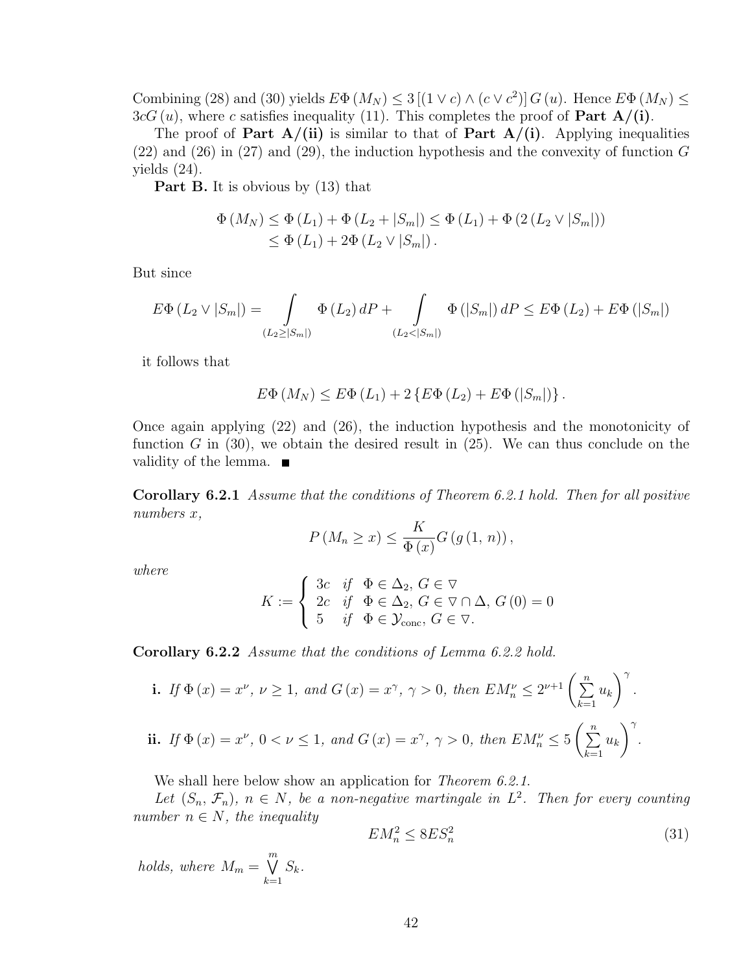Combining (28) and (30) yields  $E\Phi(M_N) \leq 3 [(1 \vee c) \wedge (c \vee c^2)] G(u)$ . Hence  $E\Phi(M_N) \leq$  $3cG(u)$ , where c satisfies inequality (11). This completes the proof of **Part A/(i)**.

The proof of Part  $A/(ii)$  is similar to that of Part  $A/(i)$ . Applying inequalities  $(22)$  and  $(26)$  in  $(27)$  and  $(29)$ , the induction hypothesis and the convexity of function G yields (24).

Part B. It is obvious by (13) that

$$
\Phi(M_N) \leq \Phi(L_1) + \Phi(L_2 + |S_m|) \leq \Phi(L_1) + \Phi(2(L_2 \vee |S_m|))
$$
  
 
$$
\leq \Phi(L_1) + 2\Phi(L_2 \vee |S_m|).
$$

But since

$$
E\Phi(L_2 \vee |S_m|) = \int_{(L_2 \ge |S_m|)} \Phi(L_2) dP + \int_{(L_2 < |S_m|)} \Phi(|S_m|) dP \le E\Phi(L_2) + E\Phi(|S_m|)
$$

it follows that

$$
E\Phi\left(M_N\right) \leq E\Phi\left(L_1\right) + 2\left\{E\Phi\left(L_2\right) + E\Phi\left(|S_m|\right)\right\}.
$$

Once again applying (22) and (26), the induction hypothesis and the monotonicity of function G in  $(30)$ , we obtain the desired result in  $(25)$ . We can thus conclude on the validity of the lemma.  $\blacksquare$ 

Corollary 6.2.1 Assume that the conditions of Theorem 6.2.1 hold. Then for all positive numbers x,

$$
P(M_n \ge x) \le \frac{K}{\Phi(x)} G(g(1, n)),
$$

where

$$
K := \begin{cases} 3c & \text{if } \Phi \in \Delta_2, G \in \nabla \\ 2c & \text{if } \Phi \in \Delta_2, G \in \nabla \cap \Delta, G(0) = 0 \\ 5 & \text{if } \Phi \in \mathcal{Y}_{\text{conc}}, G \in \nabla. \end{cases}
$$

Corollary 6.2.2 Assume that the conditions of Lemma 6.2.2 hold.

i. If 
$$
\Phi(x) = x^{\nu}
$$
,  $\nu \ge 1$ , and  $G(x) = x^{\gamma}$ ,  $\gamma > 0$ , then  $EM_n^{\nu} \le 2^{\nu+1} \left(\sum_{k=1}^n u_k\right)^{\gamma}$ .  
ii. If  $\Phi(x) = x^{\nu}$ ,  $0 < \nu \le 1$ , and  $G(x) = x^{\gamma}$ ,  $\gamma > 0$ , then  $EM_n^{\nu} \le 5 \left(\sum_{k=1}^n u_k\right)^{\gamma}$ .

We shall here below show an application for *Theorem 6.2.1*.

Let  $(S_n, \mathcal{F}_n)$ ,  $n \in N$ , be a non-negative martingale in  $L^2$ . Then for every counting number  $n \in N$ , the inequality

$$
EM_n^2 \le 8ES_n^2 \tag{31}
$$

holds, where  $M_m =$  $\overline{m}$  $k=1$  $S_k$ .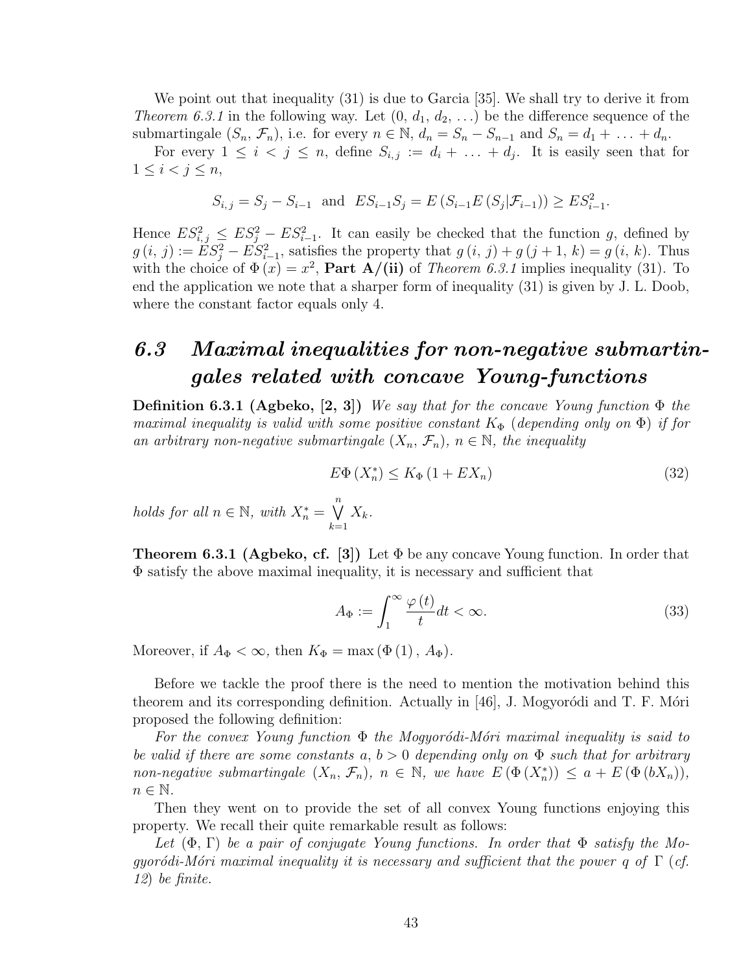We point out that inequality (31) is due to Garcia [35]. We shall try to derive it from *Theorem 6.3.1* in the following way. Let  $(0, d_1, d_2, ...)$  be the difference sequence of the submartingale  $(S_n, \mathcal{F}_n)$ , i.e. for every  $n \in \mathbb{N}$ ,  $d_n = S_n - S_{n-1}$  and  $S_n = d_1 + \ldots + d_n$ .

For every  $1 \leq i \leq j \leq n$ , define  $S_{i,j} := d_i + \ldots + d_j$ . It is easily seen that for  $1 \leq i < j \leq n$ ,

$$
S_{i,j} = S_j - S_{i-1}
$$
 and  $ES_{i-1}S_j = E(S_{i-1}E(S_j|\mathcal{F}_{i-1})) \ge ES_{i-1}^2$ .

Hence  $ES_{i,j}^2 \leq ES_j^2 - ES_{i-1}^2$ . It can easily be checked that the function g, defined by  $g(i, j) := \tilde{E}S_j^2 - \tilde{E}S_{i-1}^2$ , satisfies the property that  $g(i, j) + g(j + 1, k) = g(i, k)$ . Thus with the choice of  $\Phi(x) = x^2$ , **Part A/(ii)** of *Theorem 6.3.1* implies inequality (31). To end the application we note that a sharper form of inequality (31) is given by J. L. Doob, where the constant factor equals only 4.

### 6.3 Maximal inequalities for non-negative submartingales related with concave Young-functions

**Definition 6.3.1 (Agbeko, [2, 3])** We say that for the concave Young function  $\Phi$  the maximal inequality is valid with some positive constant  $K_{\Phi}$  (depending only on  $\Phi$ ) if for an arbitrary non-negative submartingale  $(X_n, \mathcal{F}_n)$ ,  $n \in \mathbb{N}$ , the inequality

$$
E\Phi\left(X_n^*\right) \le K_\Phi\left(1 + EX_n\right) \tag{32}
$$

holds for all  $n \in \mathbb{N}$ , with  $X_n^* =$  $\binom{n}{k}$  $k=1$  $X_k$ .

**Theorem 6.3.1 (Agbeko, cf.** [3]) Let  $\Phi$  be any concave Young function. In order that Φ satisfy the above maximal inequality, it is necessary and sufficient that

$$
A_{\Phi} := \int_{1}^{\infty} \frac{\varphi(t)}{t} dt < \infty. \tag{33}
$$

Moreover, if  $A_{\Phi} < \infty$ , then  $K_{\Phi} = \max (\Phi(1), A_{\Phi}).$ 

Before we tackle the proof there is the need to mention the motivation behind this theorem and its corresponding definition. Actually in  $[46]$ , J. Mogyorodi and T. F. Mori proposed the following definition:

For the convex Young function  $\Phi$  the Mogyorodi-Mori maximal inequality is said to be valid if there are some constants  $a, b > 0$  depending only on  $\Phi$  such that for arbitrary non-negative submartingale  $(X_n, \mathcal{F}_n)$ ,  $n \in \mathbb{N}$ , we have  $E(\Phi(X_n^*)) \leq a + E(\Phi(bX_n))$ ,  $n \in \mathbb{N}$ .

Then they went on to provide the set of all convex Young functions enjoying this property. We recall their quite remarkable result as follows:

Let  $(\Phi, \Gamma)$  be a pair of conjugate Young functions. In order that  $\Phi$  satisfy the Mogyoródi-Móri maximal inequality it is necessary and sufficient that the power q of  $\Gamma$  (cf. 12) be finite.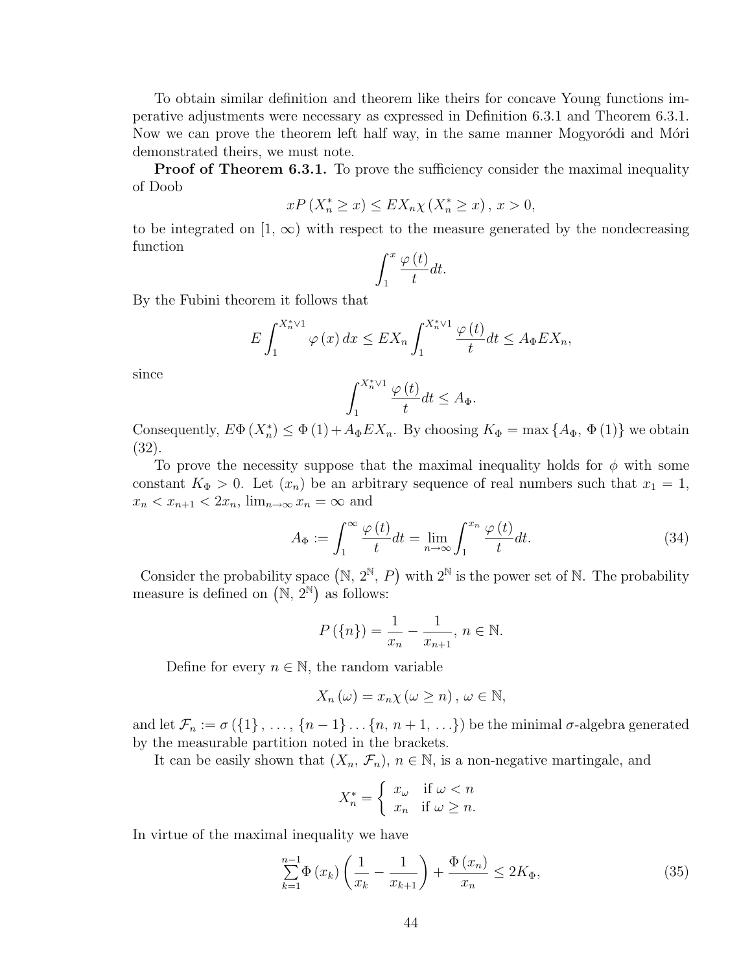To obtain similar definition and theorem like theirs for concave Young functions imperative adjustments were necessary as expressed in Definition 6.3.1 and Theorem 6.3.1. Now we can prove the theorem left half way, in the same manner Mogyorodi and Mori demonstrated theirs, we must note.

**Proof of Theorem 6.3.1.** To prove the sufficiency consider the maximal inequality of Doob

$$
xP\left(X_n^* \ge x\right) \le EX_n \chi\left(X_n^* \ge x\right), x > 0,
$$

to be integrated on [1,  $\infty$ ) with respect to the measure generated by the nondecreasing function  $\overline{r}$ 

$$
\int_{1}^{x} \frac{\varphi(t)}{t} dt.
$$

By the Fubini theorem it follows that

$$
E\int_{1}^{X_n^* \vee 1} \varphi(x) dx \le EX_n \int_{1}^{X_n^* \vee 1} \frac{\varphi(t)}{t} dt \le A_{\Phi} EX_n,
$$

since

$$
\int_{1}^{X_n^* \vee 1} \frac{\varphi\left(t\right)}{t} dt \le A_{\Phi}.
$$

Consequently,  $E\Phi(X_n^*) \leq \Phi(1) + A_{\Phi}EX_n$ . By choosing  $K_{\Phi} = \max\{A_{\Phi}, \Phi(1)\}\$  we obtain (32).

To prove the necessity suppose that the maximal inequality holds for  $\phi$  with some constant  $K_{\Phi} > 0$ . Let  $(x_n)$  be an arbitrary sequence of real numbers such that  $x_1 = 1$ ,  $x_n < x_{n+1} < 2x_n$ ,  $\lim_{n \to \infty} x_n = \infty$  and

$$
A_{\Phi} := \int_{1}^{\infty} \frac{\varphi(t)}{t} dt = \lim_{n \to \infty} \int_{1}^{x_n} \frac{\varphi(t)}{t} dt.
$$
 (34)

Consider the probability space  $(N, 2^N, P)$  with  $2^N$  is the power set of N. The probability Consider the probability space  $(\mathbb{N}, 2^{\mathbb{N}})$ , *r* measure is defined on  $(\mathbb{N}, 2^{\mathbb{N}})$  as follows:

$$
P(\{n\}) = \frac{1}{x_n} - \frac{1}{x_{n+1}}, n \in \mathbb{N}.
$$

Define for every  $n \in \mathbb{N}$ , the random variable

$$
X_n(\omega) = x_n \chi(\omega \ge n), \omega \in \mathbb{N},
$$

and let  $\mathcal{F}_n := \sigma(\{1\}, \ldots, \{n-1\} \ldots \{n, n+1, \ldots\})$  be the minimal  $\sigma$ -algebra generated by the measurable partition noted in the brackets.

It can be easily shown that  $(X_n, \mathcal{F}_n)$ ,  $n \in \mathbb{N}$ , is a non-negative martingale, and

$$
X_n^* = \begin{cases} x_\omega & \text{if } \omega < n \\ x_n & \text{if } \omega \ge n. \end{cases}
$$

In virtue of the maximal inequality we have

$$
\sum_{k=1}^{n-1} \Phi(x_k) \left( \frac{1}{x_k} - \frac{1}{x_{k+1}} \right) + \frac{\Phi(x_n)}{x_n} \le 2K_{\Phi},\tag{35}
$$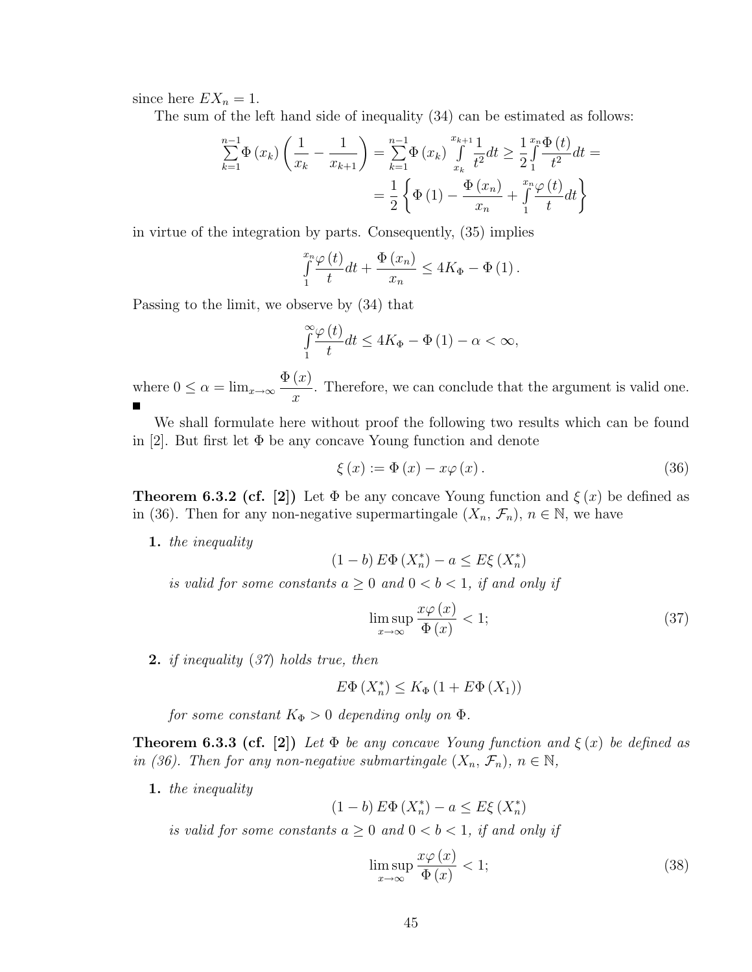since here  $EX_n = 1$ .

The sum of the left hand side of inequality (34) can be estimated as follows:

$$
\sum_{k=1}^{n-1} \Phi(x_k) \left( \frac{1}{x_k} - \frac{1}{x_{k+1}} \right) = \sum_{k=1}^{n-1} \Phi(x_k) \int_{x_k}^{x_{k+1}} \frac{1}{t^2} dt \ge \frac{1}{2} \int_{1}^{x_n} \frac{\Phi(t)}{t^2} dt =
$$

$$
= \frac{1}{2} \left\{ \Phi(1) - \frac{\Phi(x_n)}{x_n} + \int_{1}^{x_n} \frac{\varphi(t)}{t} dt \right\}
$$

in virtue of the integration by parts. Consequently, (35) implies

$$
\int_{1}^{x_n} \frac{\varphi(t)}{t} dt + \frac{\Phi(x_n)}{x_n} \le 4K_{\Phi} - \Phi(1).
$$

Passing to the limit, we observe by (34) that

$$
\int_{1}^{\infty} \frac{\varphi(t)}{t} dt \le 4K_{\Phi} - \Phi(1) - \alpha < \infty,
$$

where  $0 \leq \alpha = \lim_{x \to \infty}$  $\Phi(x)$  $\dot{x}$ . Therefore, we can conclude that the argument is valid one.

We shall formulate here without proof the following two results which can be found in [2]. But first let  $\Phi$  be any concave Young function and denote

$$
\xi(x) := \Phi(x) - x\varphi(x). \tag{36}
$$

**Theorem 6.3.2 (cf. [2])** Let  $\Phi$  be any concave Young function and  $\xi(x)$  be defined as in (36). Then for any non-negative supermartingale  $(X_n, \mathcal{F}_n)$ ,  $n \in \mathbb{N}$ , we have

1. the inequality

$$
(1-b) E\Phi\left(X_n^*\right) - a \le E\xi\left(X_n^*\right)
$$

is valid for some constants  $a \geq 0$  and  $0 < b < 1$ , if and only if

$$
\limsup_{x \to \infty} \frac{x\varphi(x)}{\Phi(x)} < 1;\tag{37}
$$

2. if inequality (37) holds true, then

$$
E\Phi\left(X_n^*\right) \le K_\Phi\left(1 + E\Phi\left(X_1\right)\right)
$$

for some constant  $K_{\Phi} > 0$  depending only on  $\Phi$ .

**Theorem 6.3.3 (cf.** [2]) Let  $\Phi$  be any concave Young function and  $\xi(x)$  be defined as in (36). Then for any non-negative submartingale  $(X_n, \mathcal{F}_n)$ ,  $n \in \mathbb{N}$ ,

1. the inequality

$$
(1-b) E\Phi\left(X_n^*\right) - a \le E\xi\left(X_n^*\right)
$$

is valid for some constants  $a \geq 0$  and  $0 < b < 1$ , if and only if

$$
\limsup_{x \to \infty} \frac{x\varphi(x)}{\Phi(x)} < 1;\tag{38}
$$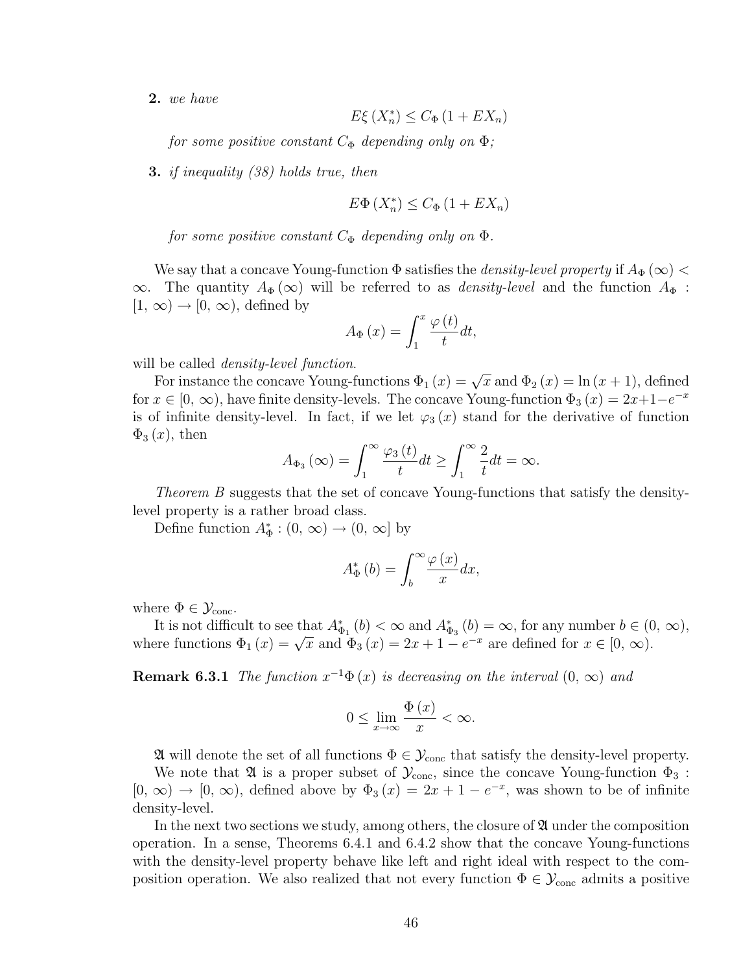2. we have

$$
E\xi\left(X_n^*\right) \le C_{\Phi}\left(1 + EX_n\right)
$$

for some positive constant  $C_{\Phi}$  depending only on  $\Phi$ ;

3. if inequality (38) holds true, then

$$
E\Phi\left(X_n^*\right) \le C_{\Phi}\left(1 + EX_n\right)
$$

for some positive constant  $C_{\Phi}$  depending only on  $\Phi$ .

We say that a concave Young-function  $\Phi$  satisfies the *density-level property* if  $A_{\Phi}(\infty)$  <  $\infty$ . The quantity  $A_{\Phi}(\infty)$  will be referred to as *density-level* and the function  $A_{\Phi}$ :  $[1, \infty) \rightarrow [0, \infty)$ , defined by

$$
A_{\Phi}\left(x\right) = \int_{1}^{x} \frac{\varphi\left(t\right)}{t} dt,
$$

will be called *density-level function*.

For instance the concave Young-functions  $\Phi_1(x) = \sqrt{x}$  and  $\Phi_2(x) = \ln(x+1)$ , defined for  $x \in [0, \infty)$ , have finite density-levels. The concave Young-function  $\Phi_3(x) = 2x+1-e^{-x}$ is of infinite density-level. In fact, if we let  $\varphi_3(x)$  stand for the derivative of function  $\Phi_3(x)$ , then  $\overline{r}$ 

$$
A_{\Phi_3}(\infty) = \int_1^\infty \frac{\varphi_3(t)}{t} dt \ge \int_1^\infty \frac{2}{t} dt = \infty.
$$

Theorem B suggests that the set of concave Young-functions that satisfy the densitylevel property is a rather broad class.

Define function  $A_{\Phi}^* : (0, \infty) \to (0, \infty]$  by

$$
A_{\Phi}^{*}\left(b\right) = \int_{b}^{\infty} \frac{\varphi\left(x\right)}{x} dx,
$$

where  $\Phi \in \mathcal{Y}_{\text{conc}}$ .

It is not difficult to see that  $A_{\Phi_1}^*(b) < \infty$  and  $A_{\Phi_3}^*(b) = \infty$ , for any number  $b \in (0, \infty)$ , To us not difficult to see that  $A_{\Phi_1}(0) < \infty$  and  $A_{\Phi_3}(0) = \infty$ , for any number  $0 \in C$ <br>where functions  $\Phi_1(x) = \sqrt{x}$  and  $\Phi_3(x) = 2x + 1 - e^{-x}$  are defined for  $x \in [0, \infty)$ .

**Remark 6.3.1** The function  $x^{-1}\Phi(x)$  is decreasing on the interval  $(0, \infty)$  and

$$
0 \le \lim_{x \to \infty} \frac{\Phi(x)}{x} < \infty.
$$

 $\mathfrak A$  will denote the set of all functions  $\Phi \in \mathcal Y_{\text{conc}}$  that satisfy the density-level property.

We note that  $\mathfrak A$  is a proper subset of  $\mathcal Y_{\text{conc}}$ , since the concave Young-function  $\Phi_3$ :  $[0, \infty) \to [0, \infty)$ , defined above by  $\Phi_3(x) = 2x + 1 - e^{-x}$ , was shown to be of infinite density-level.

In the next two sections we study, among others, the closure of  $\mathfrak A$  under the composition operation. In a sense, Theorems 6.4.1 and 6.4.2 show that the concave Young-functions with the density-level property behave like left and right ideal with respect to the composition operation. We also realized that not every function  $\Phi \in \mathcal{Y}_{\text{conc}}$  admits a positive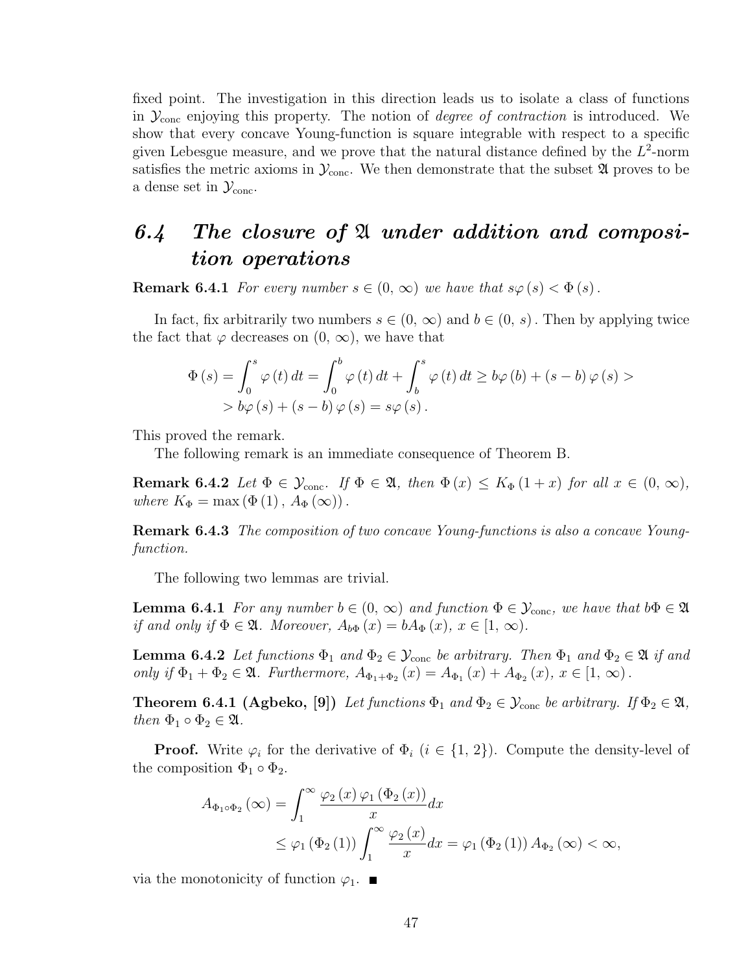fixed point. The investigation in this direction leads us to isolate a class of functions in  $\mathcal{Y}_{\text{conc}}$  enjoying this property. The notion of *degree of contraction* is introduced. We show that every concave Young-function is square integrable with respect to a specific given Lebesgue measure, and we prove that the natural distance defined by the  $L^2$ -norm satisfies the metric axioms in  $\mathcal{Y}_{\text{conc}}$ . We then demonstrate that the subset  $\mathfrak A$  proves to be a dense set in  $\mathcal{Y}_{\text{conc}}$ .

## 6.4 The closure of  $\mathfrak A$  under addition and composition operations

**Remark 6.4.1** For every number  $s \in (0, \infty)$  we have that  $s\varphi(s) < \Phi(s)$ .

In fact, fix arbitrarily two numbers  $s \in (0, \infty)$  and  $b \in (0, s)$ . Then by applying twice the fact that  $\varphi$  decreases on  $(0, \infty)$ , we have that

$$
\Phi(s) = \int_0^s \varphi(t) dt = \int_0^b \varphi(t) dt + \int_b^s \varphi(t) dt \ge b\varphi(b) + (s - b)\varphi(s) >
$$
  
>  $b\varphi(s) + (s - b)\varphi(s) = s\varphi(s).$ 

This proved the remark.

The following remark is an immediate consequence of Theorem B.

**Remark 6.4.2** Let  $\Phi \in \mathcal{Y}_{conc}$ . If  $\Phi \in \mathfrak{A}$ , then  $\Phi(x) \leq K_{\Phi}(1+x)$  for all  $x \in (0, \infty)$ , where  $K_{\Phi} = \max (\Phi(1), A_{\Phi}(\infty)).$ 

Remark 6.4.3 The composition of two concave Young-functions is also a concave Youngfunction.

The following two lemmas are trivial.

**Lemma 6.4.1** For any number  $b \in (0, \infty)$  and function  $\Phi \in \mathcal{Y}_{\text{conc}}$ , we have that  $b\Phi \in \mathfrak{A}$ if and only if  $\Phi \in \mathfrak{A}$ . Moreover,  $A_{b\Phi}(x) = bA_{\Phi}(x), x \in [1, \infty)$ .

**Lemma 6.4.2** Let functions  $\Phi_1$  and  $\Phi_2 \in \mathcal{Y}_{\text{conc}}$  be arbitrary. Then  $\Phi_1$  and  $\Phi_2 \in \mathfrak{A}$  if and only if  $\Phi_1 + \Phi_2 \in \mathfrak{A}$ . Furthermore,  $A_{\Phi_1 + \Phi_2}(x) = A_{\Phi_1}(x) + A_{\Phi_2}(x)$ ,  $x \in [1, \infty)$ .

**Theorem 6.4.1 (Agbeko, [9])** Let functions  $\Phi_1$  and  $\Phi_2 \in \mathcal{Y}_{conc}$  be arbitrary. If  $\Phi_2 \in \mathfrak{A}$ , then  $\Phi_1 \circ \Phi_2 \in \mathfrak{A}$ .

**Proof.** Write  $\varphi_i$  for the derivative of  $\Phi_i$  ( $i \in \{1, 2\}$ ). Compute the density-level of the composition  $\Phi_1 \circ \Phi_2$ .

$$
A_{\Phi_1 \circ \Phi_2}(\infty) = \int_1^{\infty} \frac{\varphi_2(x) \varphi_1(\Phi_2(x))}{x} dx
$$
  
 
$$
\leq \varphi_1(\Phi_2(1)) \int_1^{\infty} \frac{\varphi_2(x)}{x} dx = \varphi_1(\Phi_2(1)) A_{\Phi_2}(\infty) < \infty,
$$

via the monotonicity of function  $\varphi_1$ .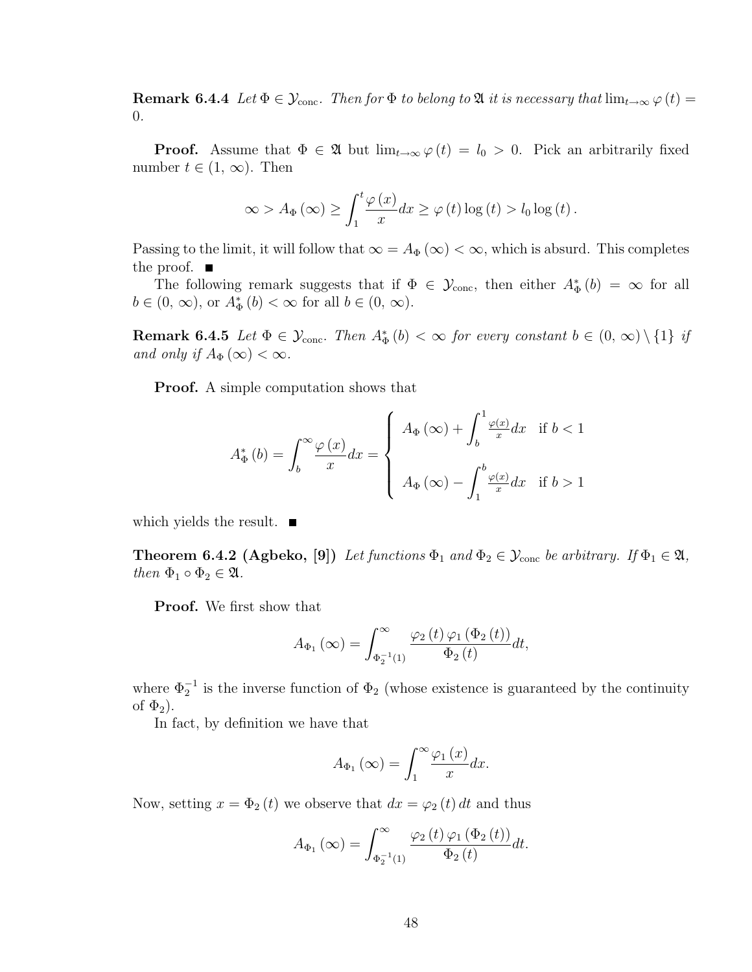**Remark 6.4.4** Let  $\Phi \in \mathcal{Y}_{conc}$ . Then for  $\Phi$  to belong to  $\mathfrak{A}$  it is necessary that  $\lim_{t\to\infty} \varphi(t) =$ 0.

**Proof.** Assume that  $\Phi \in \mathfrak{A}$  but  $\lim_{t\to\infty} \varphi(t) = l_0 > 0$ . Pick an arbitrarily fixed number  $t \in (1, \infty)$ . Then

$$
\infty > A_{\Phi}(\infty) \ge \int_{1}^{t} \frac{\varphi(x)}{x} dx \ge \varphi(t) \log(t) > l_0 \log(t).
$$

Passing to the limit, it will follow that  $\infty = A_{\Phi}(\infty) < \infty$ , which is absurd. This completes the proof.  $\blacksquare$ 

The following remark suggests that if  $\Phi \in \mathcal{Y}_{\text{conc}}$ , then either  $A_{\Phi}^*(b) = \infty$  for all  $b \in (0, \infty)$ , or  $A_{\Phi}^{*}(b) < \infty$  for all  $b \in (0, \infty)$ .

**Remark 6.4.5** Let  $\Phi \in \mathcal{Y}_{\text{conc}}$ . Then  $A_{\Phi}^{*}(b) < \infty$  for every constant  $b \in (0, \infty) \setminus \{1\}$  if and only if  $A_{\Phi}(\infty) < \infty$ .

Proof. A simple computation shows that

$$
A_{\Phi}^{*}\left(b\right) = \int_{b}^{\infty} \frac{\varphi\left(x\right)}{x} dx = \begin{cases} A_{\Phi}\left(\infty\right) + \int_{b}^{1} \frac{\varphi\left(x\right)}{x} dx & \text{if } b < 1 \\ \quad A_{\Phi}\left(\infty\right) - \int_{1}^{b} \frac{\varphi\left(x\right)}{x} dx & \text{if } b > 1 \end{cases}
$$

which yields the result.  $\blacksquare$ 

**Theorem 6.4.2 (Agbeko, [9])** Let functions  $\Phi_1$  and  $\Phi_2 \in \mathcal{Y}_{conc}$  be arbitrary. If  $\Phi_1 \in \mathfrak{A}$ , then  $\Phi_1 \circ \Phi_2 \in \mathfrak{A}$ .

Proof. We first show that

$$
A_{\Phi_1}(\infty) = \int_{\Phi_2^{-1}(1)}^{\infty} \frac{\varphi_2(t) \varphi_1(\Phi_2(t))}{\Phi_2(t)} dt,
$$

where  $\Phi_2^{-1}$  is the inverse function of  $\Phi_2$  (whose existence is guaranteed by the continuity of  $\Phi_2$ ).

In fact, by definition we have that

$$
A_{\Phi_1}(\infty) = \int_1^\infty \frac{\varphi_1(x)}{x} dx.
$$

Now, setting  $x = \Phi_2(t)$  we observe that  $dx = \varphi_2(t) dt$  and thus

$$
A_{\Phi_1}(\infty) = \int_{\Phi_2^{-1}(1)}^{\infty} \frac{\varphi_2(t) \varphi_1(\Phi_2(t))}{\Phi_2(t)} dt.
$$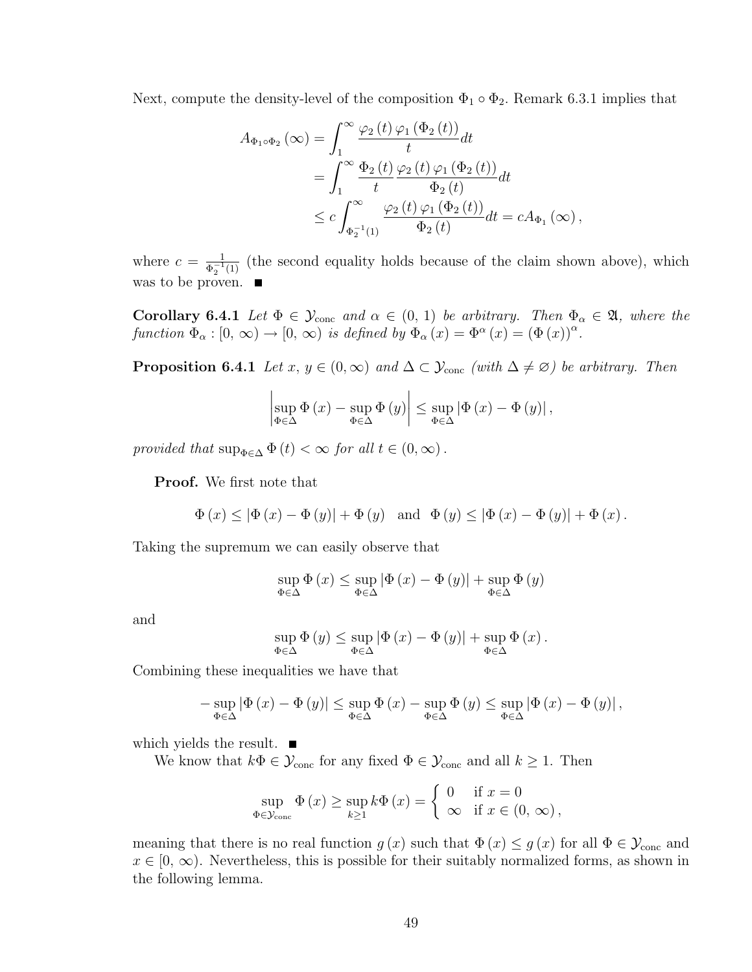Next, compute the density-level of the composition  $\Phi_1 \circ \Phi_2$ . Remark 6.3.1 implies that

$$
A_{\Phi_1 \circ \Phi_2}(\infty) = \int_1^\infty \frac{\varphi_2(t) \varphi_1(\Phi_2(t))}{t} dt
$$
  
= 
$$
\int_1^\infty \frac{\Phi_2(t) \varphi_2(t) \varphi_1(\Phi_2(t))}{t} dt
$$
  

$$
\leq c \int_{\Phi_2^{-1}(1)}^\infty \frac{\varphi_2(t) \varphi_1(\Phi_2(t))}{\Phi_2(t)} dt = c A_{\Phi_1}(\infty),
$$

where  $c = \frac{1}{\sigma^{-1}}$  $\frac{1}{\Phi_2^{-1}(1)}$  (the second equality holds because of the claim shown above), which was to be proven.  $\quadblacksquare$ 

Corollary 6.4.1 Let  $\Phi \in \mathcal{Y}_{conc}$  and  $\alpha \in (0, 1)$  be arbitrary. Then  $\Phi_{\alpha} \in \mathfrak{A}$ , where the function  $\Phi_{\alpha} : [0, \infty) \to [0, \infty)$  is defined by  $\Phi_{\alpha}(x) = \Phi^{\alpha}(x) = (\Phi(x))^{\alpha}$ .

**Proposition 6.4.1** Let  $x, y \in (0, \infty)$  and  $\Delta \subset \mathcal{Y}_{\text{conc}}$  (with  $\Delta \neq \emptyset$ ) be arbitrary. Then

$$
\left|\sup_{\Phi\in\Delta}\Phi\left(x\right)-\sup_{\Phi\in\Delta}\Phi\left(y\right)\right|\leq \sup_{\Phi\in\Delta}\left|\Phi\left(x\right)-\Phi\left(y\right)\right|,
$$

provided that  $\sup_{\Phi \in \Delta} \Phi(t) < \infty$  for all  $t \in (0, \infty)$ .

Proof. We first note that

$$
\Phi(x) \leq |\Phi(x) - \Phi(y)| + \Phi(y)
$$
 and  $\Phi(y) \leq |\Phi(x) - \Phi(y)| + \Phi(x)$ .

Taking the supremum we can easily observe that

$$
\sup_{\Phi \in \Delta} \Phi(x) \leq \sup_{\Phi \in \Delta} |\Phi(x) - \Phi(y)| + \sup_{\Phi \in \Delta} \Phi(y)
$$

and

$$
\sup_{\Phi \in \Delta} \Phi(y) \leq \sup_{\Phi \in \Delta} |\Phi(x) - \Phi(y)| + \sup_{\Phi \in \Delta} \Phi(x).
$$

Combining these inequalities we have that

$$
-\sup_{\Phi \in \Delta} |\Phi(x) - \Phi(y)| \leq \sup_{\Phi \in \Delta} \Phi(x) - \sup_{\Phi \in \Delta} \Phi(y) \leq \sup_{\Phi \in \Delta} |\Phi(x) - \Phi(y)|,
$$

which yields the result.  $\blacksquare$ 

We know that  $k\Phi \in \mathcal{Y}_{\text{conc}}$  for any fixed  $\Phi \in \mathcal{Y}_{\text{conc}}$  and all  $k \geq 1$ . Then

$$
\sup_{\Phi \in \mathcal{Y}_{\text{conc}}} \Phi(x) \ge \sup_{k \ge 1} k \Phi(x) = \begin{cases} 0 & \text{if } x = 0 \\ \infty & \text{if } x \in (0, \infty), \end{cases}
$$

meaning that there is no real function  $g(x)$  such that  $\Phi(x) \leq g(x)$  for all  $\Phi \in \mathcal{Y}_{conc}$  and  $x \in [0, \infty)$ . Nevertheless, this is possible for their suitably normalized forms, as shown in the following lemma.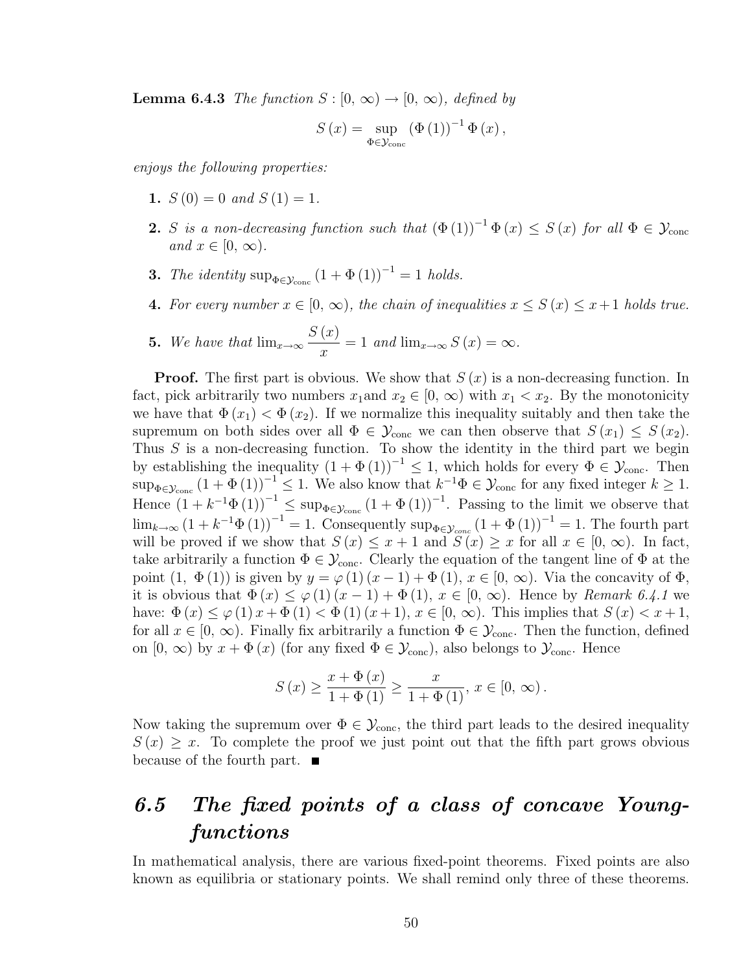**Lemma 6.4.3** The function  $S : [0, \infty) \to [0, \infty)$ , defined by

$$
S(x) = \sup_{\Phi \in \mathcal{Y}_{\text{conc}}} (\Phi(1))^{-1} \Phi(x),
$$

enjoys the following properties:

- 1.  $S(0) = 0$  and  $S(1) = 1$ .
- 2. S is a non-decreasing function such that  $(\Phi(1))^{-1} \Phi(x) \leq S(x)$  for all  $\Phi \in \mathcal{Y}_{\text{conc}}$ and  $x \in [0, \infty)$ .
- **3.** The identity sup<sub> $\Phi \in \mathcal{Y}_{\text{conc}}$   $(1 + \Phi(1))^{-1} = 1$  holds.</sub>
- 4. For every number  $x \in [0, \infty)$ , the chain of inequalities  $x \leq S(x) \leq x+1$  holds true.

**5.** We have that  $\lim_{x\to\infty}$  $S(x)$  $\frac{d^{(x)}}{dx} = 1$  and  $\lim_{x \to \infty} S(x) = \infty$ .

**Proof.** The first part is obvious. We show that  $S(x)$  is a non-decreasing function. In fact, pick arbitrarily two numbers  $x_1$  and  $x_2 \in [0, \infty)$  with  $x_1 < x_2$ . By the monotonicity we have that  $\Phi(x_1) < \Phi(x_2)$ . If we normalize this inequality suitably and then take the supremum on both sides over all  $\Phi \in \mathcal{Y}_{conc}$  we can then observe that  $S(x_1) \leq S(x_2)$ . Thus  $S$  is a non-decreasing function. To show the identity in the third part we begin by establishing the inequality  $(1 + \Phi(1))^{-1} \leq 1$ , which holds for every  $\Phi \in \mathcal{Y}_{\text{conc}}$ . Then  $\sup_{\Phi \in \mathcal{Y}_{\text{conc}}}(1 + \Phi(1))^{-1} \leq 1$ . We also know that  $k^{-1}\Phi \in \mathcal{Y}_{\text{conc}}$  for any fixed integer  $k \geq 1$ . Hence  $(1 + k^{-1}\Phi(1))^{-1} \leq \sup_{\Phi \in \mathcal{Y}_{\text{conc}}}(1 + \Phi(1))^{-1}$ . Passing to the limit we observe that  $\lim_{k\to\infty} (1+k^{-1}\Phi(1))^{-1}=1.$  Consequently  $\sup_{\Phi\in\mathcal{Y}_{conc}} (1+\Phi(1))^{-1}=1.$  The fourth part will be proved if we show that  $S(x) \leq x+1$  and  $S(x) \geq x$  for all  $x \in [0, \infty)$ . In fact, take arbitrarily a function  $\Phi \in \mathcal{Y}_{\text{conc}}$ . Clearly the equation of the tangent line of  $\Phi$  at the point  $(1, \Phi(1))$  is given by  $y = \varphi(1)(x-1) + \Phi(1), x \in [0, \infty)$ . Via the concavity of  $\Phi$ , it is obvious that  $\Phi(x) \leq \varphi(1)(x-1) + \Phi(1), x \in [0, \infty)$ . Hence by Remark 6.4.1 we have:  $\Phi(x) \leq \varphi(1) x + \Phi(1) < \Phi(1) (x+1), x \in [0, \infty)$ . This implies that  $S(x) < x+1$ , for all  $x \in [0, \infty)$ . Finally fix arbitrarily a function  $\Phi \in \mathcal{Y}_{\text{conc}}$ . Then the function, defined on  $[0, \infty)$  by  $x + \Phi(x)$  (for any fixed  $\Phi \in \mathcal{Y}_{\text{conc}}$ ), also belongs to  $\mathcal{Y}_{\text{conc}}$ . Hence

$$
S(x) \ge \frac{x + \Phi(x)}{1 + \Phi(1)} \ge \frac{x}{1 + \Phi(1)}, x \in [0, \infty).
$$

Now taking the supremum over  $\Phi \in \mathcal{Y}_{\text{conc}}$ , the third part leads to the desired inequality  $S(x) \geq x$ . To complete the proof we just point out that the fifth part grows obvious because of the fourth part.  $\blacksquare$ 

## 6.5 The fixed points of a class of concave Youngfunctions

In mathematical analysis, there are various fixed-point theorems. Fixed points are also known as equilibria or stationary points. We shall remind only three of these theorems.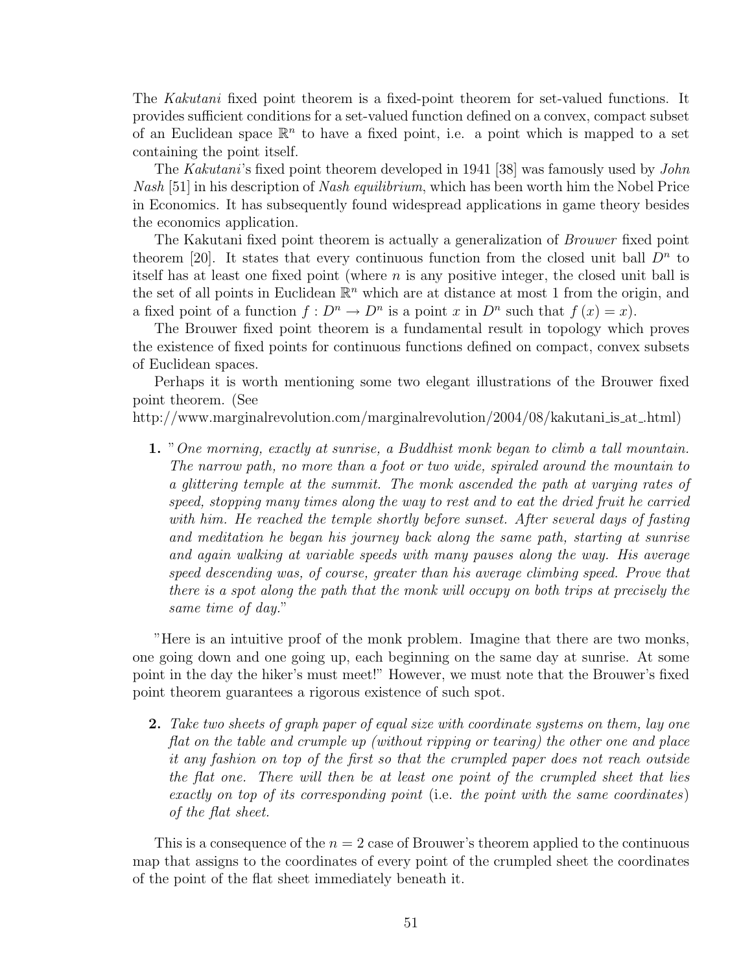The Kakutani fixed point theorem is a fixed-point theorem for set-valued functions. It provides sufficient conditions for a set-valued function defined on a convex, compact subset of an Euclidean space  $\mathbb{R}^n$  to have a fixed point, i.e. a point which is mapped to a set containing the point itself.

The Kakutani's fixed point theorem developed in 1941 [38] was famously used by John Nash [51] in his description of Nash equilibrium, which has been worth him the Nobel Price in Economics. It has subsequently found widespread applications in game theory besides the economics application.

The Kakutani fixed point theorem is actually a generalization of Brouwer fixed point theorem [20]. It states that every continuous function from the closed unit ball  $D^n$  to itself has at least one fixed point (where  $n$  is any positive integer, the closed unit ball is the set of all points in Euclidean  $\mathbb{R}^n$  which are at distance at most 1 from the origin, and a fixed point of a function  $f: D^n \to D^n$  is a point x in  $D^n$  such that  $f(x) = x$ .

The Brouwer fixed point theorem is a fundamental result in topology which proves the existence of fixed points for continuous functions defined on compact, convex subsets of Euclidean spaces.

Perhaps it is worth mentioning some two elegant illustrations of the Brouwer fixed point theorem. (See

http://www.marginalrevolution.com/marginalrevolution/2004/08/kakutani is at .html)

1. "One morning, exactly at sunrise, a Buddhist monk began to climb a tall mountain. The narrow path, no more than a foot or two wide, spiraled around the mountain to a glittering temple at the summit. The monk ascended the path at varying rates of speed, stopping many times along the way to rest and to eat the dried fruit he carried with him. He reached the temple shortly before sunset. After several days of fasting and meditation he began his journey back along the same path, starting at sunrise and again walking at variable speeds with many pauses along the way. His average speed descending was, of course, greater than his average climbing speed. Prove that there is a spot along the path that the monk will occupy on both trips at precisely the same time of day."

"Here is an intuitive proof of the monk problem. Imagine that there are two monks, one going down and one going up, each beginning on the same day at sunrise. At some point in the day the hiker's must meet!" However, we must note that the Brouwer's fixed point theorem guarantees a rigorous existence of such spot.

2. Take two sheets of graph paper of equal size with coordinate systems on them, lay one flat on the table and crumple up (without ripping or tearing) the other one and place it any fashion on top of the first so that the crumpled paper does not reach outside the flat one. There will then be at least one point of the crumpled sheet that lies exactly on top of its corresponding point (i.e. the point with the same coordinates) of the flat sheet.

This is a consequence of the  $n = 2$  case of Brouwer's theorem applied to the continuous map that assigns to the coordinates of every point of the crumpled sheet the coordinates of the point of the flat sheet immediately beneath it.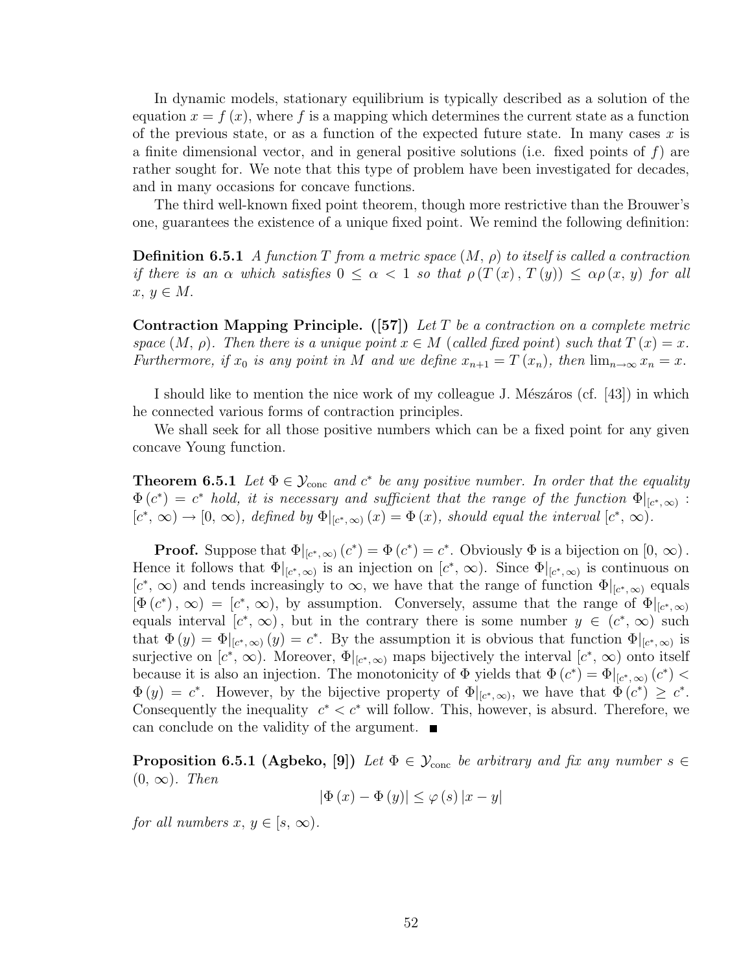In dynamic models, stationary equilibrium is typically described as a solution of the equation  $x = f(x)$ , where f is a mapping which determines the current state as a function of the previous state, or as a function of the expected future state. In many cases  $x$  is a finite dimensional vector, and in general positive solutions (i.e. fixed points of  $f$ ) are rather sought for. We note that this type of problem have been investigated for decades, and in many occasions for concave functions.

The third well-known fixed point theorem, though more restrictive than the Brouwer's one, guarantees the existence of a unique fixed point. We remind the following definition:

**Definition 6.5.1** A function T from a metric space  $(M, \rho)$  to itself is called a contraction if there is an  $\alpha$  which satisfies  $0 \leq \alpha < 1$  so that  $\rho(T(x), T(y)) \leq \alpha \rho(x, y)$  for all  $x, y \in M$ .

Contraction Mapping Principle. ([57]) Let T be a contraction on a complete metric space  $(M, \rho)$ . Then there is a unique point  $x \in M$  (called fixed point) such that  $T(x) = x$ . Furthermore, if  $x_0$  is any point in M and we define  $x_{n+1} = T(x_n)$ , then  $\lim_{n\to\infty} x_n = x$ .

I should like to mention the nice work of my colleague J. Mészáros (cf. [43]) in which he connected various forms of contraction principles.

We shall seek for all those positive numbers which can be a fixed point for any given concave Young function.

**Theorem 6.5.1** Let  $\Phi \in \mathcal{Y}_{conc}$  and  $c^*$  be any positive number. In order that the equality  $\Phi(c^*) = c^*$  hold, it is necessary and sufficient that the range of the function  $\Phi|_{[c^*,\infty)}$ :  $[c^*, \infty) \to [0, \infty)$ , defined by  $\Phi|_{[c^*, \infty)}(x) = \Phi(x)$ , should equal the interval  $[c^*, \infty)$ .

**Proof.** Suppose that  $\Phi|_{[c^*,\infty)}(c^*) = \Phi(c^*) = c^*$ . Obviously  $\Phi$  is a bijection on  $[0,\infty)$ . Hence it follows that  $\Phi|_{[c^*,\infty)}$  is an injection on  $[c^*,\infty)$ . Since  $\Phi|_{[c^*,\infty)}$  is continuous on  $[c^*, \infty)$  and tends increasingly to  $\infty$ , we have that the range of function  $\Phi|_{[c^*, \infty)}$  equals  $[\Phi(c^*), \infty) = [c^*, \infty)$ , by assumption. Conversely, assume that the range of  $\Phi|_{[c^*, \infty)}$ equals interval  $[c^*, \infty)$ , but in the contrary there is some number  $y \in (c^*, \infty)$  such that  $\Phi(y) = \Phi|_{[c^*,\infty)}(y) = c^*$ . By the assumption it is obvious that function  $\Phi|_{[c^*,\infty)}$  is surjective on  $[c^*, \infty)$ . Moreover,  $\Phi|_{[c^*, \infty)}$  maps bijectively the interval  $[c^*, \infty)$  onto itself because it is also an injection. The monotonicity of  $\Phi$  yields that  $\Phi(c^*) = \Phi|_{[c^*,\infty)}(c^*)$  $\Phi(y) = c^*$ . However, by the bijective property of  $\Phi|_{[c^*,\infty)}$ , we have that  $\Phi(c^*) \geq c^*$ . Consequently the inequality  $c^* < c^*$  will follow. This, however, is absurd. Therefore, we can conclude on the validity of the argument.

**Proposition 6.5.1 (Agbeko, [9])** Let  $\Phi \in \mathcal{Y}_{\text{conc}}$  be arbitrary and fix any number  $s \in$  $(0, \infty)$ . Then

$$
|\Phi(x) - \Phi(y)| \le \varphi(s) |x - y|
$$

for all numbers  $x, y \in [s, \infty)$ .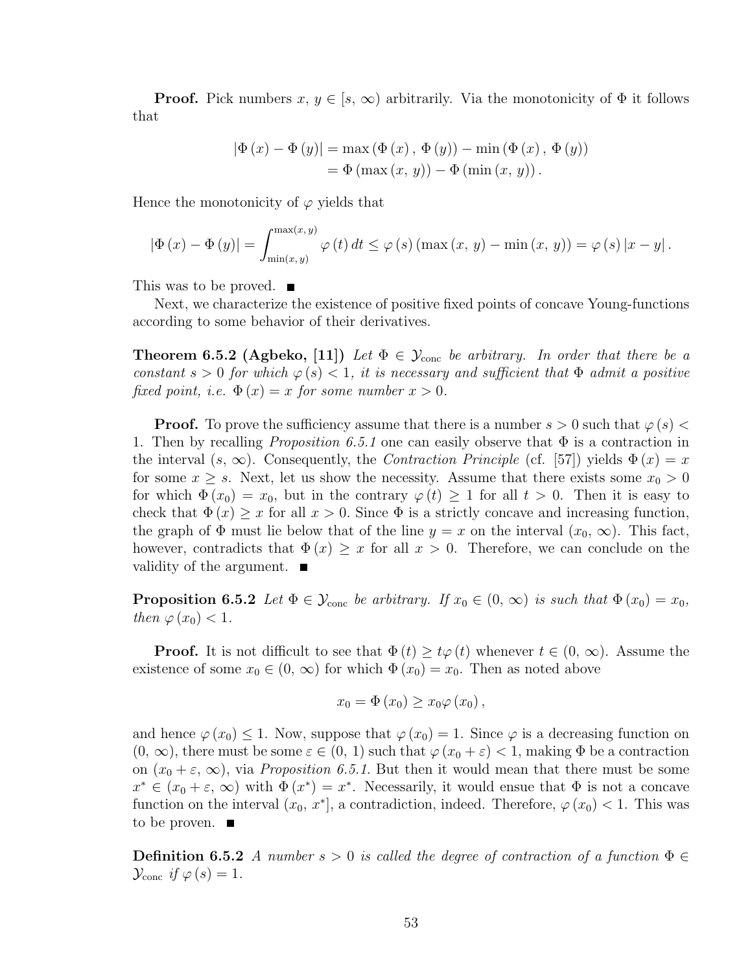**Proof.** Pick numbers  $x, y \in [s, \infty)$  arbitrarily. Via the monotonicity of  $\Phi$  it follows that

$$
|\Phi(x) - \Phi(y)| = \max(\Phi(x), \Phi(y)) - \min(\Phi(x), \Phi(y))
$$
  
=  $\Phi(\max(x, y)) - \Phi(\min(x, y)).$ 

Hence the monotonicity of  $\varphi$  yields that

$$
\left|\Phi\left(x\right)-\Phi\left(y\right)\right|=\int_{\min(x,y)}^{\max(x,y)}\varphi\left(t\right)dt\leq\varphi\left(s\right)\left(\max\left(x,\,y\right)-\min\left(x,\,y\right)\right)=\varphi\left(s\right)\left|x-y\right|.
$$

This was to be proved.  $\blacksquare$ 

Next, we characterize the existence of positive fixed points of concave Young-functions according to some behavior of their derivatives.

**Theorem 6.5.2 (Agbeko, [11])** Let  $\Phi \in \mathcal{Y}_{\text{conc}}$  be arbitrary. In order that there be a constant  $s > 0$  for which  $\varphi(s) < 1$ , it is necessary and sufficient that  $\Phi$  admit a positive fixed point, i.e.  $\Phi(x) = x$  for some number  $x > 0$ .

**Proof.** To prove the sufficiency assume that there is a number  $s > 0$  such that  $\varphi(s) <$ 1. Then by recalling *Proposition 6.5.1* one can easily observe that  $\Phi$  is a contraction in the interval  $(s, \infty)$ . Consequently, the *Contraction Principle* (cf. [57]) yields  $\Phi(x) = x$ for some  $x \geq s$ . Next, let us show the necessity. Assume that there exists some  $x_0 > 0$ for which  $\Phi(x_0) = x_0$ , but in the contrary  $\varphi(t) \geq 1$  for all  $t > 0$ . Then it is easy to check that  $\Phi(x) \geq x$  for all  $x > 0$ . Since  $\Phi$  is a strictly concave and increasing function, the graph of  $\Phi$  must lie below that of the line  $y = x$  on the interval  $(x_0, \infty)$ . This fact, however, contradicts that  $\Phi(x) \geq x$  for all  $x > 0$ . Therefore, we can conclude on the validity of the argument. ■

**Proposition 6.5.2** Let  $\Phi \in \mathcal{Y}_{conc}$  be arbitrary. If  $x_0 \in (0, \infty)$  is such that  $\Phi(x_0) = x_0$ , then  $\varphi(x_0) < 1$ .

**Proof.** It is not difficult to see that  $\Phi(t) \geq t\varphi(t)$  whenever  $t \in (0, \infty)$ . Assume the existence of some  $x_0 \in (0, \infty)$  for which  $\Phi(x_0) = x_0$ . Then as noted above

$$
x_0 = \Phi(x_0) \ge x_0 \varphi(x_0),
$$

and hence  $\varphi(x_0) \leq 1$ . Now, suppose that  $\varphi(x_0) = 1$ . Since  $\varphi$  is a decreasing function on  $(0, \infty)$ , there must be some  $\varepsilon \in (0, 1)$  such that  $\varphi(x_0 + \varepsilon) < 1$ , making  $\Phi$  be a contraction on  $(x_0 + \varepsilon, \infty)$ , via *Proposition 6.5.1*. But then it would mean that there must be some  $x^* \in (x_0 + \varepsilon, \infty)$  with  $\Phi(x^*) = x^*$ . Necessarily, it would ensue that  $\Phi$  is not a concave function on the interval  $(x_0, x^*]$ , a contradiction, indeed. Therefore,  $\varphi(x_0) < 1$ . This was to be proven.  $\blacksquare$ 

**Definition 6.5.2** A number  $s > 0$  is called the degree of contraction of a function  $\Phi \in$  $\mathcal{Y}_{\text{conc}}$  if  $\varphi(s) = 1$ .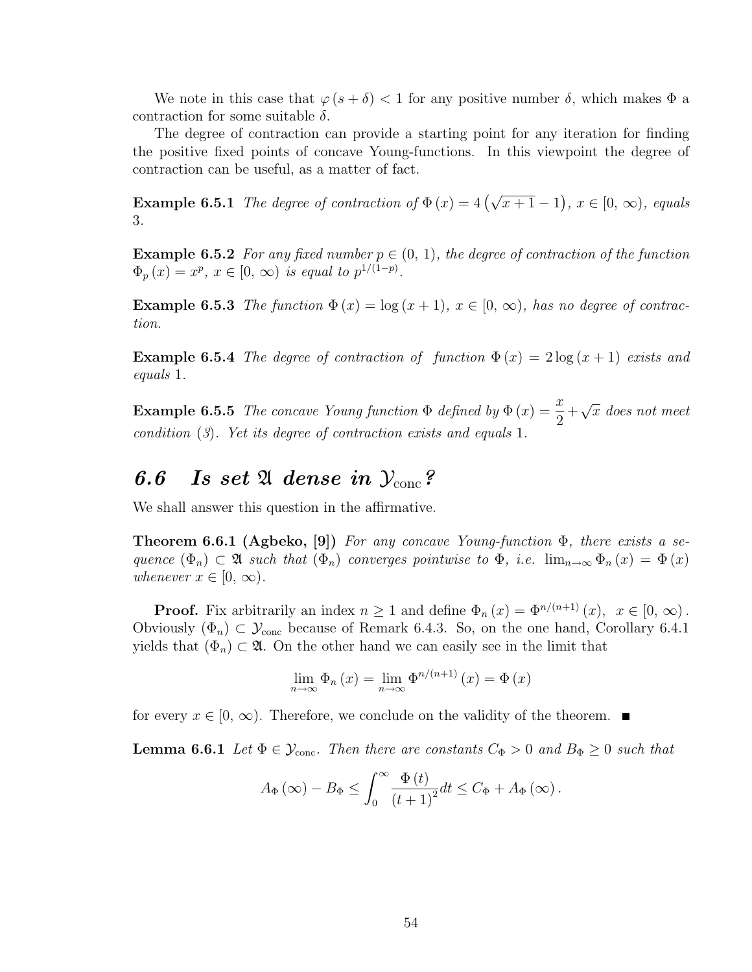We note in this case that  $\varphi(s+\delta) < 1$  for any positive number  $\delta$ , which makes  $\Phi$  a contraction for some suitable  $\delta$ .

The degree of contraction can provide a starting point for any iteration for finding the positive fixed points of concave Young-functions. In this viewpoint the degree of contraction can be useful, as a matter of fact.

**Example 6.5.1** The degree of contraction of  $\Phi(x) = 4(\sqrt{x+1} - 1)$ ¢ ,  $x \in [0, \infty)$ , equals 3.

**Example 6.5.2** For any fixed number  $p \in (0, 1)$ , the degree of contraction of the function  $\Phi_p(x) = x^p, x \in [0, \infty)$  is equal to  $p^{1/(1-p)}$ .

**Example 6.5.3** The function  $\Phi(x) = \log(x+1)$ ,  $x \in [0, \infty)$ , has no degree of contraction.

**Example 6.5.4** The degree of contraction of function  $\Phi(x) = 2 \log(x+1)$  exists and equals 1.

**Example 6.5.5** The concave Young function  $\Phi$  defined by  $\Phi(x) = \frac{x}{2}$ 2  $^{+}$ √  $\overline{x}$  does not meet condition (3). Yet its degree of contraction exists and equals 1.

### 6.6 Is set 21 dense in  $\mathcal{Y}_{cone}$ ?

We shall answer this question in the affirmative.

**Theorem 6.6.1 (Agbeko, [9])** For any concave Young-function  $\Phi$ , there exists a sequence  $(\Phi_n) \subset \mathfrak{A}$  such that  $(\Phi_n)$  converges pointwise to  $\Phi$ , i.e.  $\lim_{n\to\infty} \Phi_n(x) = \Phi(x)$ whenever  $x \in [0, \infty)$ .

**Proof.** Fix arbitrarily an index  $n \geq 1$  and define  $\Phi_n(x) = \Phi^{n/(n+1)}(x), x \in [0, \infty)$ . Obviously  $(\Phi_n) \subset \mathcal{Y}_{\text{conc}}$  because of Remark 6.4.3. So, on the one hand, Corollary 6.4.1 yields that  $(\Phi_n) \subset \mathfrak{A}$ . On the other hand we can easily see in the limit that

$$
\lim_{n \to \infty} \Phi_n(x) = \lim_{n \to \infty} \Phi^{n/(n+1)}(x) = \Phi(x)
$$

for every  $x \in [0, \infty)$ . Therefore, we conclude on the validity of the theorem.

**Lemma 6.6.1** Let  $\Phi \in \mathcal{Y}_{\text{conc}}$ . Then there are constants  $C_{\Phi} > 0$  and  $B_{\Phi} \geq 0$  such that

$$
A_{\Phi}\left(\infty\right)-B_{\Phi}\leq\int_{0}^{\infty}\frac{\Phi\left(t\right)}{\left(t+1\right)^{2}}dt\leq C_{\Phi}+A_{\Phi}\left(\infty\right).
$$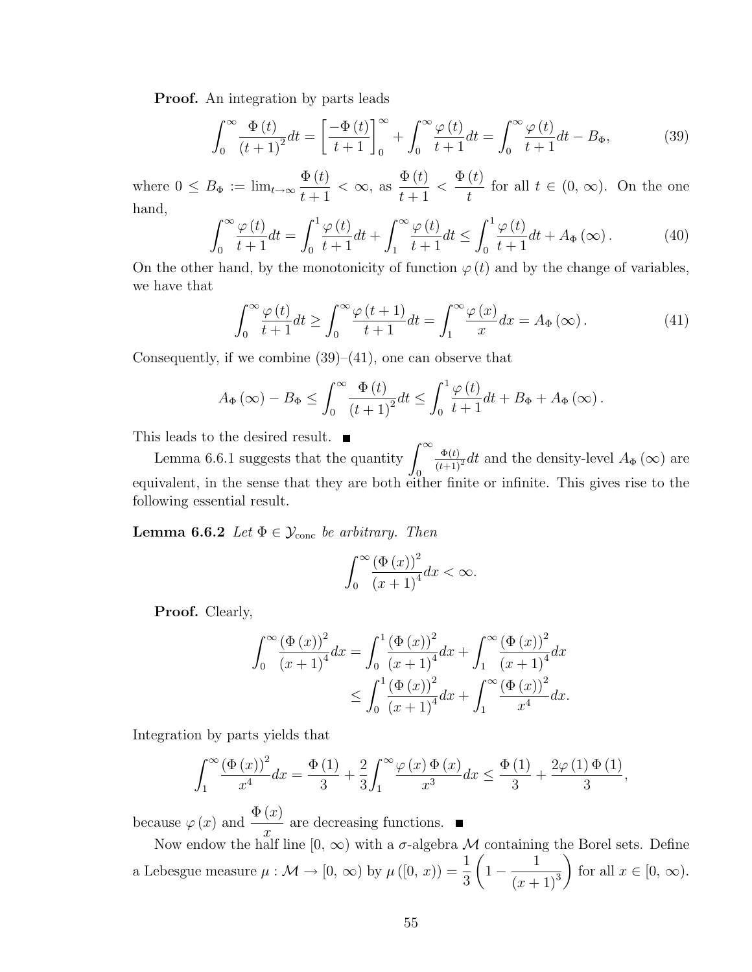Proof. An integration by parts leads

$$
\int_0^\infty \frac{\Phi(t)}{\left(t+1\right)^2} dt = \left[\frac{-\Phi(t)}{t+1}\right]_0^\infty + \int_0^\infty \frac{\varphi(t)}{t+1} dt = \int_0^\infty \frac{\varphi(t)}{t+1} dt - B_\Phi,\tag{39}
$$

where  $0 \leq B_{\Phi} := \lim_{t \to \infty}$  $\Phi(t)$  $t+1$  $< \infty$ , as  $\Phi(t)$  $t+1$  $\lt$  $\Phi(t)$ t for all  $t \in (0, \infty)$ . On the one hand,

$$
\int_0^\infty \frac{\varphi(t)}{t+1} dt = \int_0^1 \frac{\varphi(t)}{t+1} dt + \int_1^\infty \frac{\varphi(t)}{t+1} dt \le \int_0^1 \frac{\varphi(t)}{t+1} dt + A_\Phi(\infty). \tag{40}
$$

On the other hand, by the monotonicity of function  $\varphi(t)$  and by the change of variables, we have that

$$
\int_0^\infty \frac{\varphi(t)}{t+1} dt \ge \int_0^\infty \frac{\varphi(t+1)}{t+1} dt = \int_1^\infty \frac{\varphi(x)}{x} dx = A_\Phi(\infty). \tag{41}
$$

Consequently, if we combine  $(39)$ – $(41)$ , one can observe that

$$
A_{\Phi}\left(\infty\right)-B_{\Phi}\leq\int_{0}^{\infty}\frac{\Phi\left(t\right)}{\left(t+1\right)^{2}}dt\leq\int_{0}^{1}\frac{\varphi\left(t\right)}{t+1}dt+B_{\Phi}+A_{\Phi}\left(\infty\right).
$$

This leads to the desired result.  $\blacksquare$ 

s leads to the desired result.  $\blacksquare$ <br>Lemma 6.6.1 suggests that the quantity  $\int_{-\infty}^{\infty}$ 0  $\frac{\Phi(t)}{(t+1)^2}dt$  and the density-level  $A_{\Phi}(\infty)$  are equivalent, in the sense that they are both either finite or infinite. This gives rise to the following essential result.

**Lemma 6.6.2** Let  $\Phi \in \mathcal{Y}_{\text{conc}}$  be arbitrary. Then

$$
\int_0^\infty \frac{\left(\Phi\left(x\right)\right)^2}{\left(x+1\right)^4} dx < \infty.
$$

Proof. Clearly,

$$
\int_0^\infty \frac{(\Phi(x))^2}{(x+1)^4} dx = \int_0^1 \frac{(\Phi(x))^2}{(x+1)^4} dx + \int_1^\infty \frac{(\Phi(x))^2}{(x+1)^4} dx
$$
  

$$
\leq \int_0^1 \frac{(\Phi(x))^2}{(x+1)^4} dx + \int_1^\infty \frac{(\Phi(x))^2}{x^4} dx.
$$

Integration by parts yields that

$$
\int_{1}^{\infty} \frac{\left(\Phi\left(x\right)\right)^{2}}{x^{4}} dx = \frac{\Phi\left(1\right)}{3} + \frac{2}{3} \int_{1}^{\infty} \frac{\varphi\left(x\right) \Phi\left(x\right)}{x^{3}} dx \le \frac{\Phi\left(1\right)}{3} + \frac{2\varphi\left(1\right) \Phi\left(1\right)}{3},
$$

because  $\varphi(x)$  and  $\frac{\Phi(x)}{x}$  $\overline{x}$ are decreasing functions.

Now endow the half line  $[0, \infty)$  with a  $\sigma$ -algebra M containing the Borel sets. Define a Lebesgue measure  $\mu : \mathcal{M} \to [0, \infty)$  by  $\mu([0, x)) = \frac{1}{2}$ 3 1 − 1  $\frac{1}{(x+1)^3}$  for all  $x \in [0, \infty)$ .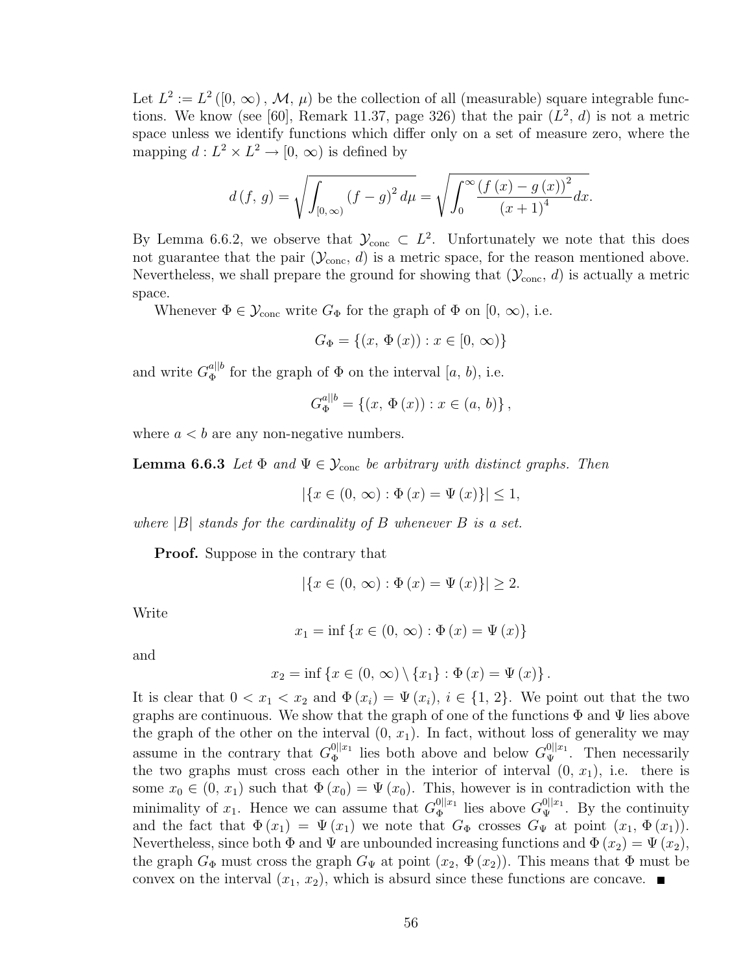Let  $L^2 := L^2([0, \infty), \mathcal{M}, \mu)$  be the collection of all (measurable) square integrable functions. We know (see [60], Remark 11.37, page 326) that the pair  $(L^2, d)$  is not a metric space unless we identify functions which differ only on a set of measure zero, where the mapping  $d: L^2 \times L^2 \to [0, \infty)$  is defined by

$$
d(f, g) = \sqrt{\int_{[0, \infty)} (f - g)^2 d\mu} = \sqrt{\int_0^\infty \frac{(f(x) - g(x))^2}{(x + 1)^4} dx}.
$$

By Lemma 6.6.2, we observe that  $\mathcal{Y}_{\text{conc}} \subset L^2$ . Unfortunately we note that this does not guarantee that the pair  $(\mathcal{Y}_{\text{conc}}, d)$  is a metric space, for the reason mentioned above. Nevertheless, we shall prepare the ground for showing that  $(\mathcal{Y}_{\text{conc}}, d)$  is actually a metric space.

Whenever  $\Phi \in \mathcal{Y}_{\text{conc}}$  write  $G_{\Phi}$  for the graph of  $\Phi$  on  $[0, \infty)$ , i.e.

$$
G_{\Phi} = \{(x, \Phi(x)) : x \in [0, \infty)\}\
$$

and write  $G_{\Phi}^{a||b}$  $\Phi_{\Phi}^{a||b}$  for the graph of  $\Phi$  on the interval  $[a, b)$ , i.e.

$$
G_{\Phi}^{a||b} = \{ (x, \Phi(x)) : x \in (a, b) \},
$$

where  $a < b$  are any non-negative numbers.

**Lemma 6.6.3** Let  $\Phi$  and  $\Psi \in \mathcal{Y}_{conc}$  be arbitrary with distinct graphs. Then

 $|\{x \in (0, \infty) : \Phi(x) = \Psi(x)\}| \leq 1,$ 

where  $|B|$  stands for the cardinality of B whenever B is a set.

Proof. Suppose in the contrary that

$$
|\{x \in (0, \infty) : \Phi(x) = \Psi(x)\}| \geq 2.
$$

Write

$$
x_1 = \inf \{ x \in (0, \infty) : \Phi(x) = \Psi(x) \}
$$

and

$$
x_2 = \inf \{ x \in (0, \infty) \setminus \{x_1\} : \Phi(x) = \Psi(x) \}.
$$

It is clear that  $0 < x_1 < x_2$  and  $\Phi(x_i) = \Psi(x_i)$ ,  $i \in \{1, 2\}$ . We point out that the two graphs are continuous. We show that the graph of one of the functions  $\Phi$  and  $\Psi$  lies above the graph of the other on the interval  $(0, x_1)$ . In fact, without loss of generality we may assume in the contrary that  $G_{\Phi}^{0||x_1}$  $\mathcal{C}_{\Phi}^{0||x_1}$  lies both above and below  $G_{\Psi}^{0||x_1}$ . Then necessarily the two graphs must cross each other in the interior of interval  $(0, x_1)$ , i.e. there is some  $x_0 \in (0, x_1)$  such that  $\Phi(x_0) = \Psi(x_0)$ . This, however is in contradiction with the minimality of  $x_1$ . Hence we can assume that  $G_{\Phi}^{\{0\}}$  $\Phi_{\Phi}^{0||x_1}$  lies above  $G_{\Psi}^{0||x_1}$ . By the continuity and the fact that  $\Phi(x_1) = \Psi(x_1)$  we note that  $G_{\Phi}$  crosses  $G_{\Psi}$  at point  $(x_1, \Phi(x_1))$ . Nevertheless, since both  $\Phi$  and  $\Psi$  are unbounded increasing functions and  $\Phi(x_2) = \Psi(x_2)$ , the graph  $G_{\Phi}$  must cross the graph  $G_{\Psi}$  at point  $(x_2, \Phi(x_2))$ . This means that  $\Phi$  must be convex on the interval  $(x_1, x_2)$ , which is absurd since these functions are concave.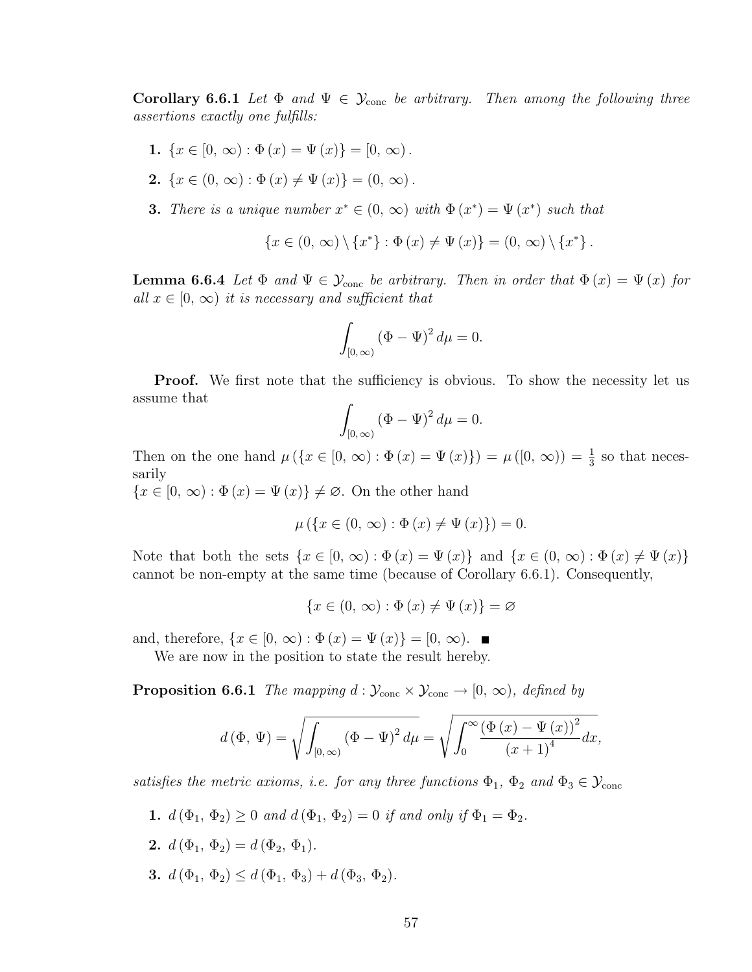**Corollary 6.6.1** Let  $\Phi$  and  $\Psi \in \mathcal{Y}_{cone}$  be arbitrary. Then among the following three assertions exactly one fulfills:

- 1.  $\{x \in [0, \infty) : \Phi(x) = \Psi(x)\} = [0, \infty)$ .
- 2.  $\{x \in (0, \infty) : \Phi(x) \neq \Psi(x)\} = (0, \infty)$ .
- **3.** There is a unique number  $x^* \in (0, \infty)$  with  $\Phi(x^*) = \Psi(x^*)$  such that

$$
\{x \in (0, \infty) \setminus \{x^*\} : \Phi(x) \neq \Psi(x)\} = (0, \infty) \setminus \{x^*\}.
$$

**Lemma 6.6.4** Let  $\Phi$  and  $\Psi \in \mathcal{Y}_{conc}$  be arbitrary. Then in order that  $\Phi(x) = \Psi(x)$  for all  $x \in [0, \infty)$  it is necessary and sufficient that

$$
\int_{[0,\infty)} (\Phi - \Psi)^2 d\mu = 0.
$$

**Proof.** We first note that the sufficiency is obvious. To show the necessity let us assume that

$$
\int_{[0,\infty)} (\Phi - \Psi)^2 d\mu = 0.
$$

Then on the one hand  $\mu(\lbrace x \in [0, \infty) : \Phi(x) = \Psi(x) \rbrace) = \mu([0, \infty)) = \frac{1}{3}$  so that necessarily

 ${x \in [0, \infty) : \Phi(x) = \Psi(x)} \neq \emptyset$ . On the other hand

$$
\mu\left(\left\{x \in (0, \infty) : \Phi\left(x\right) \neq \Psi\left(x\right)\right\}\right) = 0.
$$

Note that both the sets  $\{x \in [0, \infty) : \Phi(x) = \Psi(x)\}\$ and  $\{x \in (0, \infty) : \Phi(x) \neq \Psi(x)\}\$ cannot be non-empty at the same time (because of Corollary 6.6.1). Consequently,

$$
\{x \in (0, \infty) : \Phi(x) \neq \Psi(x)\} = \varnothing
$$

and, therefore,  $\{x \in [0, \infty) : \Phi(x) = \Psi(x)\} = [0, \infty)$ .

We are now in the position to state the result hereby.

**Proposition 6.6.1** The mapping  $d : \mathcal{Y}_{conc} \times \mathcal{Y}_{conc} \rightarrow [0, \infty)$ , defined by

$$
d(\Phi, \Psi) = \sqrt{\int_{[0,\infty)} (\Phi - \Psi)^2 d\mu} = \sqrt{\int_0^\infty (\frac{(\Phi(x) - \Psi(x))^2}{(x+1)^4} dx},
$$

satisfies the metric axioms, i.e. for any three functions  $\Phi_1$ ,  $\Phi_2$  and  $\Phi_3 \in \mathcal{Y}_{\text{conc}}$ 

- 1.  $d(\Phi_1, \Phi_2) \ge 0$  and  $d(\Phi_1, \Phi_2) = 0$  if and only if  $\Phi_1 = \Phi_2$ .
- 2.  $d(\Phi_1, \Phi_2) = d(\Phi_2, \Phi_1)$ .
- 3.  $d(\Phi_1, \Phi_2) \leq d(\Phi_1, \Phi_3) + d(\Phi_3, \Phi_2).$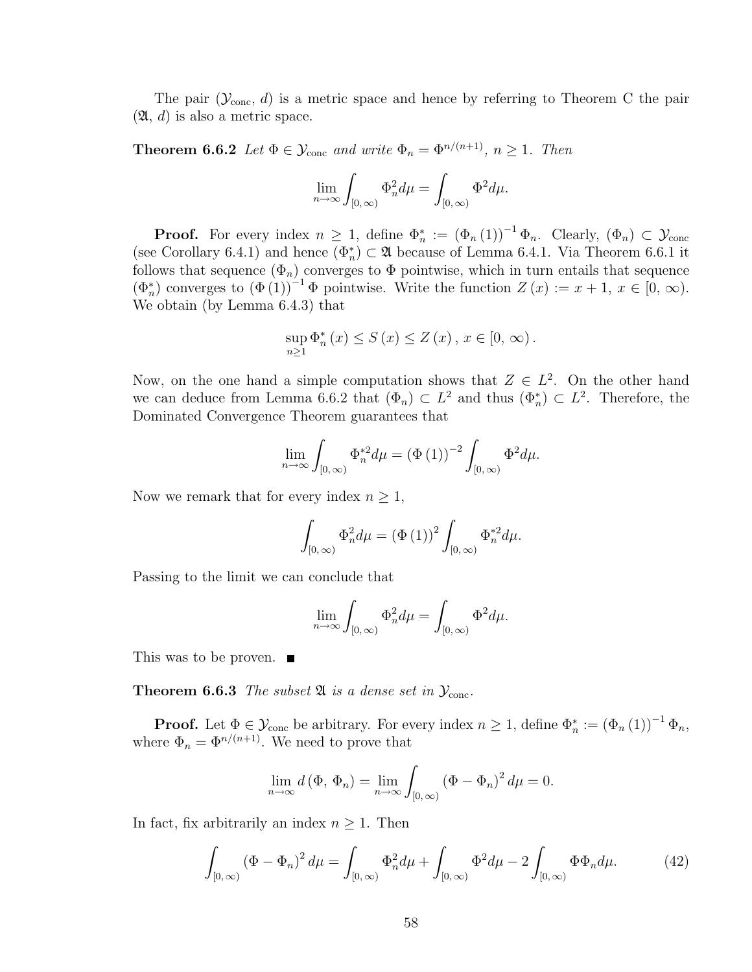The pair  $(\mathcal{Y}_{conc}, d)$  is a metric space and hence by referring to Theorem C the pair  $(\mathfrak{A}, d)$  is also a metric space.

**Theorem 6.6.2** Let  $\Phi \in \mathcal{Y}_{\text{conc}}$  and write  $\Phi_n = \Phi^{n/(n+1)}$ ,  $n \geq 1$ . Then

$$
\lim_{n \to \infty} \int_{[0,\,\infty)} \Phi_n^2 d\mu = \int_{[0,\,\infty)} \Phi^2 d\mu.
$$

**Proof.** For every index  $n \geq 1$ , define  $\Phi_n^* := (\Phi_n(1))^{-1} \Phi_n$ . Clearly,  $(\Phi_n) \subset \mathcal{Y}_{conc}$ (see Corollary 6.4.1) and hence  $(\Phi_n^*) \subset \mathfrak{A}$  because of Lemma 6.4.1. Via Theorem 6.6.1 it follows that sequence  $(\Phi_n)$  converges to  $\Phi$  pointwise, which in turn entails that sequence  $(\Phi_n^*)$  converges to  $(\Phi(1))^{-1}$   $\Phi$  pointwise. Write the function  $Z(x) := x + 1, x \in [0, \infty)$ . We obtain (by Lemma 6.4.3) that

$$
\sup_{n\geq 1} \Phi_n^*\left(x\right) \leq S\left(x\right) \leq Z\left(x\right), x \in [0, \infty).
$$

Now, on the one hand a simple computation shows that  $Z \in L^2$ . On the other hand we can deduce from Lemma 6.6.2 that  $(\Phi_n) \subset L^2$  and thus  $(\Phi_n^*) \subset L^2$ . Therefore, the Dominated Convergence Theorem guarantees that

$$
\lim_{n \to \infty} \int_{[0,\infty)} \Phi_n^{*2} d\mu = (\Phi(1))^{-2} \int_{[0,\infty)} \Phi^2 d\mu.
$$

Now we remark that for every index  $n \geq 1$ ,

$$
\int_{[0,\infty)} \Phi_n^2 d\mu = \left(\Phi\left(1\right)\right)^2 \int_{[0,\infty)} \Phi_n^{*2} d\mu.
$$

Passing to the limit we can conclude that

$$
\lim_{n \to \infty} \int_{[0,\infty)} \Phi_n^2 d\mu = \int_{[0,\infty)} \Phi^2 d\mu.
$$

This was to be proven. ■

**Theorem 6.6.3** The subset  $\mathfrak{A}$  is a dense set in  $\mathcal{Y}_{\text{conc}}$ .

**Proof.** Let  $\Phi \in \mathcal{Y}_{\text{conc}}$  be arbitrary. For every index  $n \geq 1$ , define  $\Phi_n^* := (\Phi_n(1))^{-1} \Phi_n$ , where  $\Phi_n = \Phi^{n/(n+1)}$ . We need to prove that

$$
\lim_{n \to \infty} d(\Phi, \Phi_n) = \lim_{n \to \infty} \int_{[0, \infty)} (\Phi - \Phi_n)^2 d\mu = 0.
$$

In fact, fix arbitrarily an index  $n \geq 1$ . Then

$$
\int_{[0,\infty)} (\Phi - \Phi_n)^2 d\mu = \int_{[0,\infty)} \Phi_n^2 d\mu + \int_{[0,\infty)} \Phi^2 d\mu - 2 \int_{[0,\infty)} \Phi \Phi_n d\mu.
$$
 (42)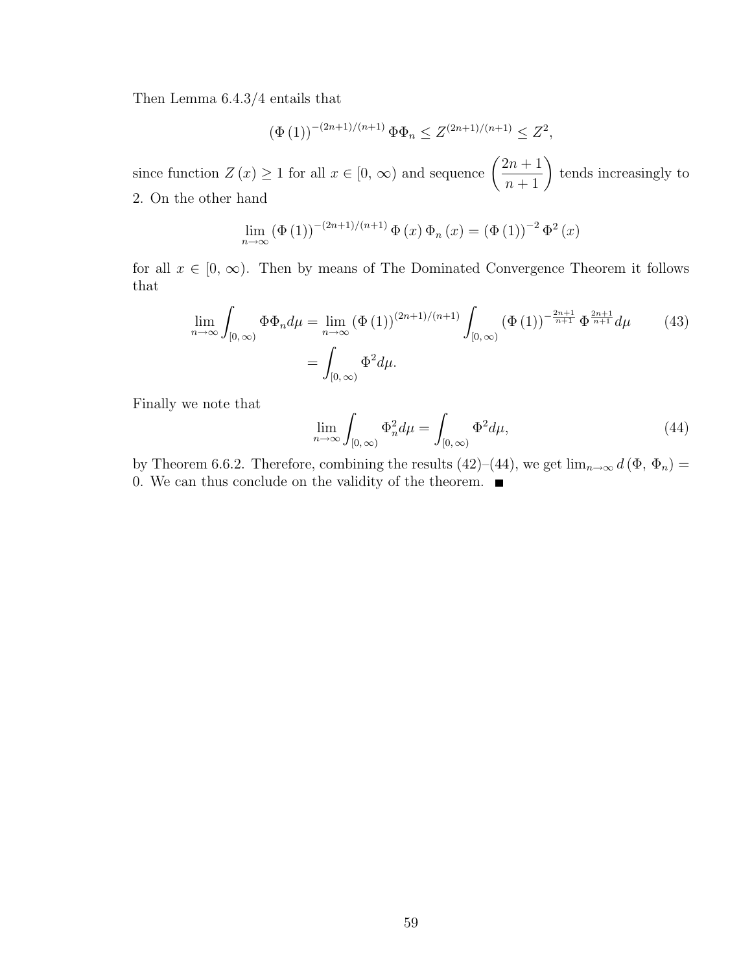Then Lemma 6.4.3/4 entails that

$$
(\Phi(1))^{-(2n+1)/(n+1)} \Phi \Phi_n \le Z^{(2n+1)/(n+1)} \le Z^2,
$$

since function  $Z(x) \ge 1$  for all  $x \in [0, \infty)$  and sequence  $\left( \begin{array}{c} 1 \end{array} \right)$  $2n + 1$  $\frac{2n+1}{n+1}$ tends increasingly to 2. On the other hand

$$
\lim_{n \to \infty} (\Phi(1))^{-(2n+1)/(n+1)} \Phi(x) \Phi_n(x) = (\Phi(1))^{-2} \Phi^2(x)
$$

for all  $x \in [0, \infty)$ . Then by means of The Dominated Convergence Theorem it follows that

$$
\lim_{n \to \infty} \int_{[0,\infty)} \Phi \Phi_n d\mu = \lim_{n \to \infty} (\Phi(1))^{(2n+1)/(n+1)} \int_{[0,\infty)} (\Phi(1))^{-\frac{2n+1}{n+1}} \Phi^{\frac{2n+1}{n+1}} d\mu \qquad (43)
$$

$$
= \int_{[0,\infty)} \Phi^2 d\mu.
$$

Finally we note that

$$
\lim_{n \to \infty} \int_{[0,\infty)} \Phi_n^2 d\mu = \int_{[0,\infty)} \Phi^2 d\mu,\tag{44}
$$

by Theorem 6.6.2. Therefore, combining the results (42)–(44), we get  $\lim_{n\to\infty} d(\Phi, \Phi_n) =$ 0. We can thus conclude on the validity of the theorem.  $\blacksquare$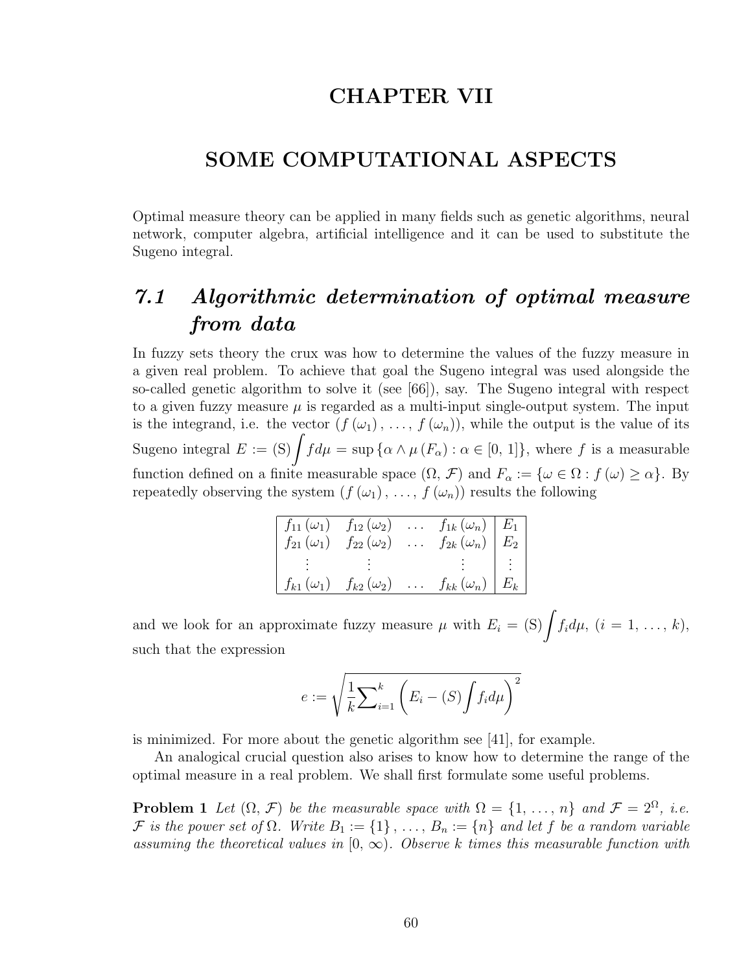### CHAPTER VII

### SOME COMPUTATIONAL ASPECTS

Optimal measure theory can be applied in many fields such as genetic algorithms, neural network, computer algebra, artificial intelligence and it can be used to substitute the Sugeno integral.

## 7.1 Algorithmic determination of optimal measure from data

In fuzzy sets theory the crux was how to determine the values of the fuzzy measure in a given real problem. To achieve that goal the Sugeno integral was used alongside the so-called genetic algorithm to solve it (see [66]), say. The Sugeno integral with respect to a given fuzzy measure  $\mu$  is regarded as a multi-input single-output system. The input is the integrand, i.e. the vector  $(f(\omega_1), \ldots, f(\omega_n))$ , while the output is the value of its is the integrand, i.e. the vector  $(f(\omega_1), \ldots, f(\omega_n))$ , while the output is the value of its<br>Sugeno integral  $E := (S) \int f d\mu = \sup \{ \alpha \wedge \mu(F_\alpha) : \alpha \in [0, 1] \}$ , where f is a measurable function defined on a finite measurable space  $(\Omega, \mathcal{F})$  and  $F_{\alpha} := {\omega \in \Omega : f(\omega) \geq \alpha}$ . By repeatedly observing the system  $(f(\omega_1), \ldots, f(\omega_n))$  results the following

| $f_{11}(\omega_1)$ | $f_{12}\left(\omega_2\right)$ | $\mathbb{R}^2$ |                                                                                  |    |
|--------------------|-------------------------------|----------------|----------------------------------------------------------------------------------|----|
| $f_{21}(\omega_1)$ | $f_{22}\left(\omega_2\right)$ | $\ldots$       | $\begin{array}{c c} f_{1k}(\omega_n) & E_1 \ f_{2k}(\omega_n) & E_2 \end{array}$ |    |
|                    |                               |                |                                                                                  | г÷ |
| $f_{k1}(\omega_1)$ | $f_{k2}\left(\omega_2\right)$ | $\cdots$       | $f_{kk}(\omega_n) \mid E_k$                                                      |    |

and we look for an approximate fuzzy measure  $\mu$  with  $E_i = \text{(S)}\int f_i d\mu$ ,  $(i = 1, \ldots, k)$ , such that the expression

$$
e := \sqrt{\frac{1}{k} \sum_{i=1}^{k} \left( E_i - (S) \int f_i d\mu \right)^2}
$$

is minimized. For more about the genetic algorithm see [41], for example.

An analogical crucial question also arises to know how to determine the range of the optimal measure in a real problem. We shall first formulate some useful problems.

**Problem 1** Let  $(\Omega, \mathcal{F})$  be the measurable space with  $\Omega = \{1, \ldots, n\}$  and  $\mathcal{F} = 2^{\Omega}$ , i.e. F is the power set of  $\Omega$ . Write  $B_1 := \{1\}$ , ...,  $B_n := \{n\}$  and let f be a random variable assuming the theoretical values in  $[0, \infty)$ . Observe k times this measurable function with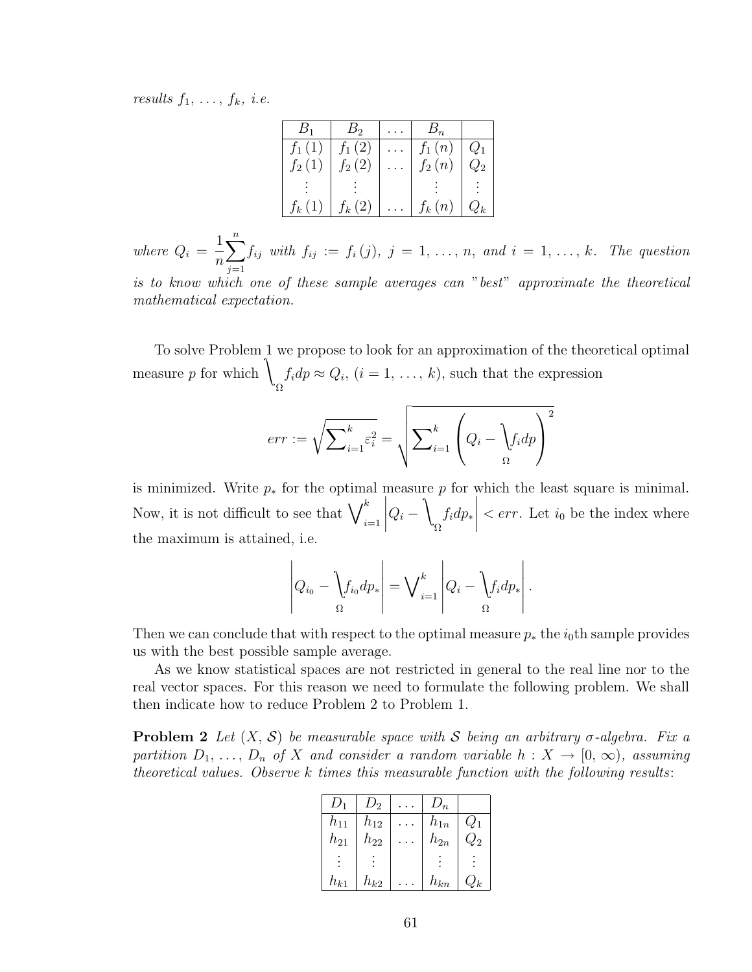results  $f_1, \ldots, f_k, i.e.$ 

|          | B <sub>2</sub> | $B_n\,$              |                 |
|----------|----------------|----------------------|-----------------|
| $f_1(1)$ | $f_1(2)$       | $f_1(n)$<br>$f_2(n)$ | $Q_1$           |
| $f_2(1)$ | $f_2(2)$       |                      | $\mathcal{L}_2$ |
|          |                |                      |                 |
| $f_k(1)$ | $f_k(2)$       | $f_k(n)$             |                 |

where  $Q_i =$ 1 n  $\frac{n}{\sqrt{2}}$  $j=1$  $f_{ij}$  with  $f_{ij} := f_i(j), j = 1, \ldots, n, \text{ and } i = 1, \ldots, k.$  The question is to know which one of these sample averages can "best" approximate the theoretical mathematical expectation.

To solve Problem 1 we propose to look for an approximation of the theoretical optimal measure  $p$  for which Ω  $f_i dp \approx Q_i$ ,  $(i = 1, \ldots, k)$ , such that the expression

$$
err := \sqrt{\sum_{i=1}^{k} \varepsilon_i^2} = \sqrt{\sum_{i=1}^{k} \left( Q_i - \frac{1}{2} f_i dp \right)^2}
$$

is minimized. Write  $p_*$  for the optimal measure p for which the least square is minimal. Now, it is not difficult to see that  $\bigvee_{i=1}^k$  $\Big|Q_i \lambda$ Ω  $f_i dp_*$  $\vert$  < *err*. Let  $i_0$  be the index where the maximum is attained, i.e.

$$
\left|Q_{i_0} - \left\{f_{i_0}dp_*\right| = \bigvee_{i=1}^k \left|Q_i - \left\{f_idp_*\right|\right\}.
$$

Then we can conclude that with respect to the optimal measure  $p_*$  the  $i_0$ th sample provides us with the best possible sample average.

As we know statistical spaces are not restricted in general to the real line nor to the real vector spaces. For this reason we need to formulate the following problem. We shall then indicate how to reduce Problem 2 to Problem 1.

**Problem 2** Let  $(X, \mathcal{S})$  be measurable space with S being an arbitrary  $\sigma$ -algebra. Fix a partition  $D_1, \ldots, D_n$  of X and consider a random variable  $h: X \to [0, \infty)$ , assuming theoretical values. Observe k times this measurable function with the following results:

|          | $D_2$    | $D_n$    |                 |
|----------|----------|----------|-----------------|
| $h_{11}$ | $h_{12}$ | $h_{1n}$ | $\mathcal{U}_1$ |
| $h_{21}$ | $h_{22}$ | $h_{2n}$ | $\mathcal{Q}_2$ |
|          |          |          |                 |
| $h_{k1}$ | $h_{k2}$ | $h_{kn}$ | 'k              |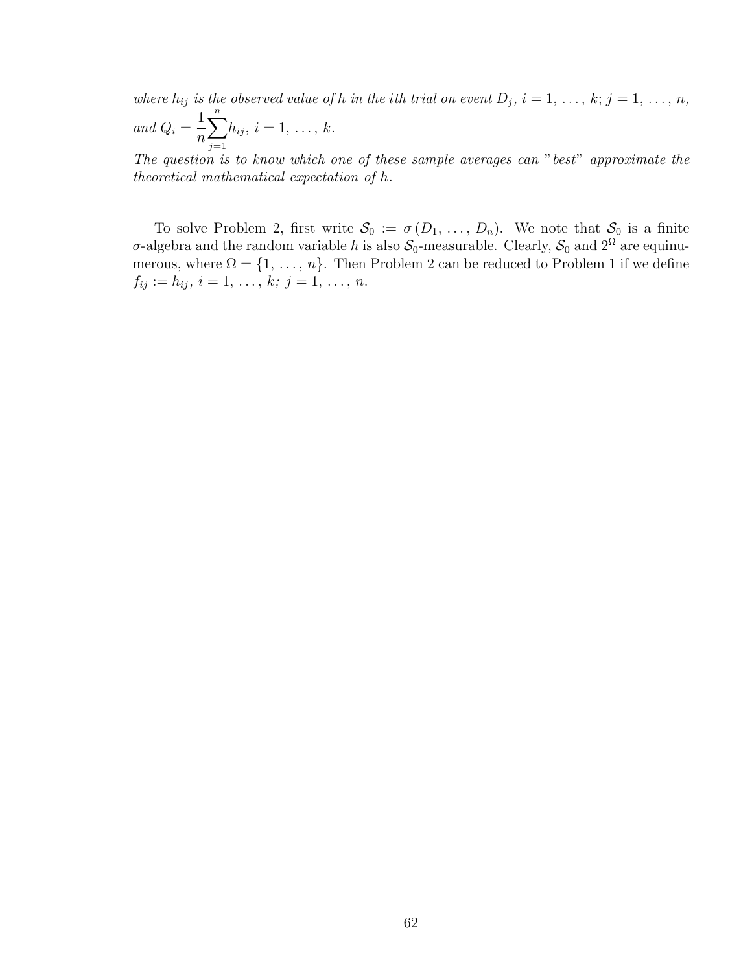where  $h_{ij}$  is the observed value of h in the ith trial on event  $D_j$ ,  $i = 1, \ldots, k; j = 1, \ldots, n$ , and  $Q_i =$ 1 n  $\frac{n}{\sqrt{2}}$  $j=1$  $h_{ij}, i = 1, \ldots, k.$ 

The question is to know which one of these sample averages can "best" approximate the theoretical mathematical expectation of h.

To solve Problem 2, first write  $S_0 := \sigma(D_1, \ldots, D_n)$ . We note that  $S_0$  is a finite σ-algebra and the random variable h is also  $S_0$ -measurable. Clearly,  $S_0$  and  $2^{\Omega}$  are equinumerous, where  $\Omega = \{1, \ldots, n\}$ . Then Problem 2 can be reduced to Problem 1 if we define  $f_{ij} := h_{ij}, i = 1, \ldots, k; j = 1, \ldots, n.$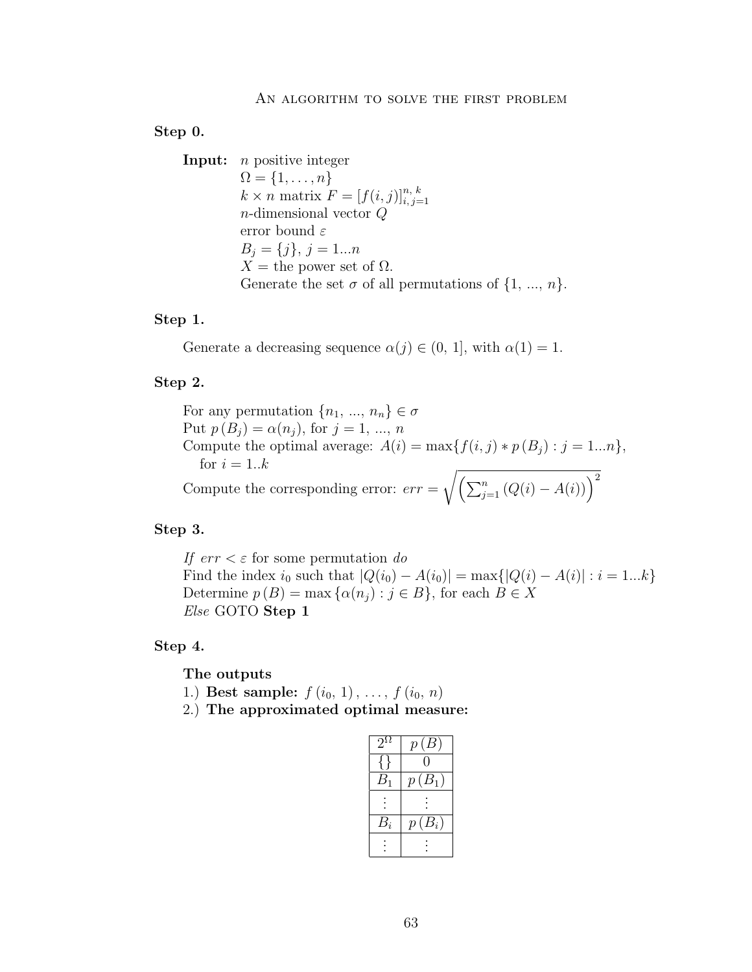#### Step 0.

Input: *n* positive integer  $\Omega = \{1, \ldots, n\}$  $k \times n$  matrix  $F = [f(i, j)]_{i, j=1}^{n, k}$ n-dimensional vector Q error bound  $\varepsilon$  $B_j = \{j\}, j = 1...n$  $X =$  the power set of  $\Omega$ . Generate the set  $\sigma$  of all permutations of  $\{1, ..., n\}$ .

#### Step 1.

Generate a decreasing sequence  $\alpha(j) \in (0, 1]$ , with  $\alpha(1) = 1$ .

#### Step 2.

For any permutation  $\{n_1, ..., n_n\} \in \sigma$ Put  $p(B_i) = \alpha(n_i)$ , for  $j = 1, ..., n$ Compute the optimal average:  $A(i) = \max\{f(i, j) * p(B_i) : j = 1...n\},\$ for  $i = 1..k$ for  $i = 1..k$ <br>Compute the corresponding error:  $err = \sqrt{\left(\sum_{j=1}^{n} (Q(i) - A(i))\right)^2}$ 

#### Step 3.

If  $err < \varepsilon$  for some permutation do Find the index  $i_0$  such that  $|Q(i_0) - A(i_0)| = \max\{|Q(i) - A(i)| : i = 1...k\}$ Determine  $p(B) = \max \{ \alpha(n_i) : j \in B \}$ , for each  $B \in X$ Else GOTO Step 1

#### Step 4.

The outputs

- 1.) Best sample:  $f(i_0, 1), \ldots, f(i_0, n)$
- 2.) The approximated optimal measure:

| $2^{\Omega}$ | $p\left( B\right)$ |
|--------------|--------------------|
|              | $\mathcal{O}$      |
| $B_{1}$      | $p(B_1)$           |
|              |                    |
| $B_i$        | $p(B_i)$           |
|              |                    |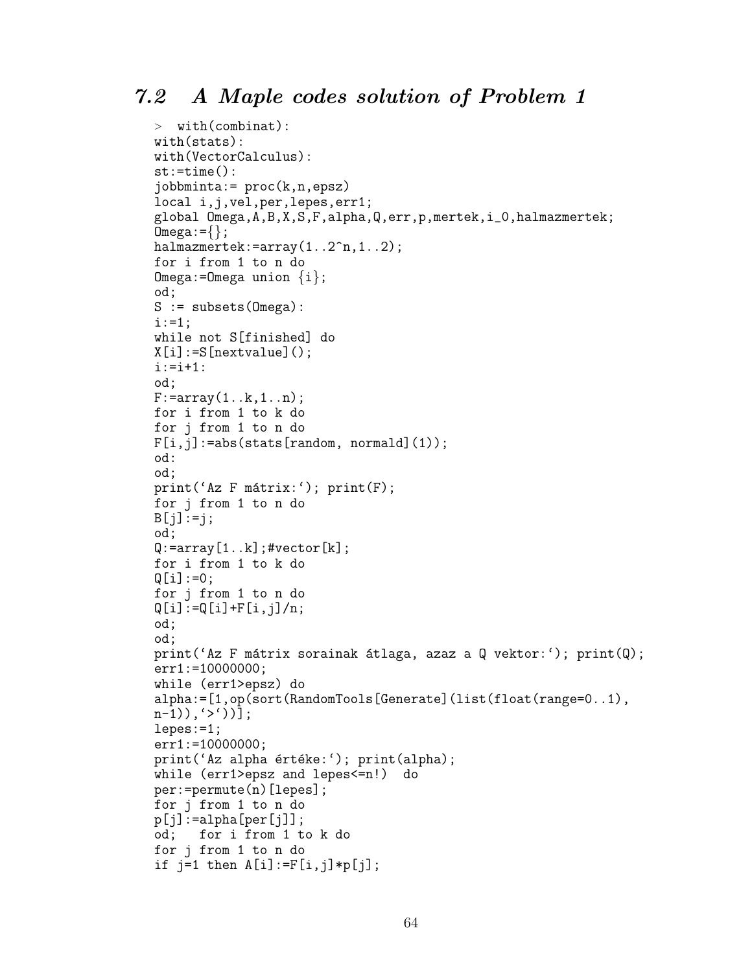```
> with(combinat):
with(stats):
with(VectorCalculus):
st:=time():
jobbminta:= proc(k,n,epsz)
local i,j,vel,per,lepes,err1;
global Omega,A,B,X,S,F,alpha,Q,err,p,mertek,i_0,halmazmertek;
Omega:=\{\};
halmazmertek:=array(1..2^n,1..2);
for i from 1 to n do
Omega:=Omega union \{i\};
od;
S := subsets (Omega):
i := 1;while not S[finished] do
X[i]:=S[nextvalue](;
i := i + 1:od;
F:=array(1..k,1..n);
for i from 1 to k do
for j from 1 to n do
F[i,j]:=abs(stats[random, normald](1));od:
od;
print('Az F mátrix:'); print(F);for j from 1 to n do
B[j]:=j;od;
Q: = array [1..k]; #vector[k];
for i from 1 to k do
Q[i]:=0;for j from 1 to n do
Q[i]:=Q[i]+F[i,j]/n;od;
od;
print('Az F mátrix sorainak átlaga, azaz a Q vektor:'); print(Q);
err1:=10000000;
while (err1>epsz) do
alpha:=[1,op(sort(RandomTools[Generate](list(float(range=0..1),
n-1), '>'))];
lepes:=1;
err1:=10000000;
print('Az alpha értéke:'); print(alpha);
while (err1>epsz and lepes<=n!) do
per:=permute(n)[lepes];
for j from 1 to n do
p[j]:=alpha[pba[per[j]];
od; for i from 1 to k do
for j from 1 to n do
if j=1 then A[i]:=F[i,j]*p[i];
```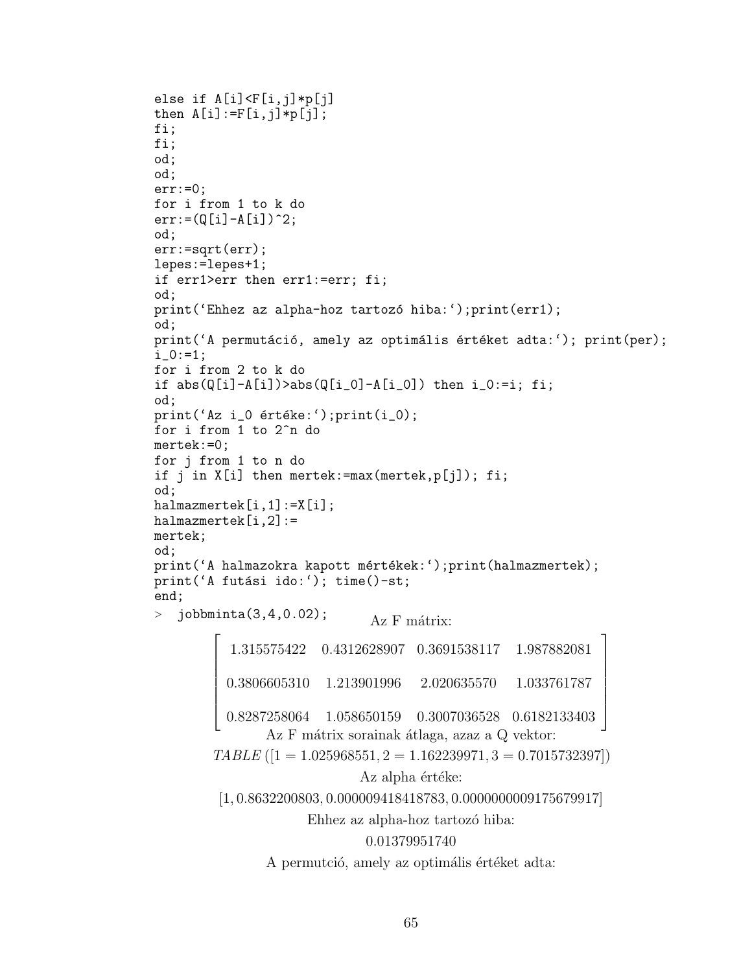```
else if A[i]<F[i,j]*p[j]
then A[i]:=F[i,j]*p[j];fi;
fi;
od;
od;
err:=0;
for i from 1 to k do
err:=(Q[i]-A[i])^2;od;
err:=sqrt(err);
lepes:=lepes+1;
if err1>err then err1:=err; fi;
od;
print('Ehhez az alpha-hoz tartozó hiba:');print(err1);
od;
print('A permutáció, amely az optimális értéket adta:'); print(per);
i_{0}:=1;
for i from 2 to k do
if abs(Q[i]-A[i])>abs(Q[i_0]-A[i_0]) then i_0:=i; fi;
od;
print('Az i_0 értéke:'); print(i_0);for i from 1 to 2^n do
mertek:=0;
for j from 1 to n do
if j in X[i] then mertek:=max(mertek,p[j]); fi;
od;
halmazmertek[i,1]:=X[i];
halmazmertek[i,2]:=
mertek;
od;
print('A halmazokra kapott mértékek:');print(halmazmertek);
print('A futási ido:'); time()-st;
end;
> jobbminta(3,4,0.02); A_z F mátrix:
         \overline{r}\overline{\phantom{a}}\overline{1}\left| \right|\mathbf{I}\overline{\phantom{a}}\overline{\phantom{a}}1.315575422 0.4312628907 0.3691538117 1.987882081
           0.3806605310 1.213901996 2.020635570 1.033761787
           0.8287258064 1.058650159 0.3007036528 0.6182133403
                                                                        \overline{a}\overline{1}\overline{1}\frac{1}{2}\mathbf{I}\overline{1}\overline{1}Az F mátrix sorainak átlaga, azaz a Q vektor:
         TABLE ([1 = 1.025968551, 2 = 1.162239971, 3 = 0.7015732397])Az alpha értéke:
          [1, 0.8632200803, 0.000009418418783, 0.0000000009175679917]
                        Ehhez az alpha-hoz tartozó hiba:
                                  0.01379951740
                  A permutció, amely az optimális értéket adta:
```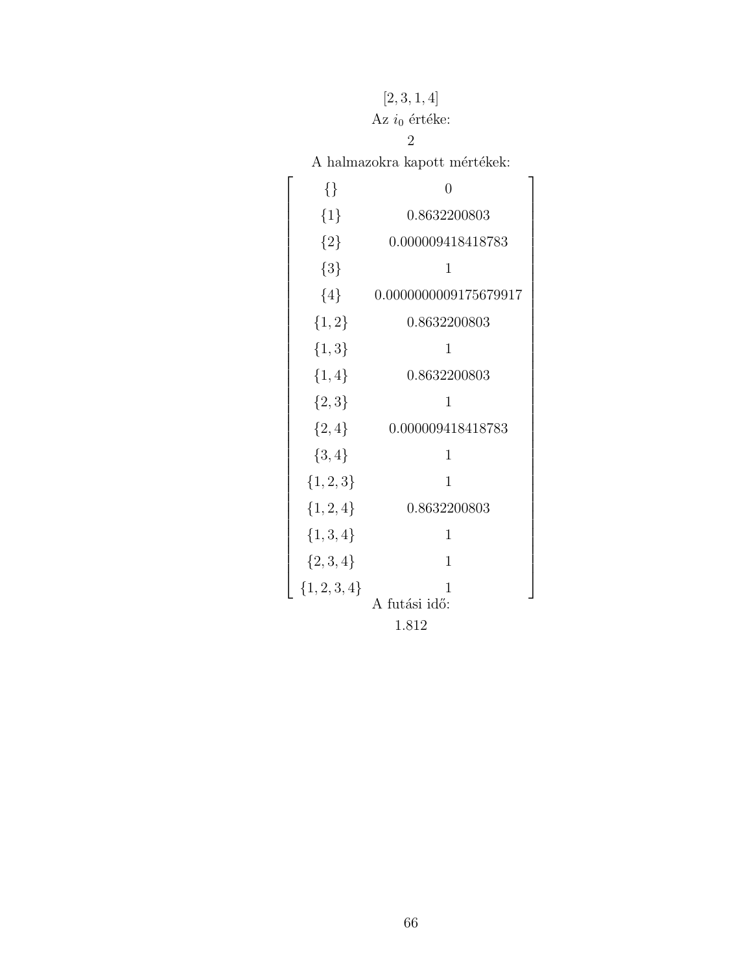## $\left[2, 3, 1, 4\right]$

### Az $i_0$ értéke:

#### 2

 ${\bf A}$ halmazokra kapott mértékek:

 $\overline{a}$ 

 $\overline{1}$  $\overline{1}$  $\overline{1}$  $\overline{1}$  $\overline{1}$  $\overline{1}$  $\frac{1}{2}$  $\mathbf{I}$  $\overline{1}$  $\overline{1}$  $\overline{1}$  $\overline{1}$  $\overline{1}$  $\overline{1}$  $\frac{1}{2}$  $\mathbf{I}$  $\overline{1}$  $\overline{1}$  $\overline{1}$  $\overline{1}$  $\overline{1}$  $\frac{1}{2}$  $\mathbf{I}$  $\overline{1}$  $\overline{1}$  $\overline{1}$  $\overline{1}$  $\overline{1}$  $\overline{1}$  $\frac{1}{2}$  $\mathbf{I}$  $\overline{1}$  $\overline{1}$  $\overline{1}$  $\overline{1}$  $\overline{1}$  $\overline{1}$  $\frac{1}{2}$  $\mathbf{I}$  $\overline{1}$  $\overline{1}$  $\overline{1}$  $\mathbf{I}$ 

|                | namnasom a napoče morecne |
|----------------|---------------------------|
| $\{\}$         | 0                         |
| ${1}$          | 0.8632200803              |
| ${2}$          | 0.000009418418783         |
| ${3}$          | $\mathbf 1$               |
| ${4}$          | 0.0000000009175679917     |
| ${1,2}$        | 0.8632200803              |
| ${1,3}$        | 1                         |
| $\{1,4\}$      | 0.8632200803              |
| ${2,3}$        | 1                         |
| ${2,4}$        | 0.000009418418783         |
| $\{3,4\}$      | $\mathbf 1$               |
| $\{1, 2, 3\}$  | $\overline{1}$            |
| $\{1, 2, 4\}$  | 0.8632200803              |
| $\{1, 3, 4\}$  | $\mathbf{1}$              |
| $\{2,3,4\}$    | 1                         |
| ${1, 2, 3, 4}$ | 1                         |
|                | A futási idő:             |
|                | 1.812                     |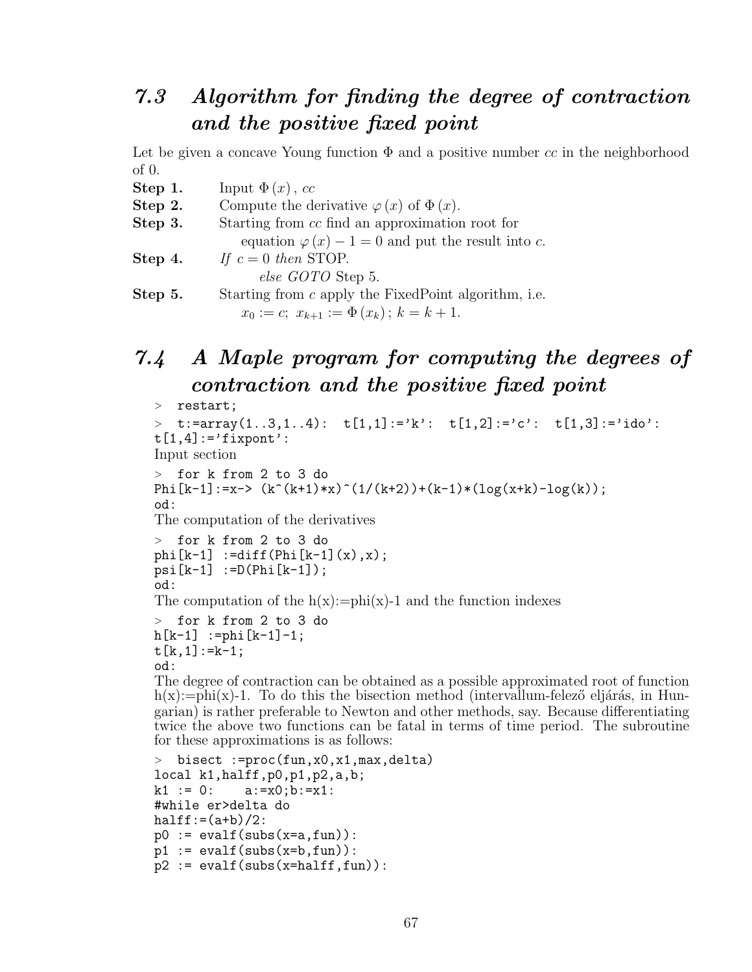## 7.3 Algorithm for finding the degree of contraction and the positive fixed point

Let be given a concave Young function  $\Phi$  and a positive number cc in the neighborhood of 0.

- **Step 1.** Input  $\Phi(x)$ , cc
- **Step 2.** Compute the derivative  $\varphi(x)$  of  $\Phi(x)$ .
- Step 3. Starting from cc find an approximation root for
- equation  $\varphi(x) 1 = 0$  and put the result into c.
- Step 4. If  $c = 0$  then STOP.
	- else GOTO Step 5.

**Step 5.** Starting from c apply the FixedPoint algorithm, i.e.  $x_0 := c$ ;  $x_{k+1} := \Phi(x_k)$ ;  $k = k+1$ .

# 7.4 A Maple program for computing the degrees of contraction and the positive fixed point

```
> restart;
```

```
\ge t:=array(1..3,1..4): t[1,1]:='k': t[1,2]:='c': t[1,3]:='ido':
t[1,4]:='fixpont':
Input section
> for k from 2 to 3 do
Phi[k-1]:=x\rightarrow (k^{(k+1)*x)^{(1/(k+2))+(k-1)*(log(x+k)-log(k))};od:
The computation of the derivatives
> for k from 2 to 3 do
phi[k-1] :=diff(Phi[k-1](x),x);
psi[-1] := D(Phi[kr-1]);od:
The computation of the h(x) :=phi(x) - 1 and the function indexes
> for k from 2 to 3 do
h[k-1] :=phi[k-1]-1;t[k,1]:=k-1;od:
```
The degree of contraction can be obtained as a possible approximated root of function h(x):=phi(x)-1. To do this the bisection method (intervallum-felezo eljárás, in Hungarian) is rather preferable to Newton and other methods, say. Because differentiating twice the above two functions can be fatal in terms of time period. The subroutine for these approximations is as follows:

```
> bisect :=proc(fun,x0,x1,max,delta)
local k1,halff,p0,p1,p2,a,b;
k1 := 0: a:=x0; b:=x1:#while er>delta do
half:=(a+b)/2:
p0 := evalf(subs(x=a, fun)):
p1 := evalf(subs(x=b,fun)):
p2 := evalf(subs(x=half,fun)):
```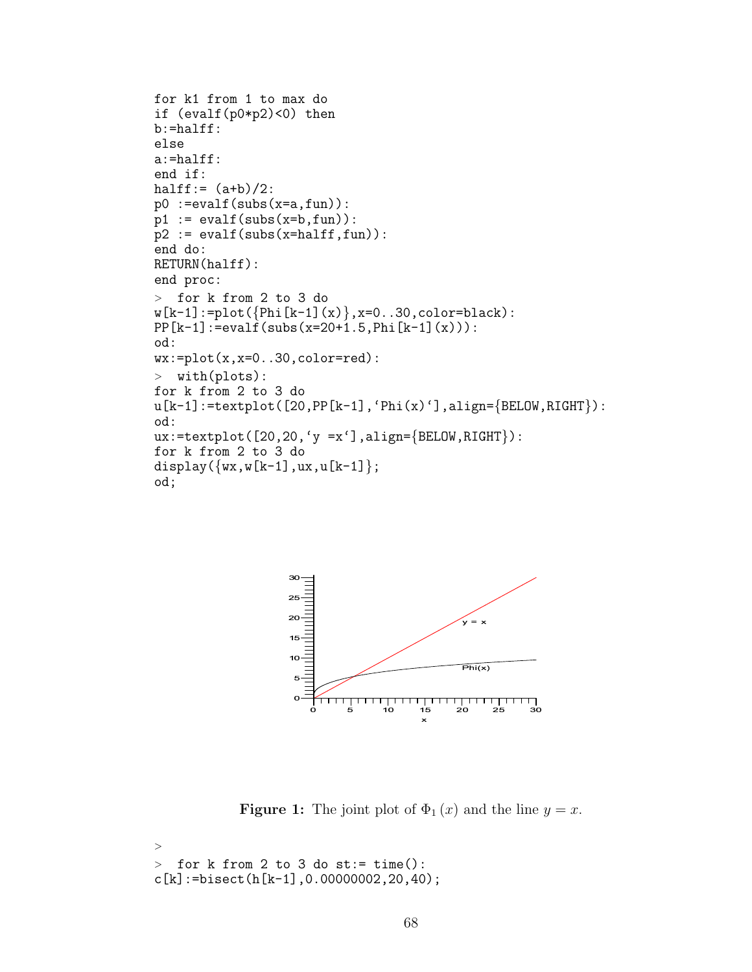```
for k1 from 1 to max do
if (evalf(p0*p2)<0) then
b:=halff:
else
a:=halff:
end if:
halff:= (a+b)/2:
p0 := evalf(subs(x=a, fun)):
p1 := evalf(subs(x=b,fun)):
p2 := evalf(subs(x=half,fun)):
end do:
RETURN(halff):
end proc:
> for k from 2 to 3 do
w[k-1]:=plot({phi[k-1](x)},x=0..30,color=black)PP[k-1]:=evalf(subs(x=20+1.5, Phi[k-1](x))):od:
wx:=plot(x,x=0..30,color=red):> with(plots):
for k from 2 to 3 do
u[k-1]:=textplot([20, PP[k-1], 'Phi(x)')],align={BELOW,RIGHT}):
od:
ux:=textplot([20,20,'y =x')],align={BELOW,RIGHT}):
for k from 2 to 3 do
display(\{wx,w[k-1],ux,u[k-1]\};od;
```


**Figure 1:** The joint plot of  $\Phi_1(x)$  and the line  $y = x$ .

```
>
> for k from 2 to 3 do st:= time():
c[k]:=bisect(h[k-1],0.00000002,20,40);
```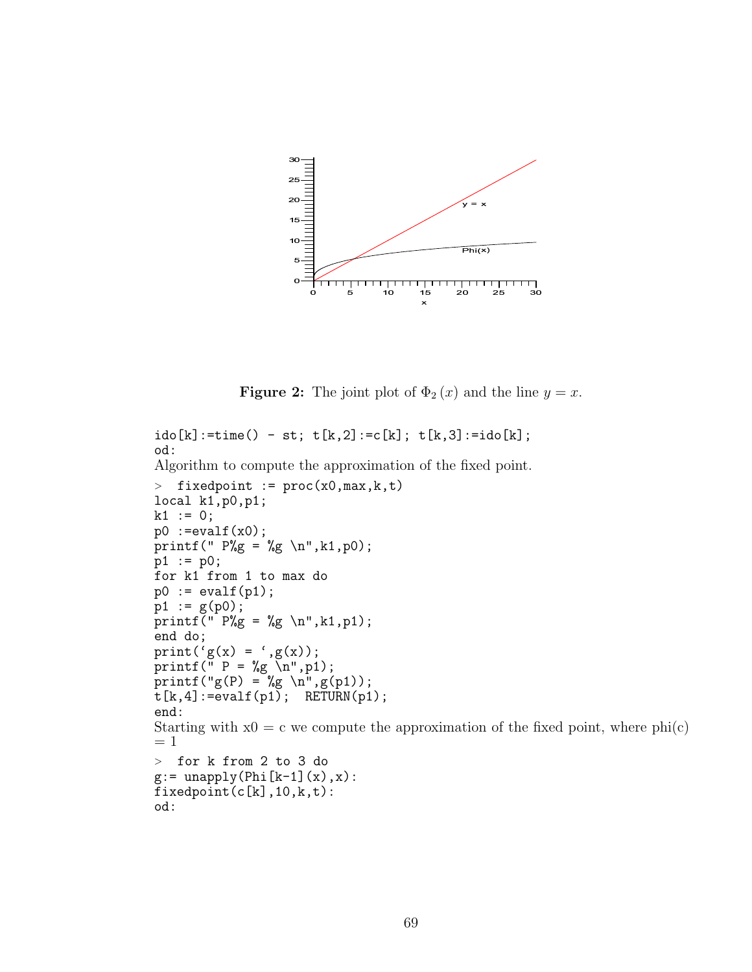

**Figure 2:** The joint plot of  $\Phi_2(x)$  and the line  $y = x$ .

```
ido[k]:=time() - st; t[k,2]:=c[k]; t[k,3]:=ido[k];od:
Algorithm to compute the approximation of the fixed point.
> fixedpoint := proc(x0,max,k,t)local k1,p0,p1;
k1 := 0;p0 :=evalf(x0);printf(" P\&g = \&g \n\in,R1,p0);
p1 := p0;for k1 from 1 to max do
p0 := evalf(p1);p1 := g(p0);
printf<sup>(" P\%g = \%g \n\in \mathbb{R}, k1, p1);</sup>
end do;
print('g(x) = 'g(x);
printf(" P = \frac{9}{9} \n", p1);
printf("g(P) = \%g \n",g(p1));
t[k, 4]:=evalf(p1); RETURN(p1);
end:
Starting with x0 = c we compute the approximation of the fixed point, where phi(c)= 1> for k from 2 to 3 do
g:= unapply(Phi[k-1](x),x):
fixedpoint(c[k],10,k,t):od:
```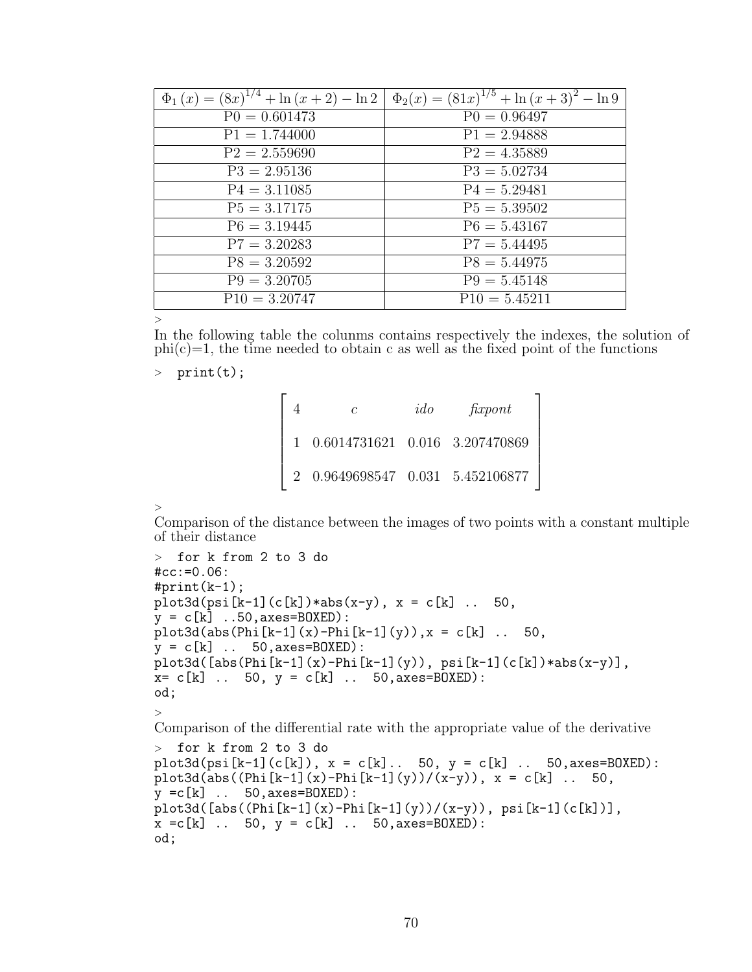| $\overline{\Phi_1(x)} = (8x)^{1/4} + \ln(x+2) - \ln 2$ | $\Phi_2(x) = (81x)^{1/5} + \ln(x+3)^2 - \ln 9$ |
|--------------------------------------------------------|------------------------------------------------|
| $P0 = 0.601473$                                        | $P0 = 0.96497$                                 |
| $P1 = 1.744000$                                        | $P1 = 2.94888$                                 |
| $P2 = 2.559690$                                        | $P2 = 4.35889$                                 |
| $P3 = 2.95136$                                         | $P3 = 5.02734$                                 |
| $P4 = 3.11085$                                         | $P4 = 5.29481$                                 |
| $P5 = 3.17175$                                         | $P5 = 5.39502$                                 |
| $P6 = 3.19445$                                         | $P6 = 5.43167$                                 |
| $P7 = 3.20283$                                         | $P7 = 5.44495$                                 |
| $P8 = 3.20592$                                         | $P8 = 5.44975$                                 |
| $P9 = 3.20705$                                         | $P9 = 5.45148$                                 |
| $P10 = 3.20747$                                        | $P10 = 5.45211$                                |

>

In the following table the colunms contains respectively the indexes, the solution of  $phi(c)=1$ , the time needed to obtain c as well as the fixed point of the functions

 $>$  print $(t)$ ;

|  | C                                                 | ido | f(xport) |  |
|--|---------------------------------------------------|-----|----------|--|
|  | $1\quad 0.6014731621\quad 0.016\quad 3.207470869$ |     |          |  |
|  | 0.9649698547  0.031  5.452106877                  |     |          |  |

>

Comparison of the distance between the images of two points with a constant multiple of their distance

```
> for k from 2 to 3 do
#cc:=0.06:
#print(k-1);plot3d(psi[k-1](c[k))*abs(x-y), x = c[k] ... 50,y = c[k] ..50, axes=BOXED):
plot3d(abs(Phi[k-1](x)-Phi[k-1](y)), x = c[k]. 50,
y = c[k] .. 50, axes=BOXED):
plot3d([abs(Phi[k-1](x)-Phi[k-1](y)), psi[k-1](c[k]) * abs(x-y)],
x= c[k] .. 50, y = c[k] .. 50, axes=BOXED):
od;
>
Comparison of the differential rate with the appropriate value of the derivative
> for k from 2 to 3 do
plot3d(psi[k-1](c[k]), x = c[k].. 50, y = c[k]. 50, axes=BOXED):
plot3d(abs((Phi1[x-1](x)-Phi1[x-1](y))/(x-y)), x = c[k] ... 50,y = c[k] .. 50, axes=BOXED):
plot3d([abs((Phi1](x)-Phi1](x)-Phi1](y))/(x-y)), psi[k-1](c[k])],x = c[k] .. 50, y = c[k] .. 50, axes=BOXED):
od;
```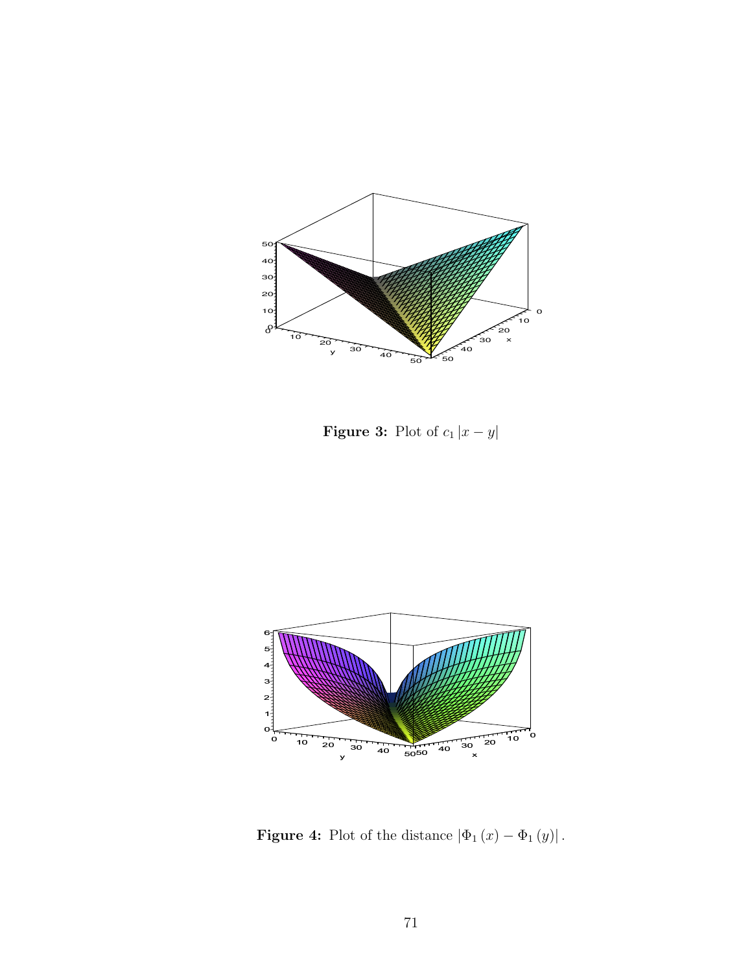

**Figure 3:** Plot of  $c_1 |x - y|$ 



**Figure 4:** Plot of the distance  $|\Phi_1(x) - \Phi_1(y)|$ .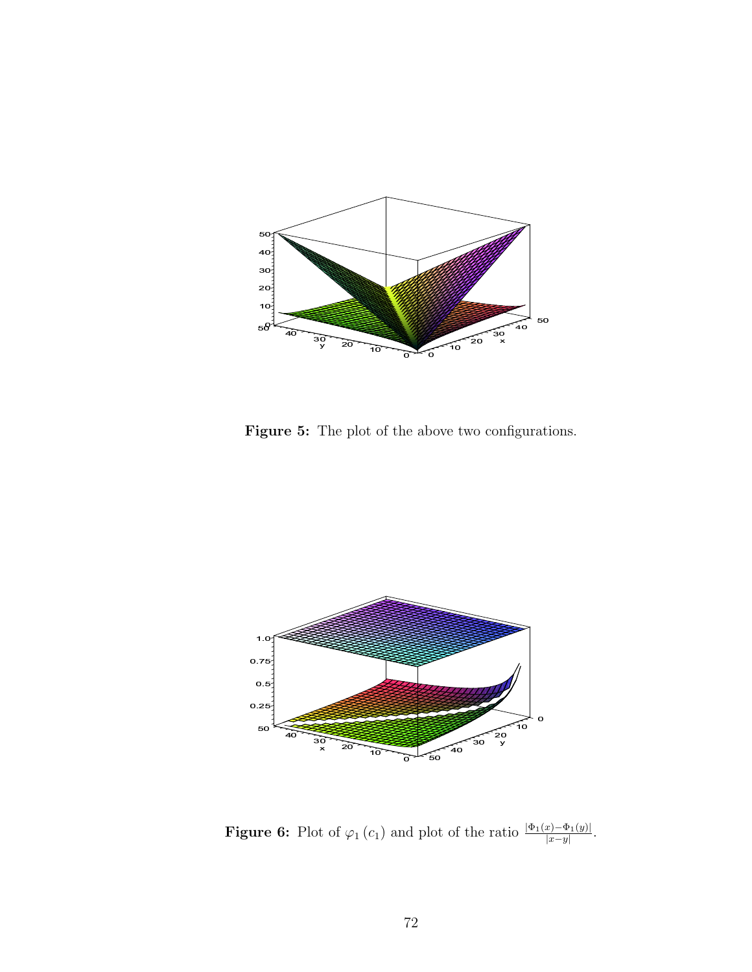

Figure 5: The plot of the above two configurations.



**Figure 6:** Plot of  $\varphi_1(c_1)$  and plot of the ratio  $\frac{|\Phi_1(x) - \Phi_1(y)|}{|x-y|}$ .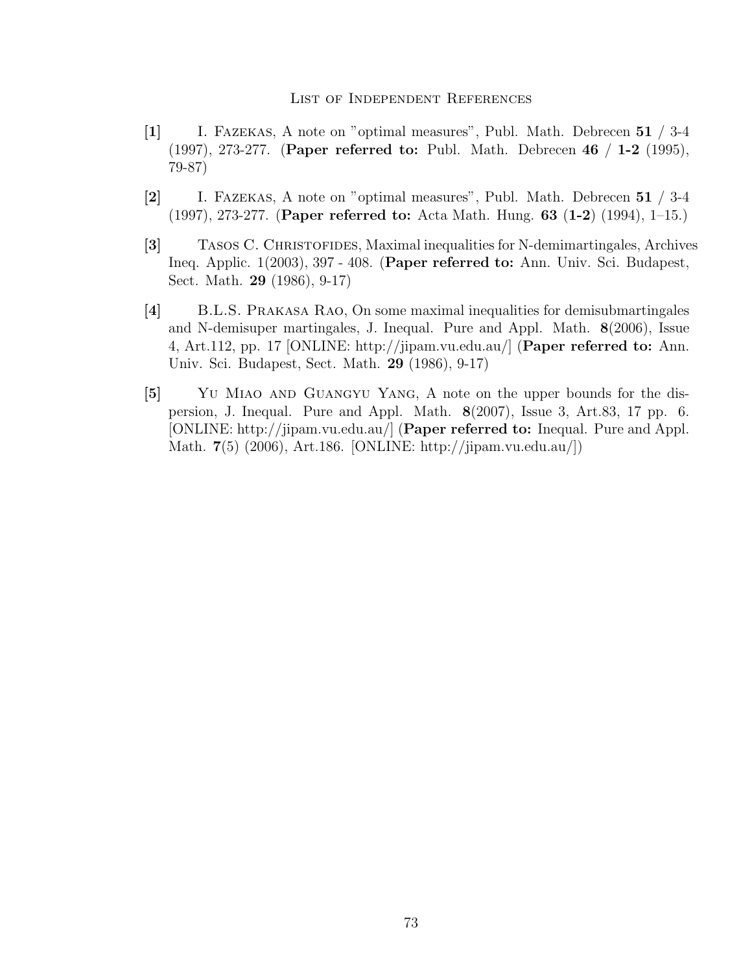#### List of Independent References

- [1] I. Fazekas, A note on "optimal measures", Publ. Math. Debrecen 51 / 3-4 (1997), 273-277. (Paper referred to: Publ. Math. Debrecen 46 / 1-2 (1995), 79-87)
- [2] I. Fazekas, A note on "optimal measures", Publ. Math. Debrecen 51 / 3-4 (1997), 273-277. (Paper referred to: Acta Math. Hung. 63 (1-2) (1994), 1–15.)
- [3] Tasos C. Christofides, Maximal inequalities for N-demimartingales, Archives Ineq. Applic. 1(2003), 397 - 408. (Paper referred to: Ann. Univ. Sci. Budapest, Sect. Math. 29 (1986), 9-17)
- [4] B.L.S. Prakasa Rao, On some maximal inequalities for demisubmartingales and N-demisuper martingales, J. Inequal. Pure and Appl. Math. 8(2006), Issue 4, Art.112, pp. 17 [ONLINE: http://jipam.vu.edu.au/] (Paper referred to: Ann. Univ. Sci. Budapest, Sect. Math. 29 (1986), 9-17)
- [5] YU MIAO AND GUANGYU YANG, A note on the upper bounds for the dispersion, J. Inequal. Pure and Appl. Math. 8(2007), Issue 3, Art.83, 17 pp. 6. [ONLINE: http://jipam.vu.edu.au/] (Paper referred to: Inequal. Pure and Appl. Math. 7(5) (2006), Art.186. [ONLINE: http://jipam.vu.edu.au/])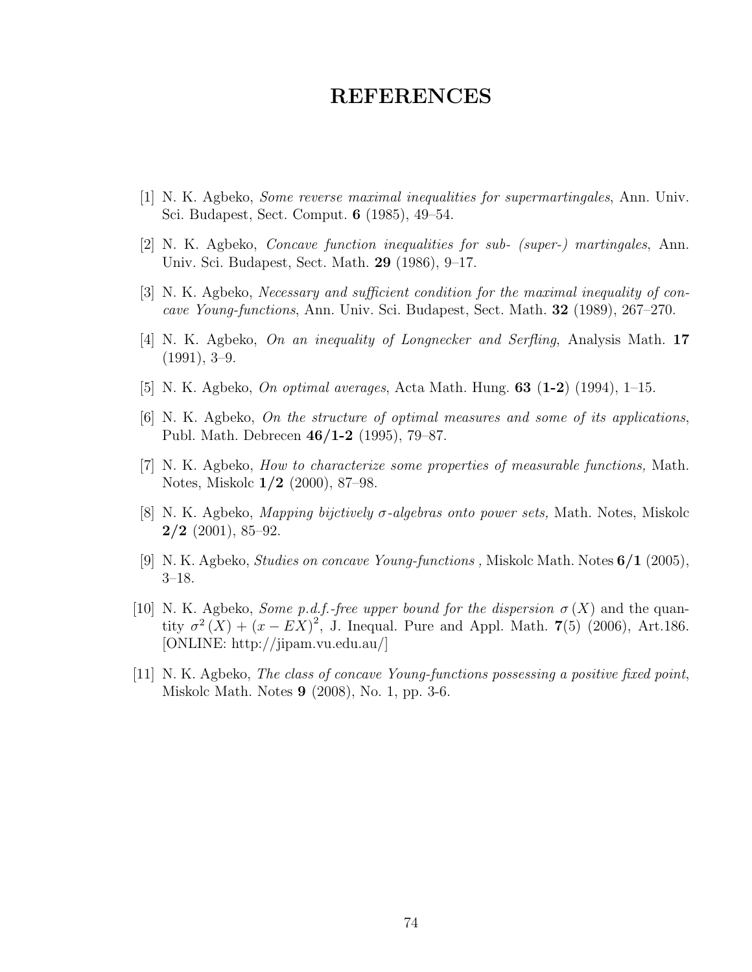#### REFERENCES

- [1] N. K. Agbeko, Some reverse maximal inequalities for supermartingales, Ann. Univ. Sci. Budapest, Sect. Comput. 6 (1985), 49–54.
- [2] N. K. Agbeko, Concave function inequalities for sub- (super-) martingales, Ann. Univ. Sci. Budapest, Sect. Math. 29 (1986), 9–17.
- [3] N. K. Agbeko, Necessary and sufficient condition for the maximal inequality of concave Young-functions, Ann. Univ. Sci. Budapest, Sect. Math. 32 (1989), 267–270.
- [4] N. K. Agbeko, On an inequality of Longnecker and Serfling, Analysis Math. 17  $(1991), 3-9.$
- [5] N. K. Agbeko, *On optimal averages*, Acta Math. Hung. **63** (1-2) (1994), 1-15.
- [6] N. K. Agbeko, On the structure of optimal measures and some of its applications, Publ. Math. Debrecen 46/1-2 (1995), 79–87.
- [7] N. K. Agbeko, How to characterize some properties of measurable functions, Math. Notes, Miskolc 1/2 (2000), 87–98.
- [8] N. K. Agbeko, Mapping bijctively σ-algebras onto power sets, Math. Notes, Miskolc  $2/2$  (2001), 85–92.
- [9] N. K. Agbeko, *Studies on concave Young-functions*, Miskolc Math. Notes  $6/1$  (2005), 3–18.
- [10] N. K. Agbeko, *Some p.d.f.-free upper bound for the dispersion*  $\sigma(X)$  and the quantity  $\sigma^2(X) + (x - EX)^2$ , J. Inequal. Pure and Appl. Math. 7(5) (2006), Art.186. [ONLINE: http://jipam.vu.edu.au/]
- [11] N. K. Agbeko, The class of concave Young-functions possessing a positive fixed point, Miskolc Math. Notes 9 (2008), No. 1, pp. 3-6.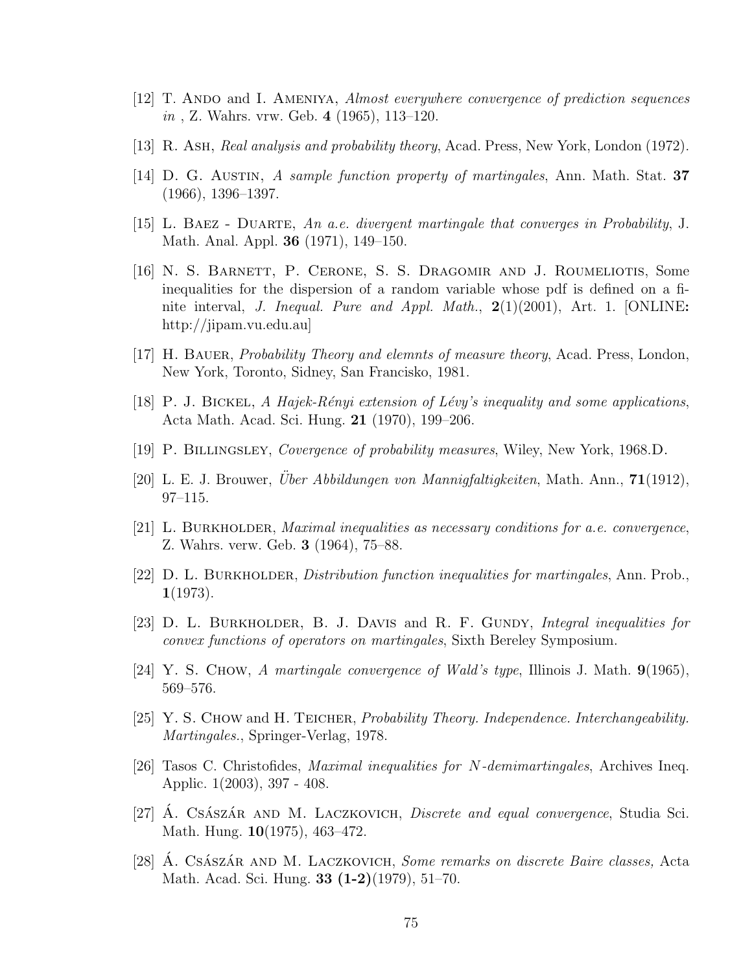- [12] T. ANDO and I. AMENIYA, Almost everywhere convergence of prediction sequences in , Z. Wahrs. vrw. Geb. 4 (1965), 113–120.
- [13] R. Ash, Real analysis and probability theory, Acad. Press, New York, London (1972).
- [14] D. G. Austin, A sample function property of martingales, Ann. Math. Stat. 37 (1966), 1396–1397.
- [15] L. Baez Duarte, An a.e. divergent martingale that converges in Probability, J. Math. Anal. Appl. 36 (1971), 149–150.
- [16] N. S. Barnett, P. Cerone, S. S. Dragomir and J. Roumeliotis, Some inequalities for the dispersion of a random variable whose pdf is defined on a finite interval, J. Inequal. Pure and Appl. Math.,  $2(1)(2001)$ , Art. 1. [ONLINE: http://jipam.vu.edu.au]
- [17] H. BAUER, *Probability Theory and elemnts of measure theory*, Acad. Press, London, New York, Toronto, Sidney, San Francisko, 1981.
- [18] P. J. BICKEL, A Hajek-Rényi extension of Lévy's inequality and some applications, Acta Math. Acad. Sci. Hung. 21 (1970), 199–206.
- [19] P. Billingsley, Covergence of probability measures, Wiley, New York, 1968.D.
- [20] L. E. J. Brouwer, *Über Abbildungen von Mannigfaltigkeiten*, Math. Ann.,  $71(1912)$ , 97–115.
- [21] L. BURKHOLDER, *Maximal inequalities as necessary conditions for a.e. convergence*, Z. Wahrs. verw. Geb. 3 (1964), 75–88.
- [22]  $D. L. B$ URKHOLDER, *Distribution function inequalities for martingales*, Ann. Prob.,  $1(1973).$
- [23] D. L. BURKHOLDER, B. J. DAVIS and R. F. GUNDY, Integral inequalities for convex functions of operators on martingales, Sixth Bereley Symposium.
- [24] Y. S. Chow, A martingale convergence of Wald's type, Illinois J. Math.  $9(1965)$ , 569–576.
- [25] Y. S. Chow and H. Teicher, Probability Theory. Independence. Interchangeability. Martingales., Springer-Verlag, 1978.
- [26] Tasos C. Christofides, Maximal inequalities for N-demimartingales, Archives Ineq. Applic. 1(2003), 397 - 408.
- [27] A. Császár and M. Laczkovich, *Discrete and equal convergence*, Studia Sci. Math. Hung. 10(1975), 463–472.
- [28] A. CSÁSZÁR AND M. LACZKOVICH, *Some remarks on discrete Baire classes*, Acta Math. Acad. Sci. Hung. 33 (1-2)(1979), 51–70.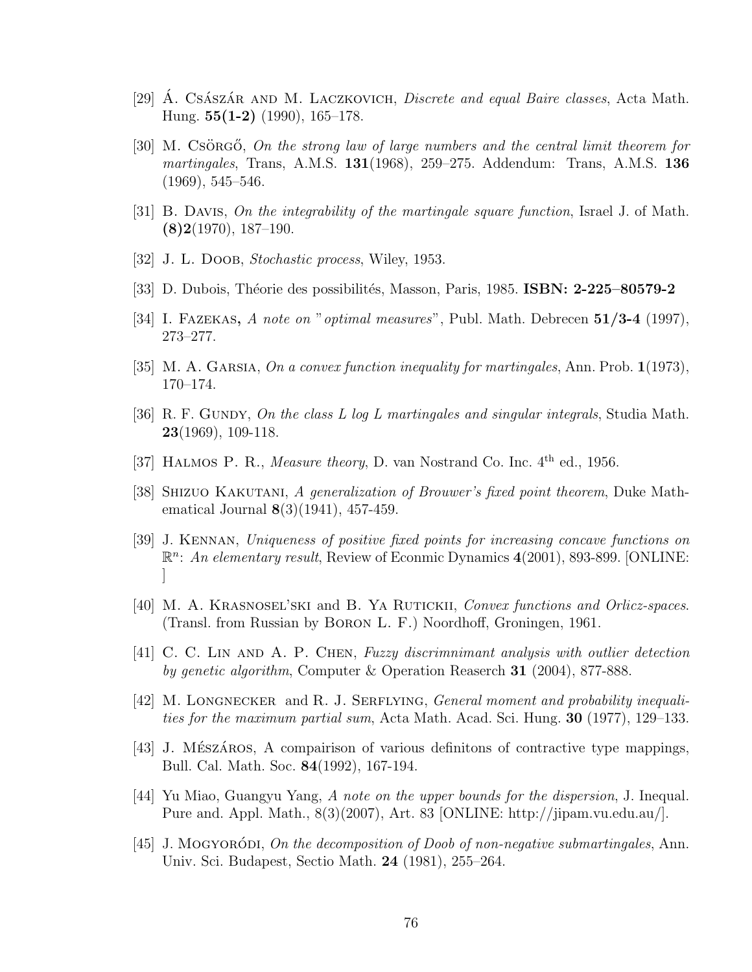- [29] A. Cs $\hat{A}$ sz $\hat{A}$ R AND M. LACZKOVICH, *Discrete and equal Baire classes*, Acta Math. Hung.  $55(1-2)$  (1990), 165–178.
- [30] M. Csörg ightarrow Containty contained all the central limit theorem for *martingales*, Trans, A.M.S.  $131(1968)$ ,  $259-275$ . Addendum: Trans, A.M.S.  $136$ (1969), 545–546.
- [31] B. Davis, On the integrability of the martingale square function, Israel J. of Math.  $(8)2(1970), 187-190.$
- [32] J. L. DOOB, *Stochastic process*, Wiley, 1953.
- [33] D. Dubois, Théorie des possibilités, Masson, Paris, 1985. **ISBN: 2-225–80579-2**
- [34] I. Fazekas, A note on "optimal measures", Publ. Math. Debrecen 51/3-4 (1997), 273–277.
- [35] M. A. GARSIA, On a convex function inequality for martingales, Ann. Prob.  $1(1973)$ , 170–174.
- [36] R. F. GUNDY, On the class L log L martingales and singular integrals, Studia Math.  $23(1969)$ , 109-118.
- [37] HALMOS P. R., *Measure theory*, D. van Nostrand Co. Inc.  $4<sup>th</sup>$  ed., 1956.
- [38] Shizuo Kakutani, A generalization of Brouwer's fixed point theorem, Duke Mathematical Journal **8**(3)(1941), 457-459.
- [39] J. Kennan, Uniqueness of positive fixed points for increasing concave functions on R<sup>n</sup>: An elementary result, Review of Econmic Dynamics 4(2001), 893-899. [ONLINE: ]
- [40] M. A. Krasnosel'ski and B. Ya Rutickii, Convex functions and Orlicz-spaces. (Transl. from Russian by Boron L. F.) Noordhoff, Groningen, 1961.
- [41] C. C. Lin and A. P. Chen, Fuzzy discrimnimant analysis with outlier detection by genetic algorithm, Computer & Operation Reaserch 31 (2004), 877-888.
- [42] M. LONGNECKER and R. J. SERFLYING, General moment and probability inequalities for the maximum partial sum, Acta Math. Acad. Sci. Hung. 30 (1977), 129–133.
- [43] J. MÉSZÁROS, A compairison of various definitions of contractive type mappings, Bull. Cal. Math. Soc. 84(1992), 167-194.
- [44] Yu Miao, Guangyu Yang, A note on the upper bounds for the dispersion, J. Inequal. Pure and. Appl. Math., 8(3)(2007), Art. 83 [ONLINE: http://jipam.vu.edu.au/].
- [45] J. Mogyoroding *On the decomposition of Doob of non-negative submartingales, Ann.* Univ. Sci. Budapest, Sectio Math. 24 (1981), 255–264.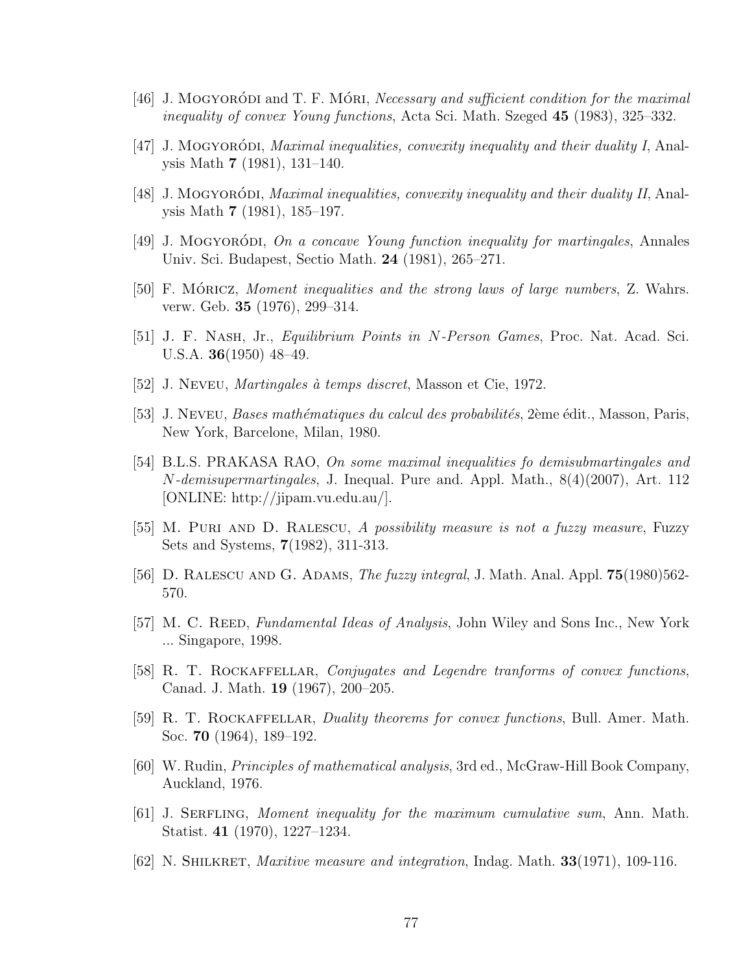- [46] J. MOGYORÓDI and T. F. MÓRI, *Necessary and sufficient condition for the maximal* inequality of convex Young functions, Acta Sci. Math. Szeged 45 (1983), 325–332.
- [47] J. Mogyoroding Maximal inequalities, convexity inequality and their duality I, Analysis Math 7 (1981), 131–140.
- [48] J. MOGYORÓDI, *Maximal inequalities, convexity inequality and their duality II*, Analysis Math 7 (1981), 185–197.
- [49] J. Mogyoroding *On a concave Young function inequality for martingales*, Annales Univ. Sci. Budapest, Sectio Math. 24 (1981), 265–271.
- [50] F. MÓRICZ, *Moment inequalities and the strong laws of large numbers*, Z. Wahrs. verw. Geb. 35 (1976), 299–314.
- [51] J. F. Nash, Jr., Equilibrium Points in N-Person Games, Proc. Nat. Acad. Sci. U.S.A. 36(1950) 48–49.
- [52] J. Neveu, *Martingales* à temps discret, Masson et Cie, 1972.
- [53] J. Neveu, *Bases mathématiques du calcul des probabilités*,  $2$ ème édit., Masson, Paris, New York, Barcelone, Milan, 1980.
- [54] B.L.S. PRAKASA RAO, On some maximal inequalities fo demisubmartingales and N-demisupermartingales, J. Inequal. Pure and. Appl. Math., 8(4)(2007), Art. 112 [ONLINE: http://jipam.vu.edu.au/].
- [55] M. Puri and D. Ralescu, A possibility measure is not a fuzzy measure, Fuzzy Sets and Systems, 7(1982), 311-313.
- [56] D. RALESCU AND G. ADAMS, *The fuzzy integral*, J. Math. Anal. Appl. **75**(1980)562-570.
- [57] M. C. REED, *Fundamental Ideas of Analysis*, John Wiley and Sons Inc., New York ... Singapore, 1998.
- [58] R. T. Rockaffellar, Conjugates and Legendre tranforms of convex functions, Canad. J. Math. 19 (1967), 200–205.
- [59] R. T. ROCKAFFELLAR, Duality theorems for convex functions, Bull. Amer. Math. Soc. 70 (1964), 189–192.
- [60] W. Rudin, Principles of mathematical analysis, 3rd ed., McGraw-Hill Book Company, Auckland, 1976.
- [61] J. Serfling, Moment inequality for the maximum cumulative sum, Ann. Math. Statist. 41 (1970), 1227–1234.
- $[62]$  N. SHILKRET, *Maxitive measure and integration*, Indag. Math. **33**(1971), 109-116.